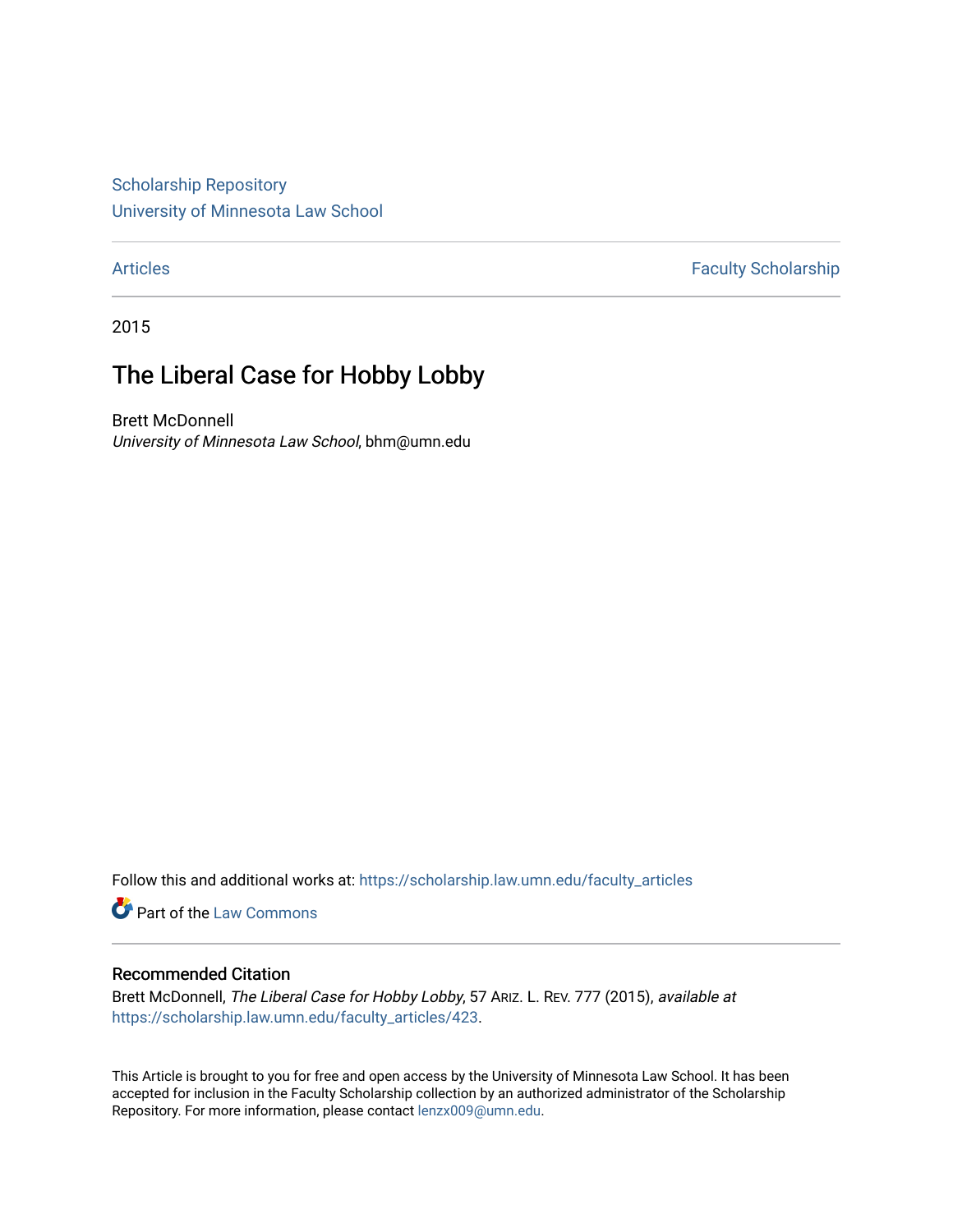[Scholarship Repository](https://scholarship.law.umn.edu/?utm_source=scholarship.law.umn.edu%2Ffaculty_articles%2F423&utm_medium=PDF&utm_campaign=PDFCoverPages) [University of Minnesota Law School](https://scholarship.law.umn.edu/?utm_source=scholarship.law.umn.edu%2Ffaculty_articles%2F423&utm_medium=PDF&utm_campaign=PDFCoverPages)

[Articles](https://scholarship.law.umn.edu/faculty_articles?utm_source=scholarship.law.umn.edu%2Ffaculty_articles%2F423&utm_medium=PDF&utm_campaign=PDFCoverPages) **Faculty Scholarship** 

2015

# The Liberal Case for Hobby Lobby

Brett McDonnell University of Minnesota Law School, bhm@umn.edu

Follow this and additional works at: [https://scholarship.law.umn.edu/faculty\\_articles](https://scholarship.law.umn.edu/faculty_articles?utm_source=scholarship.law.umn.edu%2Ffaculty_articles%2F423&utm_medium=PDF&utm_campaign=PDFCoverPages)

Part of the [Law Commons](https://network.bepress.com/hgg/discipline/578?utm_source=scholarship.law.umn.edu%2Ffaculty_articles%2F423&utm_medium=PDF&utm_campaign=PDFCoverPages)

## Recommended Citation

Brett McDonnell, The Liberal Case for Hobby Lobby, 57 ARIZ. L. REV. 777 (2015), available at [https://scholarship.law.umn.edu/faculty\\_articles/423](https://scholarship.law.umn.edu/faculty_articles/423?utm_source=scholarship.law.umn.edu%2Ffaculty_articles%2F423&utm_medium=PDF&utm_campaign=PDFCoverPages).

This Article is brought to you for free and open access by the University of Minnesota Law School. It has been accepted for inclusion in the Faculty Scholarship collection by an authorized administrator of the Scholarship Repository. For more information, please contact [lenzx009@umn.edu.](mailto:lenzx009@umn.edu)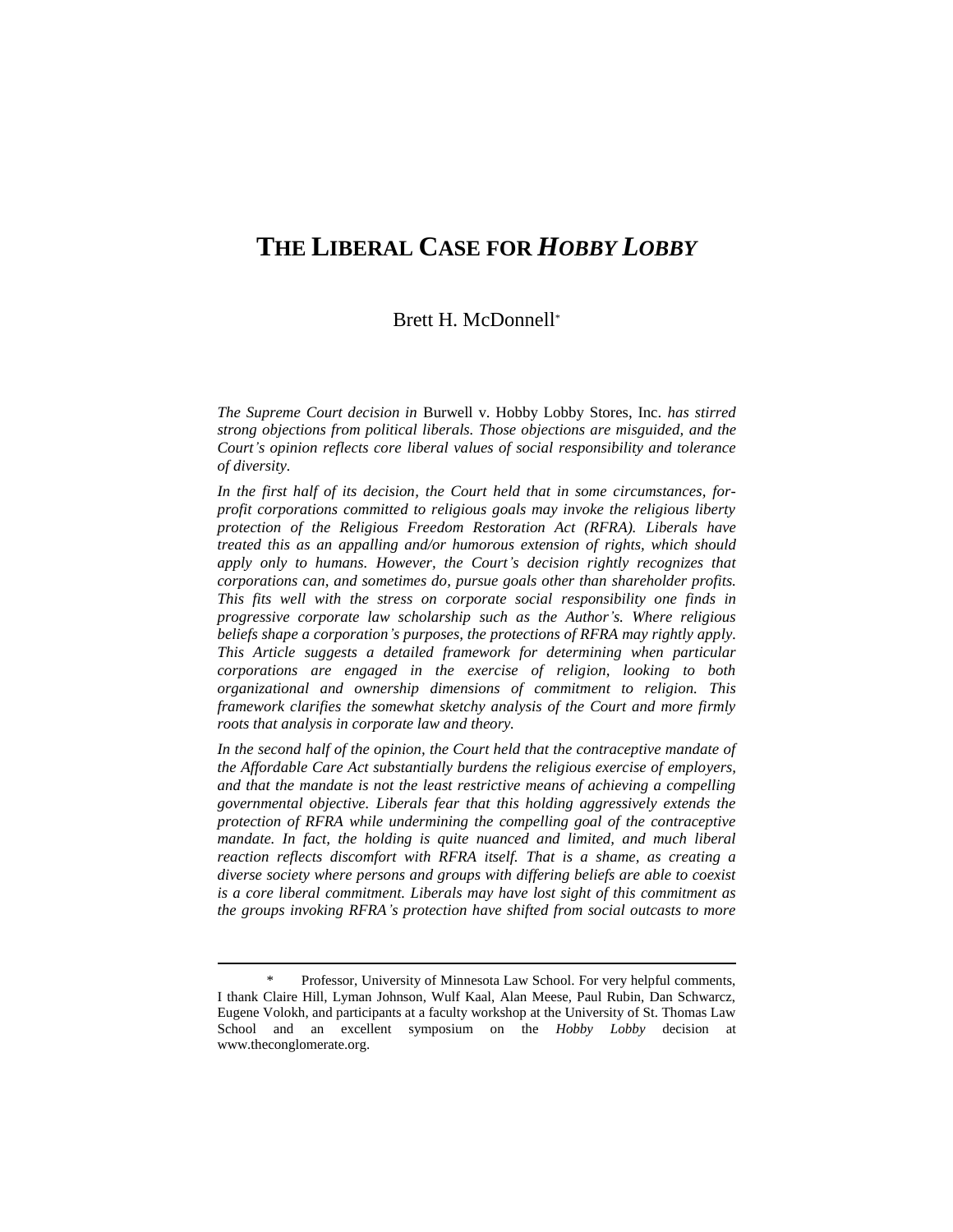# **THE LIBERAL CASE FOR** *HOBBY LOBBY*

# Brett H. McDonnell\*

*The Supreme Court decision in* Burwell v. Hobby Lobby Stores, Inc. *has stirred strong objections from political liberals. Those objections are misguided, and the Court's opinion reflects core liberal values of social responsibility and tolerance of diversity.*

*In the first half of its decision, the Court held that in some circumstances, forprofit corporations committed to religious goals may invoke the religious liberty protection of the Religious Freedom Restoration Act (RFRA). Liberals have treated this as an appalling and/or humorous extension of rights, which should apply only to humans. However, the Court's decision rightly recognizes that corporations can, and sometimes do, pursue goals other than shareholder profits. This fits well with the stress on corporate social responsibility one finds in progressive corporate law scholarship such as the Author's. Where religious beliefs shape a corporation's purposes, the protections of RFRA may rightly apply. This Article suggests a detailed framework for determining when particular corporations are engaged in the exercise of religion, looking to both organizational and ownership dimensions of commitment to religion. This framework clarifies the somewhat sketchy analysis of the Court and more firmly roots that analysis in corporate law and theory.*

*In the second half of the opinion, the Court held that the contraceptive mandate of the Affordable Care Act substantially burdens the religious exercise of employers, and that the mandate is not the least restrictive means of achieving a compelling governmental objective. Liberals fear that this holding aggressively extends the protection of RFRA while undermining the compelling goal of the contraceptive mandate. In fact, the holding is quite nuanced and limited, and much liberal reaction reflects discomfort with RFRA itself. That is a shame, as creating a diverse society where persons and groups with differing beliefs are able to coexist is a core liberal commitment. Liberals may have lost sight of this commitment as the groups invoking RFRA's protection have shifted from social outcasts to more* 

Professor, University of Minnesota Law School. For very helpful comments, I thank Claire Hill, Lyman Johnson, Wulf Kaal, Alan Meese, Paul Rubin, Dan Schwarcz, Eugene Volokh, and participants at a faculty workshop at the University of St. Thomas Law School and an excellent symposium on the *Hobby Lobby* decision at www.theconglomerate.org.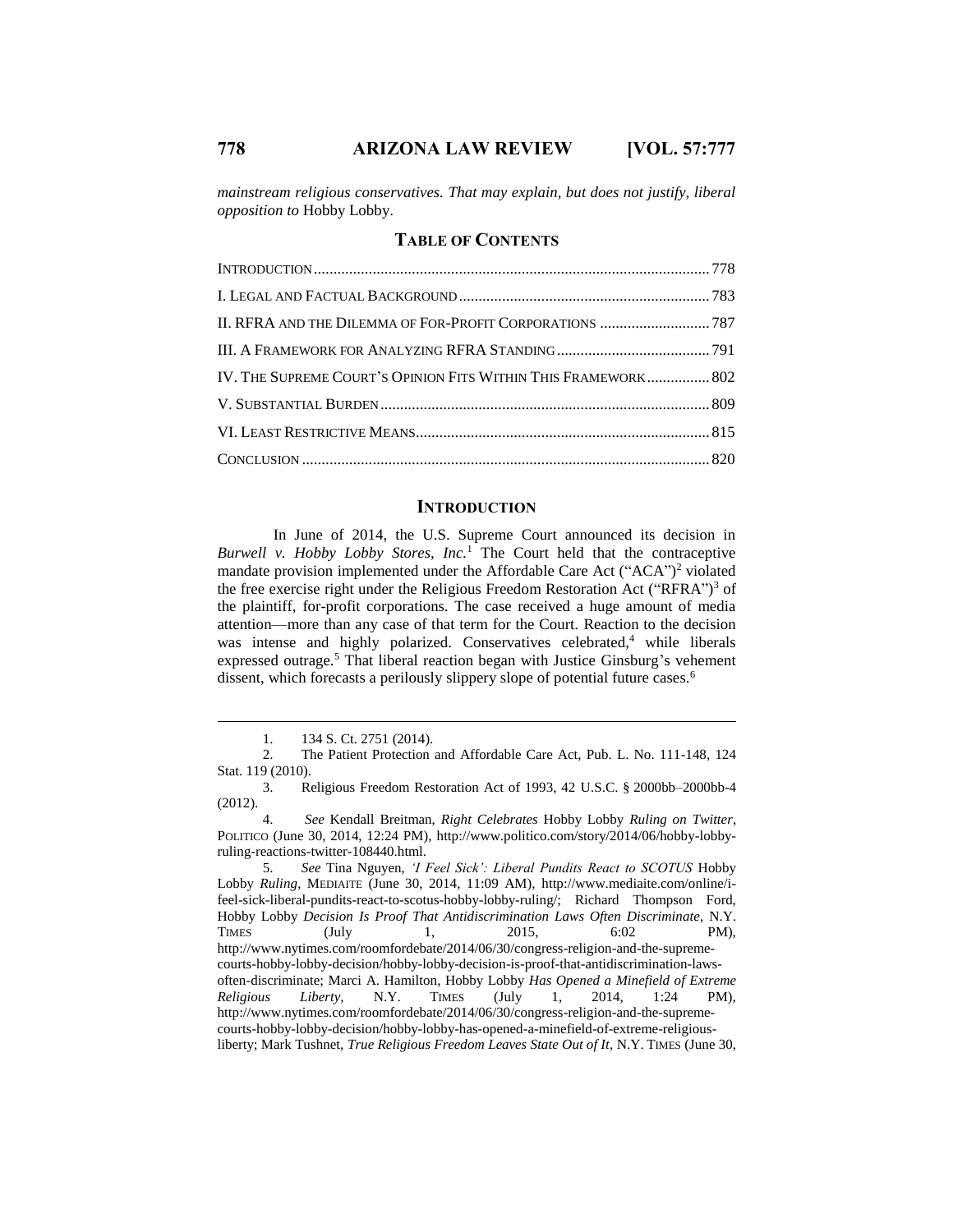*mainstream religious conservatives. That may explain, but does not justify, liberal opposition to* Hobby Lobby.

## **TABLE OF CONTENTS**

| II. RFRA AND THE DILEMMA OF FOR-PROFIT CORPORATIONS  787       |  |
|----------------------------------------------------------------|--|
|                                                                |  |
| IV. THE SUPREME COURT'S OPINION FITS WITHIN THIS FRAMEWORK 802 |  |
|                                                                |  |
|                                                                |  |
|                                                                |  |

#### **INTRODUCTION**

In June of 2014, the U.S. Supreme Court announced its decision in *Burwell v. Hobby Lobby Stores, Inc.*<sup>1</sup> The Court held that the contraceptive mandate provision implemented under the Affordable Care Act ("ACA")<sup>2</sup> violated the free exercise right under the Religious Freedom Restoration Act ("RFRA") <sup>3</sup> of the plaintiff, for-profit corporations. The case received a huge amount of media attention—more than any case of that term for the Court. Reaction to the decision was intense and highly polarized. Conservatives celebrated,<sup>4</sup> while liberals expressed outrage.<sup>5</sup> That liberal reaction began with Justice Ginsburg's vehement dissent, which forecasts a perilously slippery slope of potential future cases.<sup>6</sup>

5. *See* Tina Nguyen, *'I Feel Sick': Liberal Pundits React to SCOTUS* Hobby Lobby *Ruling*, MEDIAITE (June 30, 2014, 11:09 AM), http://www.mediaite.com/online/ifeel-sick-liberal-pundits-react-to-scotus-hobby-lobby-ruling/; Richard Thompson Ford, Hobby Lobby *Decision Is Proof That Antidiscrimination Laws Often Discriminate*, N.Y. TIMES (July 1, 2015, 6:02 PM), http://www.nytimes.com/roomfordebate/2014/06/30/congress-religion-and-the-supremecourts-hobby-lobby-decision/hobby-lobby-decision-is-proof-that-antidiscrimination-lawsoften-discriminate; Marci A. Hamilton, Hobby Lobby *Has Opened a Minefield of Extreme Religious Liberty*, N.Y. TIMES (July 1, 2014, 1:24 PM), http://www.nytimes.com/roomfordebate/2014/06/30/congress-religion-and-the-supremecourts-hobby-lobby-decision/hobby-lobby-has-opened-a-minefield-of-extreme-religiousliberty; Mark Tushnet, *True Religious Freedom Leaves State Out of It*, N.Y. TIMES (June 30,

<sup>1.</sup> 134 S. Ct. 2751 (2014).

<sup>2.</sup> The Patient Protection and Affordable Care Act, Pub. L. No. 111-148, 124 Stat. 119 (2010).

<sup>3.</sup> Religious Freedom Restoration Act of 1993, 42 U.S.C. § 2000bb–2000bb-4 (2012).

<sup>4.</sup> *See* Kendall Breitman, *Right Celebrates* Hobby Lobby *Ruling on Twitter*, POLITICO (June 30, 2014, 12:24 PM), http://www.politico.com/story/2014/06/hobby-lobbyruling-reactions-twitter-108440.html.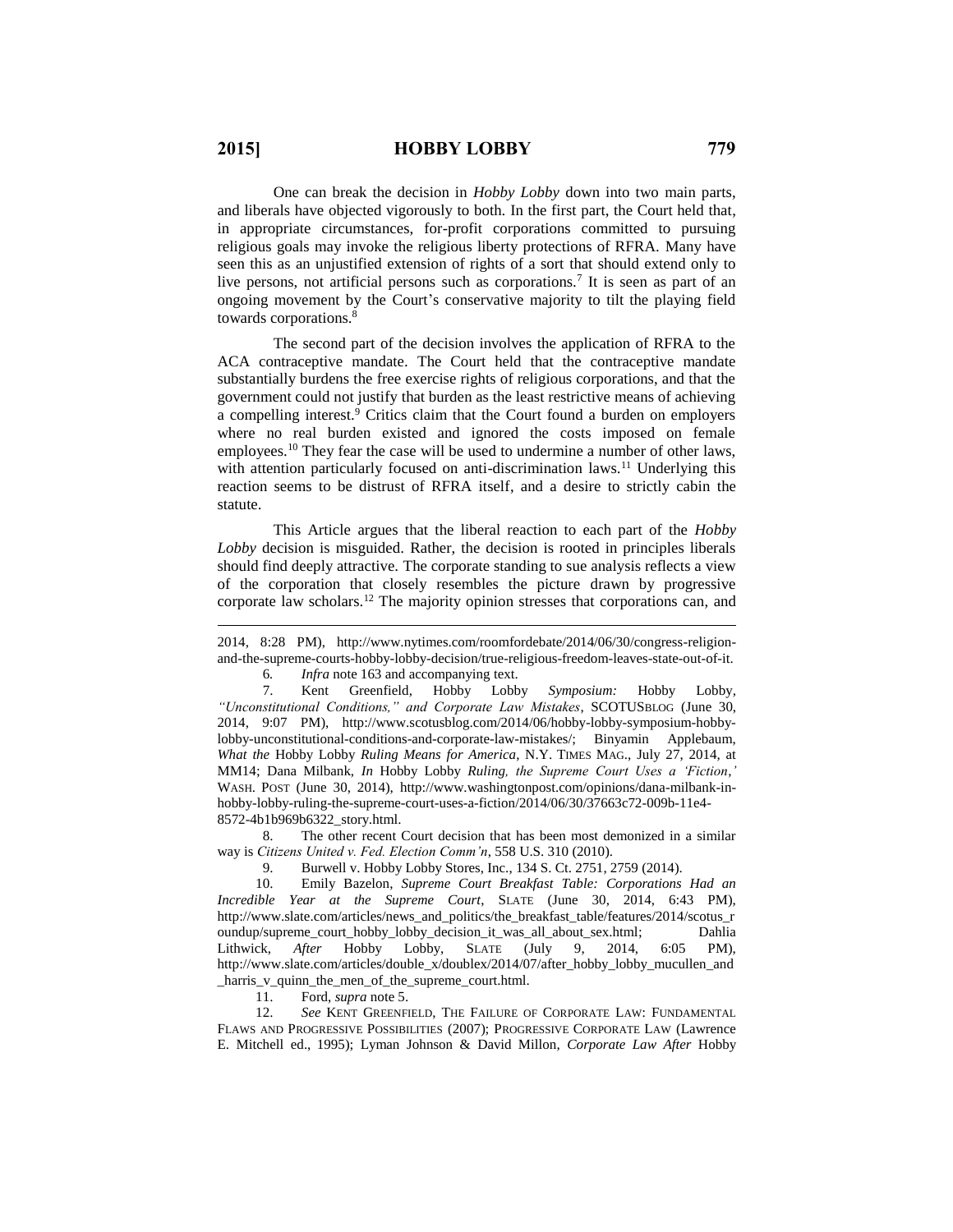One can break the decision in *Hobby Lobby* down into two main parts, and liberals have objected vigorously to both. In the first part, the Court held that, in appropriate circumstances, for-profit corporations committed to pursuing religious goals may invoke the religious liberty protections of RFRA. Many have seen this as an unjustified extension of rights of a sort that should extend only to live persons, not artificial persons such as corporations.<sup>7</sup> It is seen as part of an ongoing movement by the Court's conservative majority to tilt the playing field towards corporations.<sup>8</sup>

The second part of the decision involves the application of RFRA to the ACA contraceptive mandate. The Court held that the contraceptive mandate substantially burdens the free exercise rights of religious corporations, and that the government could not justify that burden as the least restrictive means of achieving a compelling interest.<sup>9</sup> Critics claim that the Court found a burden on employers where no real burden existed and ignored the costs imposed on female employees.<sup>10</sup> They fear the case will be used to undermine a number of other laws, with attention particularly focused on anti-discrimination laws.<sup>11</sup> Underlying this reaction seems to be distrust of RFRA itself, and a desire to strictly cabin the statute.

This Article argues that the liberal reaction to each part of the *Hobby Lobby* decision is misguided. Rather, the decision is rooted in principles liberals should find deeply attractive. The corporate standing to sue analysis reflects a view of the corporation that closely resembles the picture drawn by progressive corporate law scholars.<sup>12</sup> The majority opinion stresses that corporations can, and

6*. Infra* note 163 and accompanying text.

7. Kent Greenfield, Hobby Lobby *Symposium:* Hobby Lobby*, "Unconstitutional Conditions," and Corporate Law Mistakes*, SCOTUSBLOG (June 30, 2014, 9:07 PM), http://www.scotusblog.com/2014/06/hobby-lobby-symposium-hobbylobby-unconstitutional-conditions-and-corporate-law-mistakes/; Binyamin Applebaum, *What the* Hobby Lobby *Ruling Means for America*, N.Y. TIMES MAG., July 27, 2014, at MM14; Dana Milbank, *In* Hobby Lobby *Ruling, the Supreme Court Uses a 'Fiction*,*'*  WASH. POST (June 30, 2014), http://www.washingtonpost.com/opinions/dana-milbank-inhobby-lobby-ruling-the-supreme-court-uses-a-fiction/2014/06/30/37663c72-009b-11e4- 8572-4b1b969b6322\_story.html.

8. The other recent Court decision that has been most demonized in a similar way is *Citizens United v. Fed. Election Comm'n*, 558 U.S. 310 (2010).

9. Burwell v. Hobby Lobby Stores, Inc., 134 S. Ct. 2751, 2759 (2014).

10. Emily Bazelon, *Supreme Court Breakfast Table: Corporations Had an Incredible Year at the Supreme Court*, SLATE (June 30, 2014, 6:43 PM), http://www.slate.com/articles/news\_and\_politics/the\_breakfast\_table/features/2014/scotus\_r oundup/supreme\_court\_hobby\_lobby\_decision\_it\_was\_all\_about\_sex.html; Dahlia Lithwick, *After* Hobby Lobby, SLATE (July 9, 2014, 6:05 PM), http://www.slate.com/articles/double\_x/doublex/2014/07/after\_hobby\_lobby\_mucullen\_and \_harris\_v\_quinn\_the\_men\_of\_the\_supreme\_court.html.

11. Ford, *supra* note 5.

12. *See* KENT GREENFIELD, THE FAILURE OF CORPORATE LAW: FUNDAMENTAL FLAWS AND PROGRESSIVE POSSIBILITIES (2007); PROGRESSIVE CORPORATE LAW (Lawrence E. Mitchell ed., 1995); Lyman Johnson & David Millon, *Corporate Law After* Hobby

<sup>2014, 8:28</sup> PM), http://www.nytimes.com/roomfordebate/2014/06/30/congress-religionand-the-supreme-courts-hobby-lobby-decision/true-religious-freedom-leaves-state-out-of-it.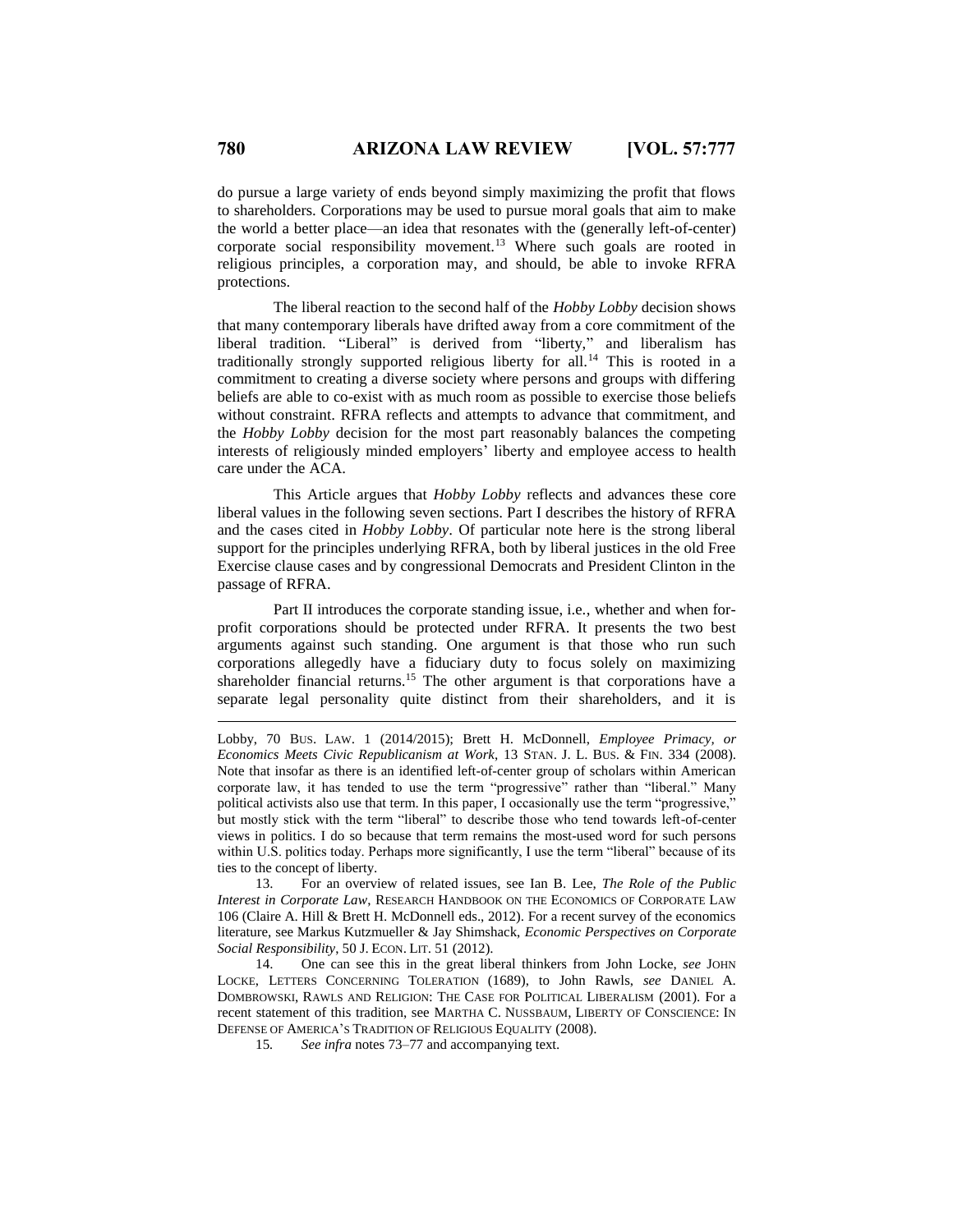do pursue a large variety of ends beyond simply maximizing the profit that flows to shareholders. Corporations may be used to pursue moral goals that aim to make the world a better place—an idea that resonates with the (generally left-of-center) corporate social responsibility movement.<sup>13</sup> Where such goals are rooted in religious principles, a corporation may, and should, be able to invoke RFRA protections.

The liberal reaction to the second half of the *Hobby Lobby* decision shows that many contemporary liberals have drifted away from a core commitment of the liberal tradition. "Liberal" is derived from "liberty," and liberalism has traditionally strongly supported religious liberty for all.<sup>14</sup> This is rooted in a commitment to creating a diverse society where persons and groups with differing beliefs are able to co-exist with as much room as possible to exercise those beliefs without constraint. RFRA reflects and attempts to advance that commitment, and the *Hobby Lobby* decision for the most part reasonably balances the competing interests of religiously minded employers' liberty and employee access to health care under the ACA.

This Article argues that *Hobby Lobby* reflects and advances these core liberal values in the following seven sections. Part I describes the history of RFRA and the cases cited in *Hobby Lobby*. Of particular note here is the strong liberal support for the principles underlying RFRA, both by liberal justices in the old Free Exercise clause cases and by congressional Democrats and President Clinton in the passage of RFRA.

Part II introduces the corporate standing issue, i.e., whether and when forprofit corporations should be protected under RFRA. It presents the two best arguments against such standing. One argument is that those who run such corporations allegedly have a fiduciary duty to focus solely on maximizing shareholder financial returns.<sup>15</sup> The other argument is that corporations have a separate legal personality quite distinct from their shareholders, and it is

13. For an overview of related issues, see Ian B. Lee, *The Role of the Public Interest in Corporate Law*, RESEARCH HANDBOOK ON THE ECONOMICS OF CORPORATE LAW 106 (Claire A. Hill & Brett H. McDonnell eds., 2012). For a recent survey of the economics literature, see Markus Kutzmueller & Jay Shimshack, *Economic Perspectives on Corporate Social Responsibility*, 50 J. ECON. LIT. 51 (2012).

14. One can see this in the great liberal thinkers from John Locke, *see* JOHN LOCKE, LETTERS CONCERNING TOLERATION (1689), to John Rawls, *see* DANIEL A. DOMBROWSKI, RAWLS AND RELIGION: THE CASE FOR POLITICAL LIBERALISM (2001). For a recent statement of this tradition, see MARTHA C. NUSSBAUM, LIBERTY OF CONSCIENCE: IN DEFENSE OF AMERICA'S TRADITION OF RELIGIOUS EQUALITY (2008).

15*. See infra* notes 73–77 and accompanying text.

Lobby, 70 BUS. LAW. 1 (2014/2015); Brett H. McDonnell, *Employee Primacy, or Economics Meets Civic Republicanism at Work*, 13 STAN. J. L. BUS. & FIN. 334 (2008). Note that insofar as there is an identified left-of-center group of scholars within American corporate law, it has tended to use the term "progressive" rather than "liberal." Many political activists also use that term. In this paper, I occasionally use the term "progressive," but mostly stick with the term "liberal" to describe those who tend towards left-of-center views in politics. I do so because that term remains the most-used word for such persons within U.S. politics today. Perhaps more significantly, I use the term "liberal" because of its ties to the concept of liberty.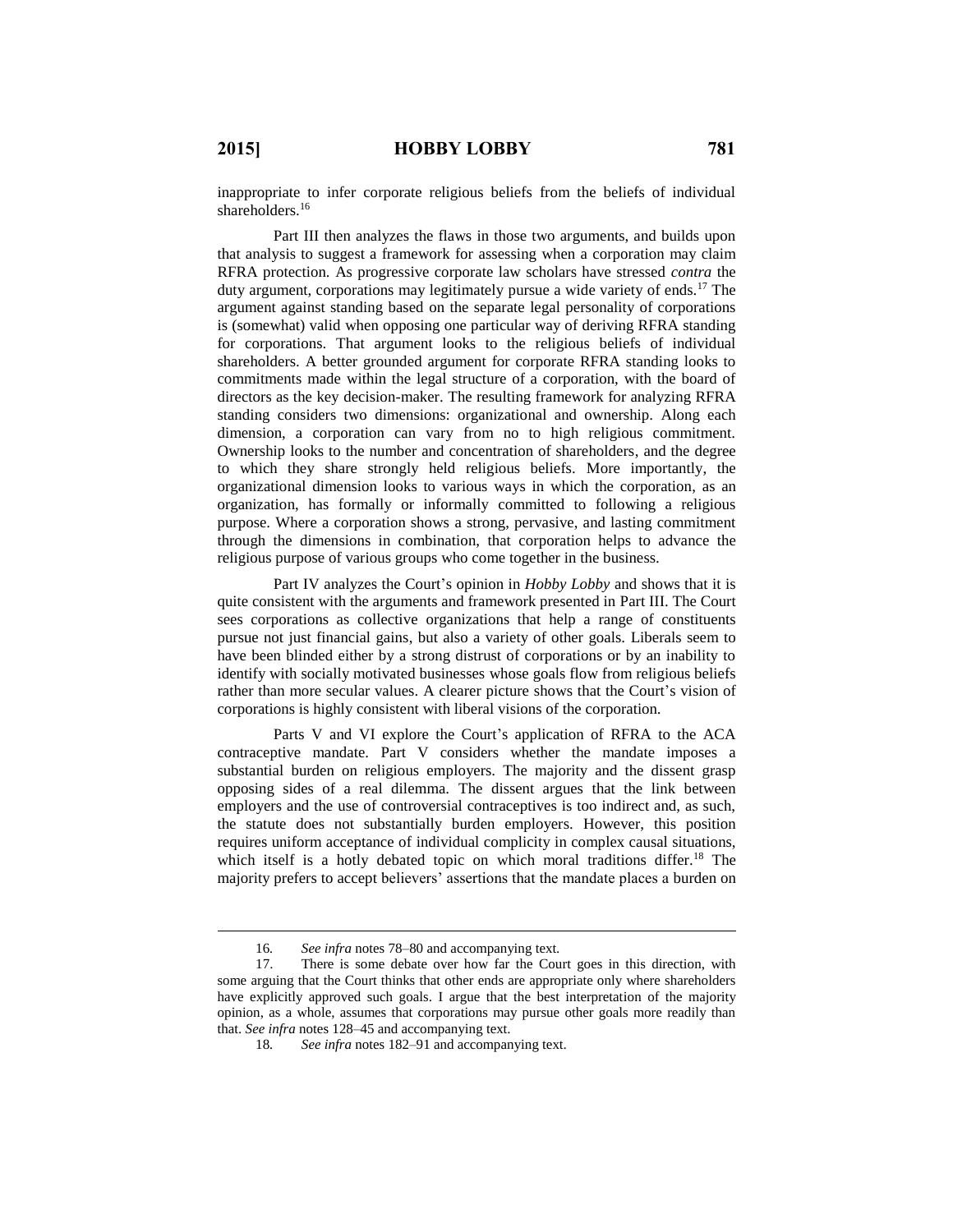$\overline{a}$ 

inappropriate to infer corporate religious beliefs from the beliefs of individual shareholders.<sup>16</sup>

Part III then analyzes the flaws in those two arguments, and builds upon that analysis to suggest a framework for assessing when a corporation may claim RFRA protection. As progressive corporate law scholars have stressed *contra* the duty argument, corporations may legitimately pursue a wide variety of ends.<sup>17</sup> The argument against standing based on the separate legal personality of corporations is (somewhat) valid when opposing one particular way of deriving RFRA standing for corporations. That argument looks to the religious beliefs of individual shareholders. A better grounded argument for corporate RFRA standing looks to commitments made within the legal structure of a corporation, with the board of directors as the key decision-maker. The resulting framework for analyzing RFRA standing considers two dimensions: organizational and ownership. Along each dimension, a corporation can vary from no to high religious commitment. Ownership looks to the number and concentration of shareholders, and the degree to which they share strongly held religious beliefs. More importantly, the organizational dimension looks to various ways in which the corporation, as an organization, has formally or informally committed to following a religious purpose. Where a corporation shows a strong, pervasive, and lasting commitment through the dimensions in combination, that corporation helps to advance the religious purpose of various groups who come together in the business.

Part IV analyzes the Court's opinion in *Hobby Lobby* and shows that it is quite consistent with the arguments and framework presented in Part III. The Court sees corporations as collective organizations that help a range of constituents pursue not just financial gains, but also a variety of other goals. Liberals seem to have been blinded either by a strong distrust of corporations or by an inability to identify with socially motivated businesses whose goals flow from religious beliefs rather than more secular values. A clearer picture shows that the Court's vision of corporations is highly consistent with liberal visions of the corporation.

Parts V and VI explore the Court's application of RFRA to the ACA contraceptive mandate. Part V considers whether the mandate imposes a substantial burden on religious employers. The majority and the dissent grasp opposing sides of a real dilemma. The dissent argues that the link between employers and the use of controversial contraceptives is too indirect and, as such, the statute does not substantially burden employers. However, this position requires uniform acceptance of individual complicity in complex causal situations, which itself is a hotly debated topic on which moral traditions differ.<sup>18</sup> The majority prefers to accept believers' assertions that the mandate places a burden on

<sup>16</sup>*. See infra* notes 78–80 and accompanying text.

<sup>17.</sup> There is some debate over how far the Court goes in this direction, with some arguing that the Court thinks that other ends are appropriate only where shareholders have explicitly approved such goals. I argue that the best interpretation of the majority opinion, as a whole, assumes that corporations may pursue other goals more readily than that. *See infra* notes 128–45 and accompanying text.

<sup>18</sup>*. See infra* notes 182–91 and accompanying text.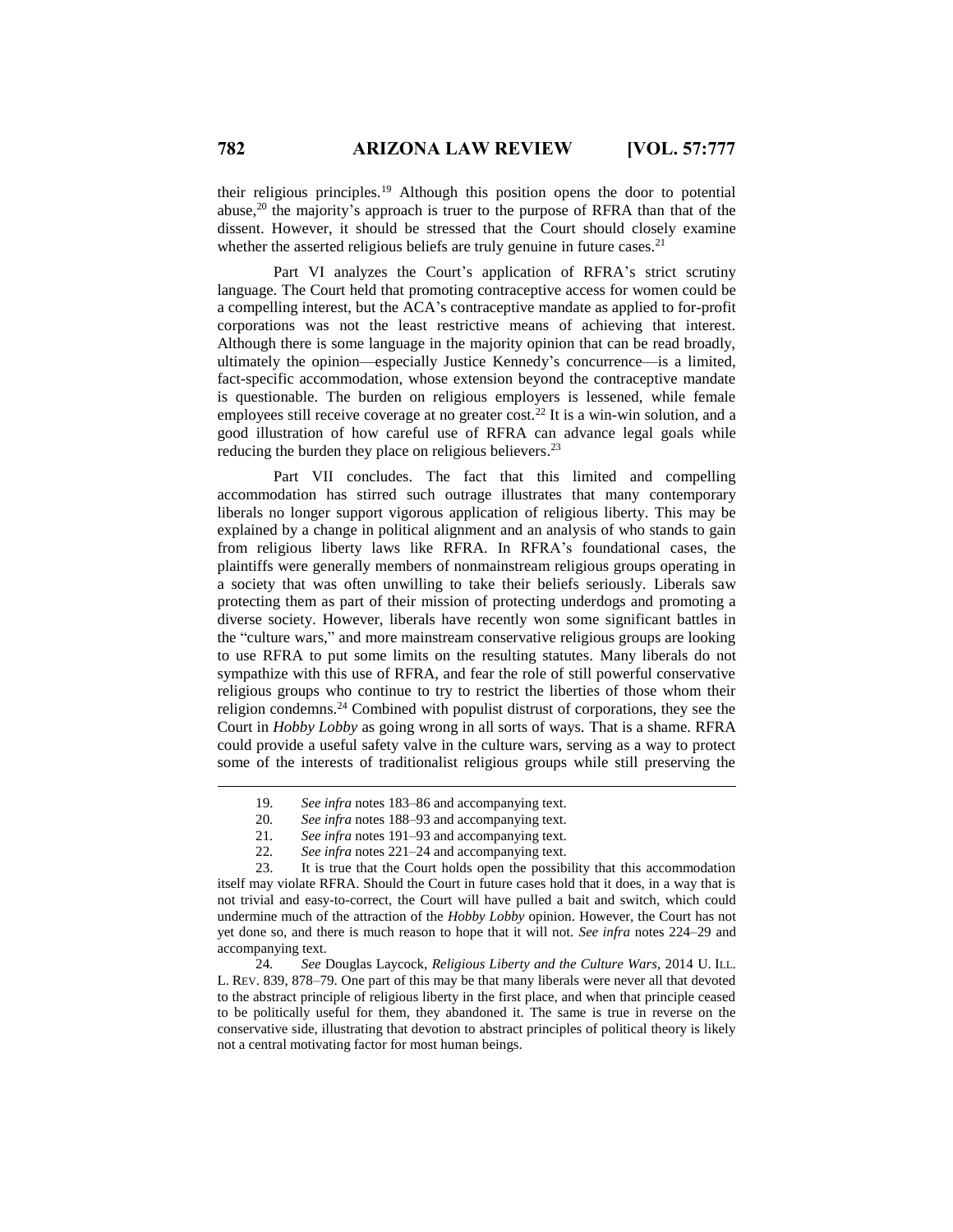their religious principles.<sup>19</sup> Although this position opens the door to potential abuse,<sup>20</sup> the majority's approach is truer to the purpose of RFRA than that of the dissent. However, it should be stressed that the Court should closely examine whether the asserted religious beliefs are truly genuine in future cases.<sup>21</sup>

Part VI analyzes the Court's application of RFRA's strict scrutiny language. The Court held that promoting contraceptive access for women could be a compelling interest, but the ACA's contraceptive mandate as applied to for-profit corporations was not the least restrictive means of achieving that interest. Although there is some language in the majority opinion that can be read broadly, ultimately the opinion—especially Justice Kennedy's concurrence—is a limited, fact-specific accommodation, whose extension beyond the contraceptive mandate is questionable. The burden on religious employers is lessened, while female employees still receive coverage at no greater cost.<sup>22</sup> It is a win-win solution, and a good illustration of how careful use of RFRA can advance legal goals while reducing the burden they place on religious believers.<sup>23</sup>

Part VII concludes. The fact that this limited and compelling accommodation has stirred such outrage illustrates that many contemporary liberals no longer support vigorous application of religious liberty. This may be explained by a change in political alignment and an analysis of who stands to gain from religious liberty laws like RFRA. In RFRA's foundational cases, the plaintiffs were generally members of nonmainstream religious groups operating in a society that was often unwilling to take their beliefs seriously. Liberals saw protecting them as part of their mission of protecting underdogs and promoting a diverse society. However, liberals have recently won some significant battles in the "culture wars," and more mainstream conservative religious groups are looking to use RFRA to put some limits on the resulting statutes. Many liberals do not sympathize with this use of RFRA, and fear the role of still powerful conservative religious groups who continue to try to restrict the liberties of those whom their religion condemns.<sup>24</sup> Combined with populist distrust of corporations, they see the Court in *Hobby Lobby* as going wrong in all sorts of ways. That is a shame. RFRA could provide a useful safety valve in the culture wars, serving as a way to protect some of the interests of traditionalist religious groups while still preserving the

- 21*. See infra* notes 191–93 and accompanying text.
- 22*. See infra* notes 221–24 and accompanying text.

23. It is true that the Court holds open the possibility that this accommodation itself may violate RFRA. Should the Court in future cases hold that it does, in a way that is not trivial and easy-to-correct, the Court will have pulled a bait and switch, which could undermine much of the attraction of the *Hobby Lobby* opinion. However, the Court has not yet done so, and there is much reason to hope that it will not. *See infra* notes 224–29 and accompanying text.

24*. See* Douglas Laycock, *Religious Liberty and the Culture Wars*, 2014 U. ILL. L. REV. 839, 878–79. One part of this may be that many liberals were never all that devoted to the abstract principle of religious liberty in the first place, and when that principle ceased to be politically useful for them, they abandoned it. The same is true in reverse on the conservative side, illustrating that devotion to abstract principles of political theory is likely not a central motivating factor for most human beings.

<sup>19.</sup> *See infra* notes 183–86 and accompanying text.

<sup>20</sup>*. See infra* notes 188–93 and accompanying text.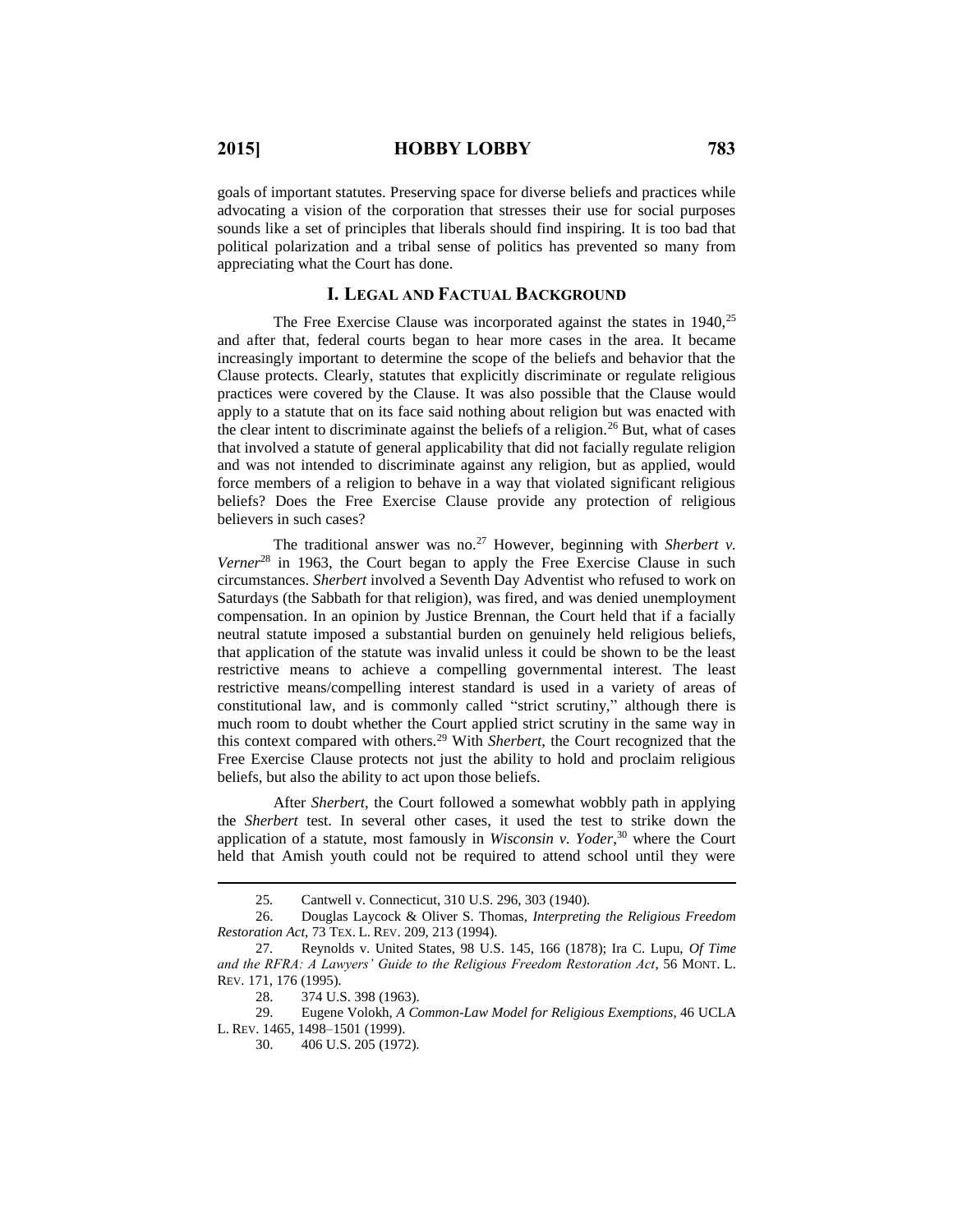goals of important statutes. Preserving space for diverse beliefs and practices while advocating a vision of the corporation that stresses their use for social purposes sounds like a set of principles that liberals should find inspiring. It is too bad that political polarization and a tribal sense of politics has prevented so many from appreciating what the Court has done.

#### **I. LEGAL AND FACTUAL BACKGROUND**

The Free Exercise Clause was incorporated against the states in 1940,<sup>25</sup> and after that, federal courts began to hear more cases in the area. It became increasingly important to determine the scope of the beliefs and behavior that the Clause protects. Clearly, statutes that explicitly discriminate or regulate religious practices were covered by the Clause. It was also possible that the Clause would apply to a statute that on its face said nothing about religion but was enacted with the clear intent to discriminate against the beliefs of a religion.<sup>26</sup> But, what of cases that involved a statute of general applicability that did not facially regulate religion and was not intended to discriminate against any religion, but as applied, would force members of a religion to behave in a way that violated significant religious beliefs? Does the Free Exercise Clause provide any protection of religious believers in such cases?

The traditional answer was no.<sup>27</sup> However, beginning with *Sherbert v*. *Verner*<sup>28</sup> in 1963, the Court began to apply the Free Exercise Clause in such circumstances. *Sherbert* involved a Seventh Day Adventist who refused to work on Saturdays (the Sabbath for that religion), was fired, and was denied unemployment compensation. In an opinion by Justice Brennan, the Court held that if a facially neutral statute imposed a substantial burden on genuinely held religious beliefs, that application of the statute was invalid unless it could be shown to be the least restrictive means to achieve a compelling governmental interest. The least restrictive means/compelling interest standard is used in a variety of areas of constitutional law, and is commonly called "strict scrutiny," although there is much room to doubt whether the Court applied strict scrutiny in the same way in this context compared with others.<sup>29</sup> With *Sherbert*, the Court recognized that the Free Exercise Clause protects not just the ability to hold and proclaim religious beliefs, but also the ability to act upon those beliefs.

After *Sherbert*, the Court followed a somewhat wobbly path in applying the *Sherbert* test. In several other cases, it used the test to strike down the application of a statute, most famously in *Wisconsin v. Yoder*, <sup>30</sup> where the Court held that Amish youth could not be required to attend school until they were

 $\overline{a}$ 

29. Eugene Volokh, *A Common-Law Model for Religious Exemptions*, 46 UCLA L. REV. 1465, 1498–1501 (1999).

<sup>25</sup>*.* Cantwell v. Connecticut, 310 U.S. 296, 303 (1940).

<sup>26.</sup> Douglas Laycock & Oliver S. Thomas, *Interpreting the Religious Freedom Restoration Act*, 73 TEX. L. REV. 209, 213 (1994).

<sup>27</sup>*.* Reynolds v. United States, 98 U.S. 145, 166 (1878); Ira C. Lupu, *Of Time and the RFRA: A Lawyers' Guide to the Religious Freedom Restoration Act*, 56 MONT. L. REV. 171, 176 (1995).

<sup>28.</sup> 374 U.S. 398 (1963).

<sup>30.</sup> 406 U.S. 205 (1972).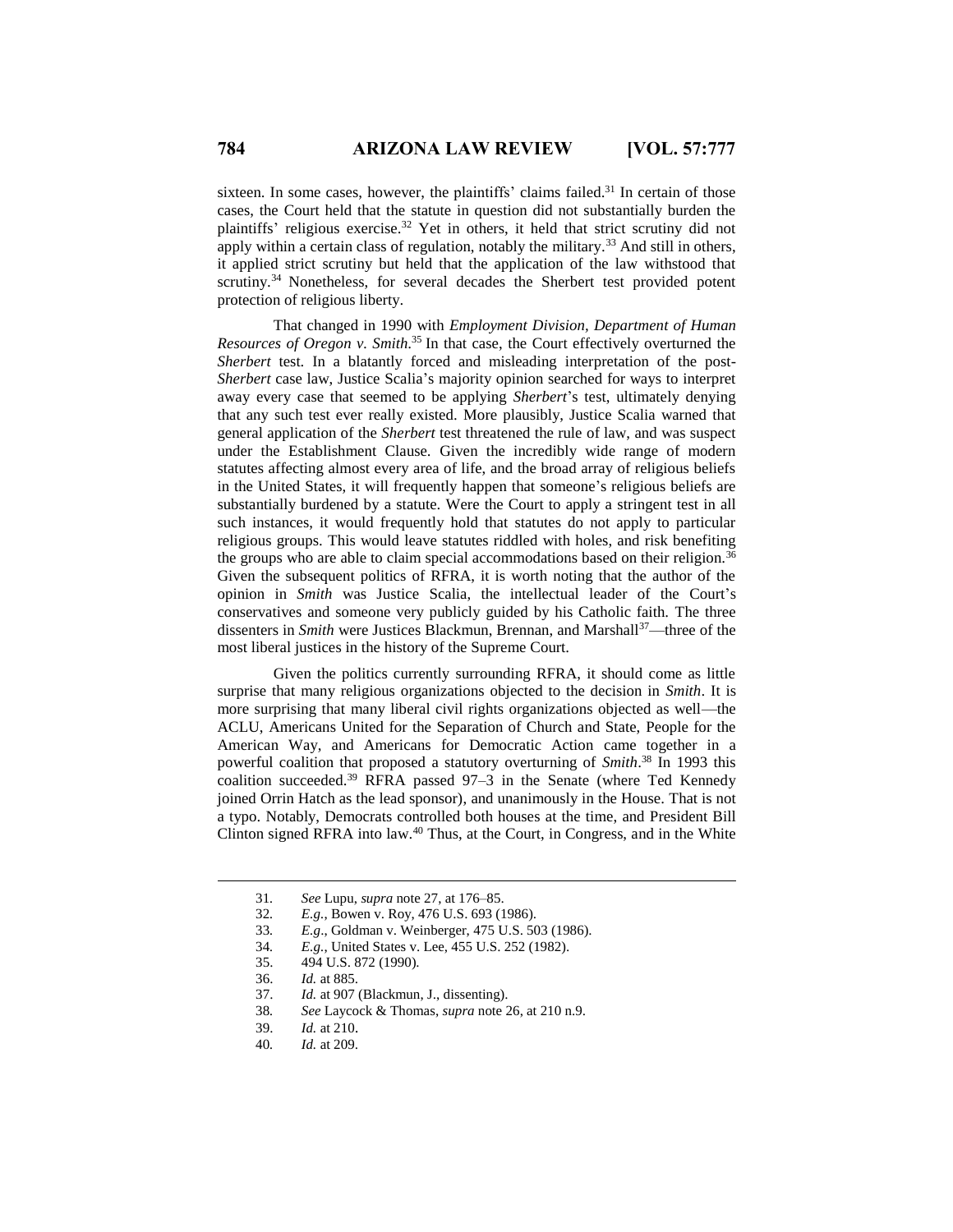sixteen. In some cases, however, the plaintiffs' claims failed.<sup>31</sup> In certain of those cases, the Court held that the statute in question did not substantially burden the plaintiffs' religious exercise.<sup>32</sup> Yet in others, it held that strict scrutiny did not apply within a certain class of regulation, notably the military.<sup>33</sup> And still in others, it applied strict scrutiny but held that the application of the law withstood that scrutiny.<sup>34</sup> Nonetheless, for several decades the Sherbert test provided potent protection of religious liberty.

That changed in 1990 with *Employment Division, Department of Human Resources of Oregon v. Smith*. <sup>35</sup> In that case, the Court effectively overturned the *Sherbert* test. In a blatantly forced and misleading interpretation of the post-*Sherbert* case law, Justice Scalia's majority opinion searched for ways to interpret away every case that seemed to be applying *Sherbert*'s test, ultimately denying that any such test ever really existed. More plausibly, Justice Scalia warned that general application of the *Sherbert* test threatened the rule of law, and was suspect under the Establishment Clause. Given the incredibly wide range of modern statutes affecting almost every area of life, and the broad array of religious beliefs in the United States, it will frequently happen that someone's religious beliefs are substantially burdened by a statute. Were the Court to apply a stringent test in all such instances, it would frequently hold that statutes do not apply to particular religious groups. This would leave statutes riddled with holes, and risk benefiting the groups who are able to claim special accommodations based on their religion.<sup>3</sup> Given the subsequent politics of RFRA, it is worth noting that the author of the opinion in *Smith* was Justice Scalia, the intellectual leader of the Court's conservatives and someone very publicly guided by his Catholic faith. The three dissenters in *Smith* were Justices Blackmun, Brennan, and Marshall<sup>37</sup>—three of the most liberal justices in the history of the Supreme Court.

Given the politics currently surrounding RFRA, it should come as little surprise that many religious organizations objected to the decision in *Smith*. It is more surprising that many liberal civil rights organizations objected as well—the ACLU, Americans United for the Separation of Church and State, People for the American Way, and Americans for Democratic Action came together in a powerful coalition that proposed a statutory overturning of *Smith*. <sup>38</sup> In 1993 this coalition succeeded.<sup>39</sup> RFRA passed 97–3 in the Senate (where Ted Kennedy joined Orrin Hatch as the lead sponsor), and unanimously in the House. That is not a typo. Notably, Democrats controlled both houses at the time, and President Bill Clinton signed RFRA into law.<sup>40</sup> Thus, at the Court, in Congress, and in the White

 $\overline{a}$ 

40*. Id.* at 209.

<sup>31</sup>*. See* Lupu, *supra* note 27, at 176–85.

<sup>32</sup>*. E.g.*, Bowen v. Roy, 476 U.S. 693 (1986).

<sup>33</sup>*. E.g*., Goldman v. Weinberger, 475 U.S. 503 (1986).

<sup>34</sup>*. E.g.*, United States v. Lee, 455 U.S. 252 (1982).

<sup>35.</sup> 494 U.S. 872 (1990).

<sup>36.</sup> *Id.* at 885.

<sup>37.</sup> *Id.* at 907 (Blackmun, J., dissenting).

<sup>38</sup>*. See* Laycock & Thomas, *supra* note 26, at 210 n.9.

<sup>39.</sup> *Id.* at 210.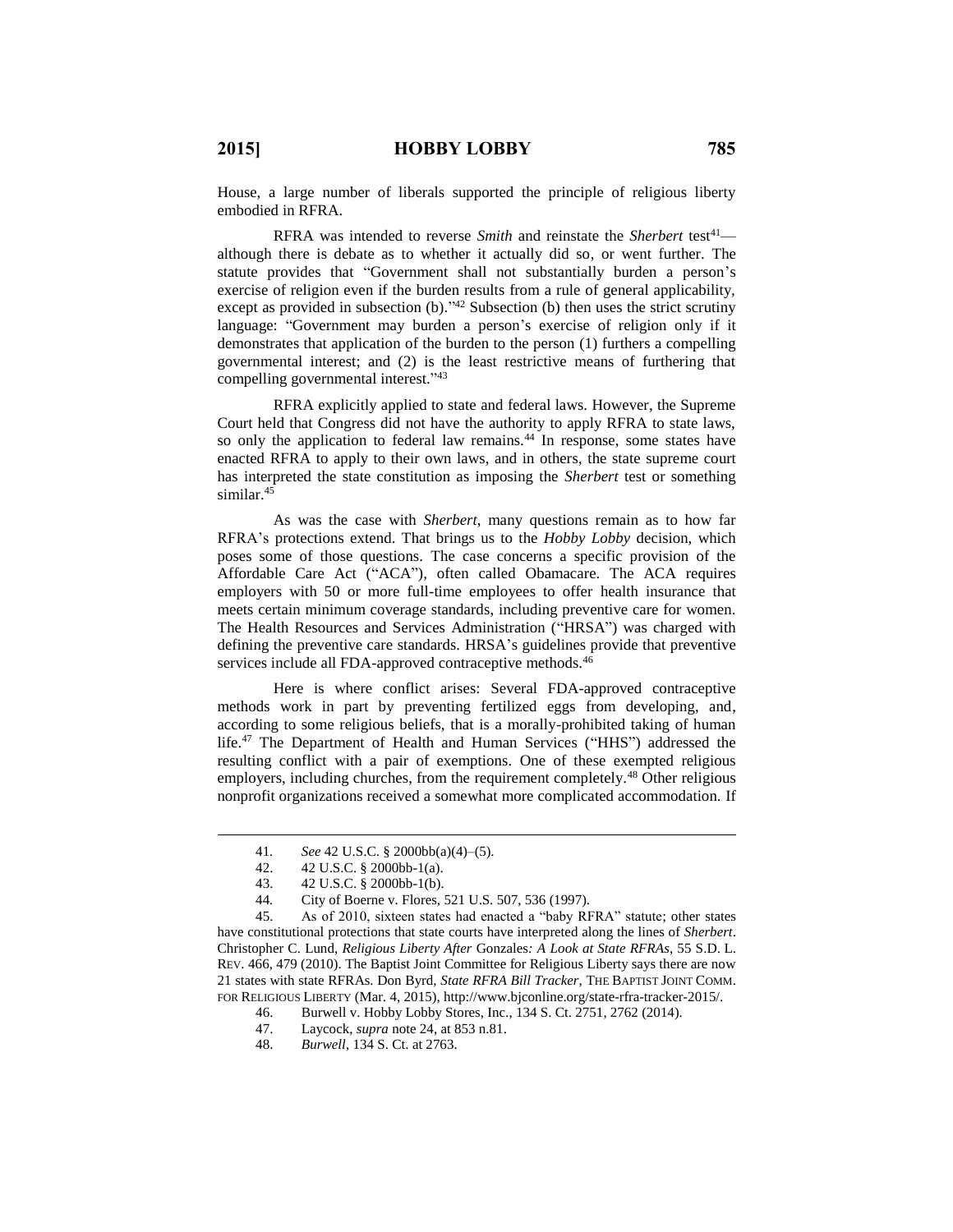House, a large number of liberals supported the principle of religious liberty embodied in RFRA.

RFRA was intended to reverse *Smith* and reinstate the *Sherbert* test<sup>41</sup> although there is debate as to whether it actually did so, or went further. The statute provides that "Government shall not substantially burden a person's exercise of religion even if the burden results from a rule of general applicability, except as provided in subsection  $(b)$ ."<sup>42</sup> Subsection  $(b)$  then uses the strict scrutiny language: "Government may burden a person's exercise of religion only if it demonstrates that application of the burden to the person (1) furthers a compelling governmental interest; and (2) is the least restrictive means of furthering that compelling governmental interest." 43

RFRA explicitly applied to state and federal laws. However, the Supreme Court held that Congress did not have the authority to apply RFRA to state laws, so only the application to federal law remains.<sup>44</sup> In response, some states have enacted RFRA to apply to their own laws, and in others, the state supreme court has interpreted the state constitution as imposing the *Sherbert* test or something similar.<sup>45</sup>

As was the case with *Sherbert*, many questions remain as to how far RFRA's protections extend. That brings us to the *Hobby Lobby* decision, which poses some of those questions. The case concerns a specific provision of the Affordable Care Act ("ACA"), often called Obamacare. The ACA requires employers with 50 or more full-time employees to offer health insurance that meets certain minimum coverage standards, including preventive care for women. The Health Resources and Services Administration ("HRSA") was charged with defining the preventive care standards. HRSA's guidelines provide that preventive services include all FDA-approved contraceptive methods.<sup>46</sup>

Here is where conflict arises: Several FDA-approved contraceptive methods work in part by preventing fertilized eggs from developing, and, according to some religious beliefs, that is a morally-prohibited taking of human life.<sup>47</sup> The Department of Health and Human Services ("HHS") addressed the resulting conflict with a pair of exemptions. One of these exempted religious employers, including churches, from the requirement completely.<sup>48</sup> Other religious nonprofit organizations received a somewhat more complicated accommodation. If

 $\overline{a}$ 

45. As of 2010, sixteen states had enacted a "baby RFRA" statute; other states have constitutional protections that state courts have interpreted along the lines of *Sherbert*. Christopher C. Lund, *Religious Liberty After* Gonzales*: A Look at State RFRAs*, 55 S.D. L. REV. 466, 479 (2010). The Baptist Joint Committee for Religious Liberty says there are now 21 states with state RFRAs. Don Byrd, *State RFRA Bill Tracker*, THE BAPTIST JOINT COMM. FOR RELIGIOUS LIBERTY (Mar. 4, 2015), http://www.bjconline.org/state-rfra-tracker-2015/.

48. *Burwell*, 134 S. Ct. at 2763.

<sup>41</sup>*. See* 42 U.S.C. § 2000bb(a)(4)–(5).

<sup>42.</sup> 42 U.S.C. § 2000bb-1(a).

<sup>43.</sup> 42 U.S.C. § 2000bb-1(b).

<sup>44</sup>*.* City of Boerne v. Flores, 521 U.S. 507, 536 (1997).

<sup>46.</sup> Burwell v. Hobby Lobby Stores, Inc., 134 S. Ct. 2751, 2762 (2014).

<sup>47.</sup> Laycock, *supra* note 24, at 853 n.81.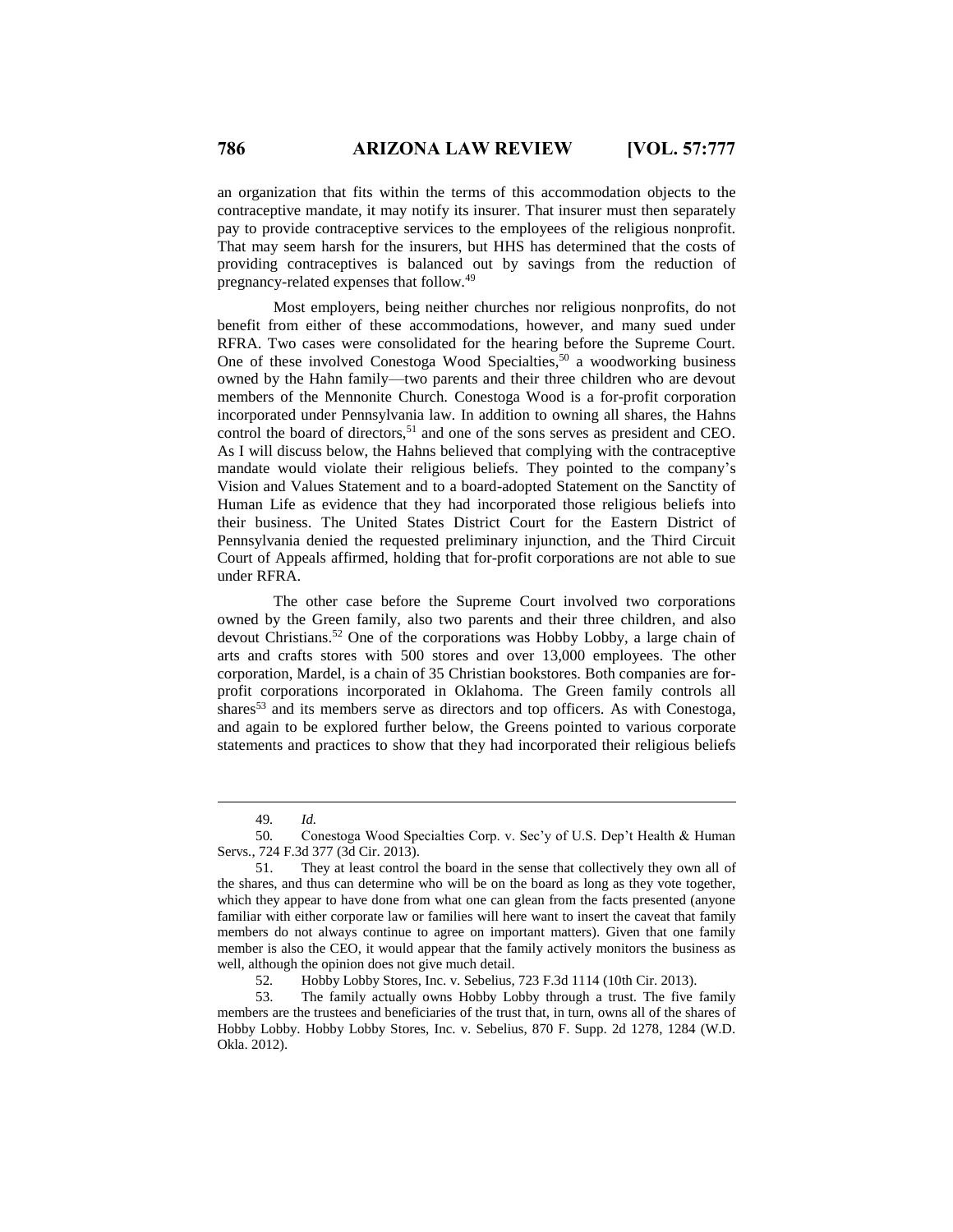an organization that fits within the terms of this accommodation objects to the contraceptive mandate, it may notify its insurer. That insurer must then separately pay to provide contraceptive services to the employees of the religious nonprofit. That may seem harsh for the insurers, but HHS has determined that the costs of providing contraceptives is balanced out by savings from the reduction of pregnancy-related expenses that follow. 49

Most employers, being neither churches nor religious nonprofits, do not benefit from either of these accommodations, however, and many sued under RFRA. Two cases were consolidated for the hearing before the Supreme Court. One of these involved Conestoga Wood Specialties,<sup>50</sup> a woodworking business owned by the Hahn family—two parents and their three children who are devout members of the Mennonite Church. Conestoga Wood is a for-profit corporation incorporated under Pennsylvania law. In addition to owning all shares, the Hahns control the board of directors,<sup>51</sup> and one of the sons serves as president and CEO. As I will discuss below, the Hahns believed that complying with the contraceptive mandate would violate their religious beliefs. They pointed to the company's Vision and Values Statement and to a board-adopted Statement on the Sanctity of Human Life as evidence that they had incorporated those religious beliefs into their business. The United States District Court for the Eastern District of Pennsylvania denied the requested preliminary injunction, and the Third Circuit Court of Appeals affirmed, holding that for-profit corporations are not able to sue under RFRA.

The other case before the Supreme Court involved two corporations owned by the Green family, also two parents and their three children, and also devout Christians. <sup>52</sup> One of the corporations was Hobby Lobby, a large chain of arts and crafts stores with 500 stores and over 13,000 employees. The other corporation, Mardel, is a chain of 35 Christian bookstores. Both companies are forprofit corporations incorporated in Oklahoma. The Green family controls all shares<sup>53</sup> and its members serve as directors and top officers. As with Conestoga, and again to be explored further below, the Greens pointed to various corporate statements and practices to show that they had incorporated their religious beliefs

<sup>49</sup>*. Id.*

<sup>50</sup>*.* Conestoga Wood Specialties Corp. v. Sec'y of U.S. Dep't Health & Human Servs*.*, 724 F.3d 377 (3d Cir. 2013).

<sup>51.</sup> They at least control the board in the sense that collectively they own all of the shares, and thus can determine who will be on the board as long as they vote together, which they appear to have done from what one can glean from the facts presented (anyone familiar with either corporate law or families will here want to insert the caveat that family members do not always continue to agree on important matters). Given that one family member is also the CEO, it would appear that the family actively monitors the business as well, although the opinion does not give much detail.

<sup>52</sup>*.* Hobby Lobby Stores, Inc. v. Sebelius, 723 F.3d 1114 (10th Cir. 2013).

<sup>53.</sup> The family actually owns Hobby Lobby through a trust. The five family members are the trustees and beneficiaries of the trust that, in turn, owns all of the shares of Hobby Lobby. Hobby Lobby Stores, Inc. v. Sebelius, 870 F. Supp. 2d 1278, 1284 (W.D. Okla. 2012).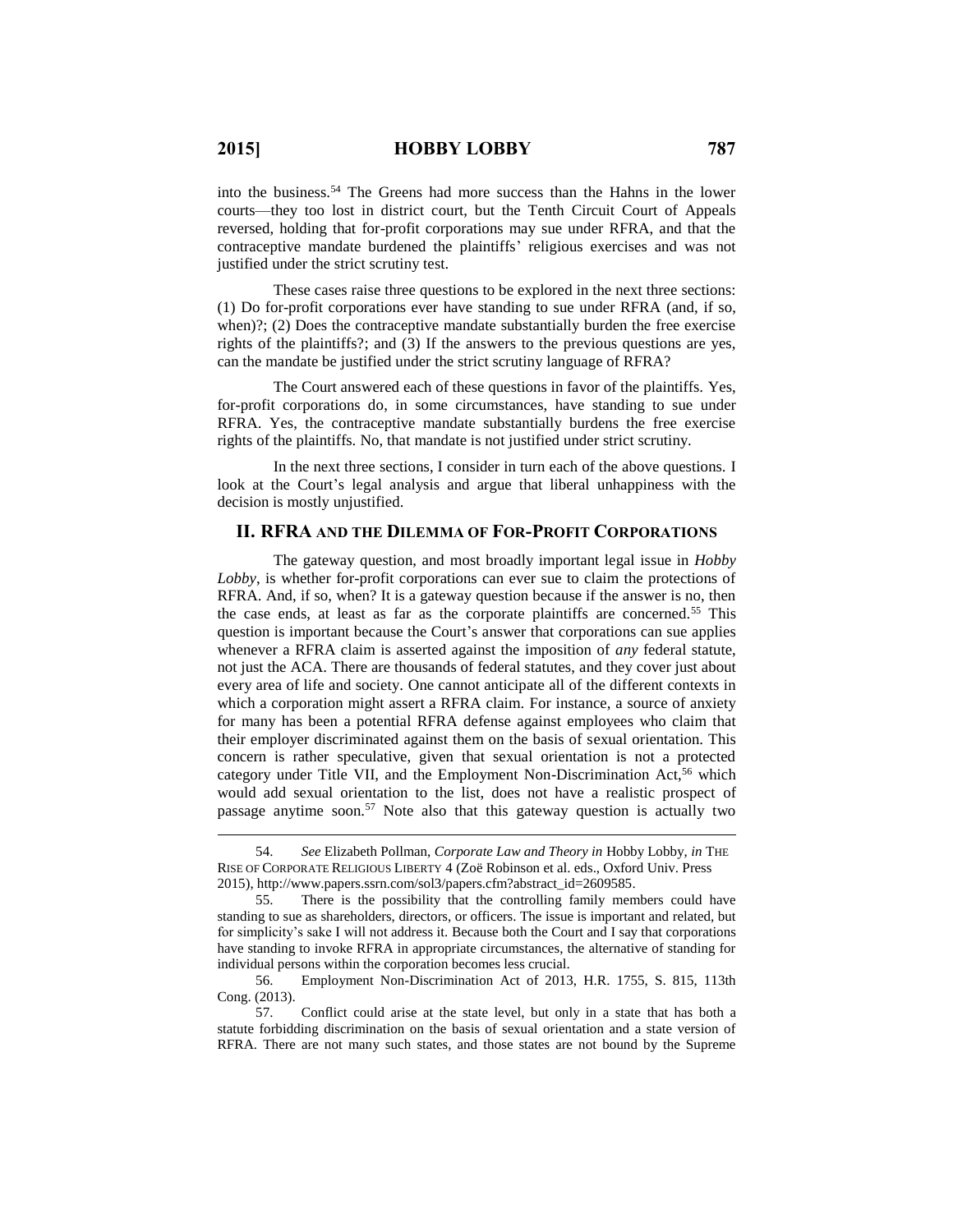into the business.<sup>54</sup> The Greens had more success than the Hahns in the lower courts—they too lost in district court, but the Tenth Circuit Court of Appeals reversed, holding that for-profit corporations may sue under RFRA, and that the contraceptive mandate burdened the plaintiffs' religious exercises and was not justified under the strict scrutiny test.

These cases raise three questions to be explored in the next three sections: (1) Do for-profit corporations ever have standing to sue under RFRA (and, if so, when)?; (2) Does the contraceptive mandate substantially burden the free exercise rights of the plaintiffs?; and (3) If the answers to the previous questions are yes, can the mandate be justified under the strict scrutiny language of RFRA?

The Court answered each of these questions in favor of the plaintiffs. Yes, for-profit corporations do, in some circumstances, have standing to sue under RFRA. Yes, the contraceptive mandate substantially burdens the free exercise rights of the plaintiffs. No, that mandate is not justified under strict scrutiny.

In the next three sections, I consider in turn each of the above questions. I look at the Court's legal analysis and argue that liberal unhappiness with the decision is mostly unjustified.

### **II. RFRA AND THE DILEMMA OF FOR-PROFIT CORPORATIONS**

The gateway question, and most broadly important legal issue in *Hobby Lobby*, is whether for-profit corporations can ever sue to claim the protections of RFRA. And, if so, when? It is a gateway question because if the answer is no, then the case ends, at least as far as the corporate plaintiffs are concerned.<sup>55</sup> This question is important because the Court's answer that corporations can sue applies whenever a RFRA claim is asserted against the imposition of *any* federal statute, not just the ACA. There are thousands of federal statutes, and they cover just about every area of life and society. One cannot anticipate all of the different contexts in which a corporation might assert a RFRA claim. For instance, a source of anxiety for many has been a potential RFRA defense against employees who claim that their employer discriminated against them on the basis of sexual orientation. This concern is rather speculative, given that sexual orientation is not a protected category under Title VII, and the Employment Non-Discrimination Act,<sup>56</sup> which would add sexual orientation to the list, does not have a realistic prospect of passage anytime soon.<sup>57</sup> Note also that this gateway question is actually two

<sup>54.</sup> *See* Elizabeth Pollman, *Corporate Law and Theory in* Hobby Lobby, *in* THE RISE OF CORPORATE RELIGIOUS LIBERTY 4 (Zoë Robinson et al. eds., Oxford Univ. Press 2015), http://www.papers.ssrn.com/sol3/papers.cfm?abstract\_id=2609585.

<sup>55.</sup> There is the possibility that the controlling family members could have standing to sue as shareholders, directors, or officers. The issue is important and related, but for simplicity's sake I will not address it. Because both the Court and I say that corporations have standing to invoke RFRA in appropriate circumstances, the alternative of standing for individual persons within the corporation becomes less crucial.

<sup>56.</sup> Employment Non-Discrimination Act of 2013, H.R. 1755, S. 815, 113th Cong. (2013).

<sup>57.</sup> Conflict could arise at the state level, but only in a state that has both a statute forbidding discrimination on the basis of sexual orientation and a state version of RFRA. There are not many such states, and those states are not bound by the Supreme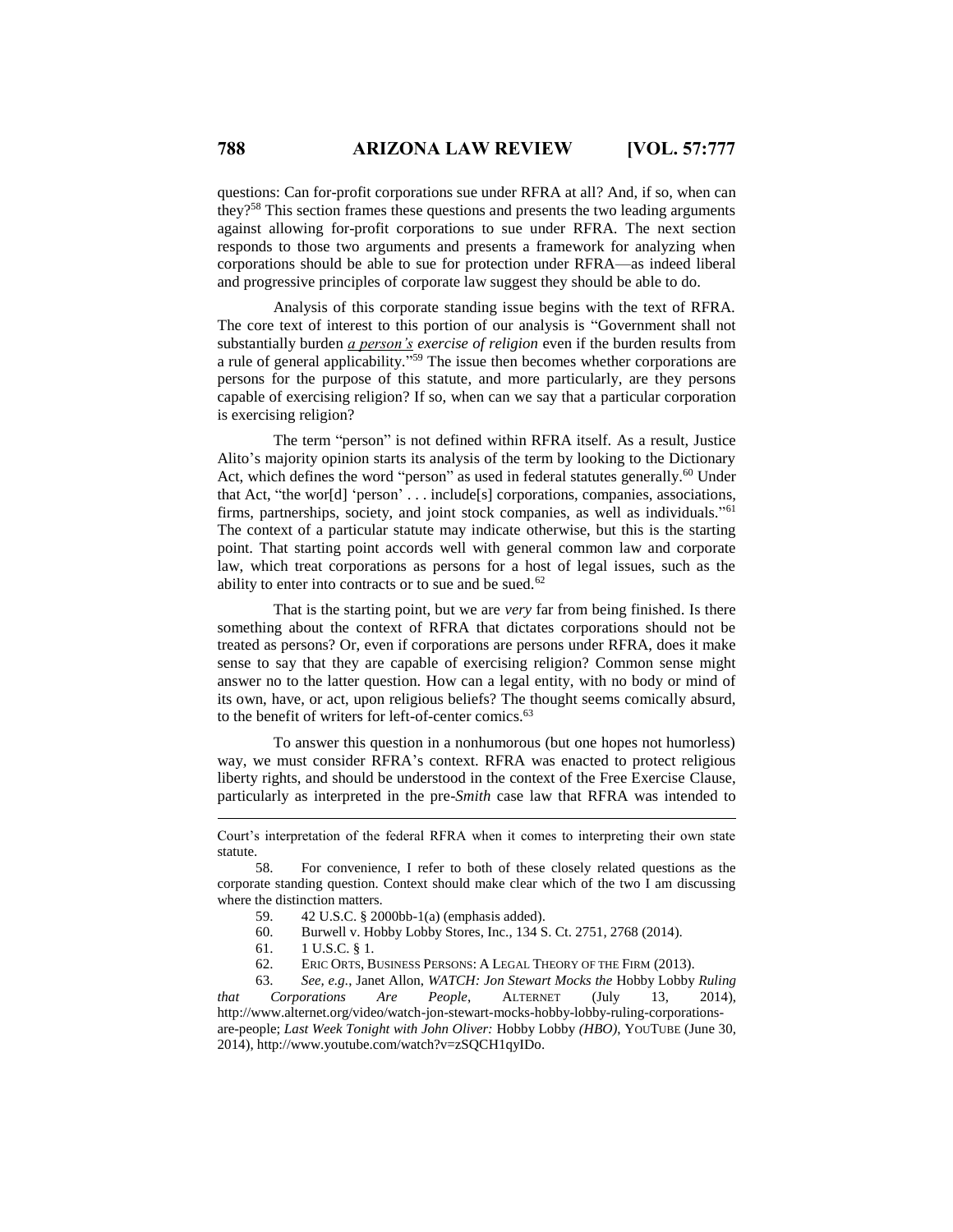questions: Can for-profit corporations sue under RFRA at all? And, if so, when can they?<sup>58</sup> This section frames these questions and presents the two leading arguments against allowing for-profit corporations to sue under RFRA. The next section responds to those two arguments and presents a framework for analyzing when corporations should be able to sue for protection under RFRA—as indeed liberal and progressive principles of corporate law suggest they should be able to do.

Analysis of this corporate standing issue begins with the text of RFRA. The core text of interest to this portion of our analysis is "Government shall not substantially burden *a person's exercise of religion* even if the burden results from a rule of general applicability." <sup>59</sup> The issue then becomes whether corporations are persons for the purpose of this statute, and more particularly, are they persons capable of exercising religion? If so, when can we say that a particular corporation is exercising religion?

The term "person" is not defined within RFRA itself. As a result, Justice Alito's majority opinion starts its analysis of the term by looking to the Dictionary Act, which defines the word "person" as used in federal statutes generally.<sup>60</sup> Under that Act, "the wor[d] 'person' . . . include[s] corporations, companies, associations, firms, partnerships, society, and joint stock companies, as well as individuals."<sup>61</sup> The context of a particular statute may indicate otherwise, but this is the starting point. That starting point accords well with general common law and corporate law, which treat corporations as persons for a host of legal issues, such as the ability to enter into contracts or to sue and be sued.<sup>62</sup>

That is the starting point, but we are *very* far from being finished. Is there something about the context of RFRA that dictates corporations should not be treated as persons? Or, even if corporations are persons under RFRA, does it make sense to say that they are capable of exercising religion? Common sense might answer no to the latter question. How can a legal entity, with no body or mind of its own, have, or act, upon religious beliefs? The thought seems comically absurd, to the benefit of writers for left-of-center comics.<sup>63</sup>

To answer this question in a nonhumorous (but one hopes not humorless) way, we must consider RFRA's context. RFRA was enacted to protect religious liberty rights, and should be understood in the context of the Free Exercise Clause, particularly as interpreted in the pre-*Smith* case law that RFRA was intended to

- 59. 42 U.S.C. § 2000bb-1(a) (emphasis added).
- 60. Burwell v. Hobby Lobby Stores, Inc., 134 S. Ct. 2751, 2768 (2014).
- 61. 1 U.S.C. § 1.

 $\overline{a}$ 

62. ERIC ORTS, BUSINESS PERSONS: A LEGAL THEORY OF THE FIRM (2013).

63. *See, e.g.*, Janet Allon, *WATCH: Jon Stewart Mocks the* Hobby Lobby *Ruling that Corporations Are People*, ALTERNET (July 13, 2014), http://www.alternet.org/video/watch-jon-stewart-mocks-hobby-lobby-ruling-corporationsare-people; *Last Week Tonight with John Oliver:* Hobby Lobby *(HBO)*, YOUTUBE (June 30, 2014), http://www.youtube.com/watch?v=zSQCH1qyIDo.

Court's interpretation of the federal RFRA when it comes to interpreting their own state statute.

<sup>58.</sup> For convenience, I refer to both of these closely related questions as the corporate standing question. Context should make clear which of the two I am discussing where the distinction matters.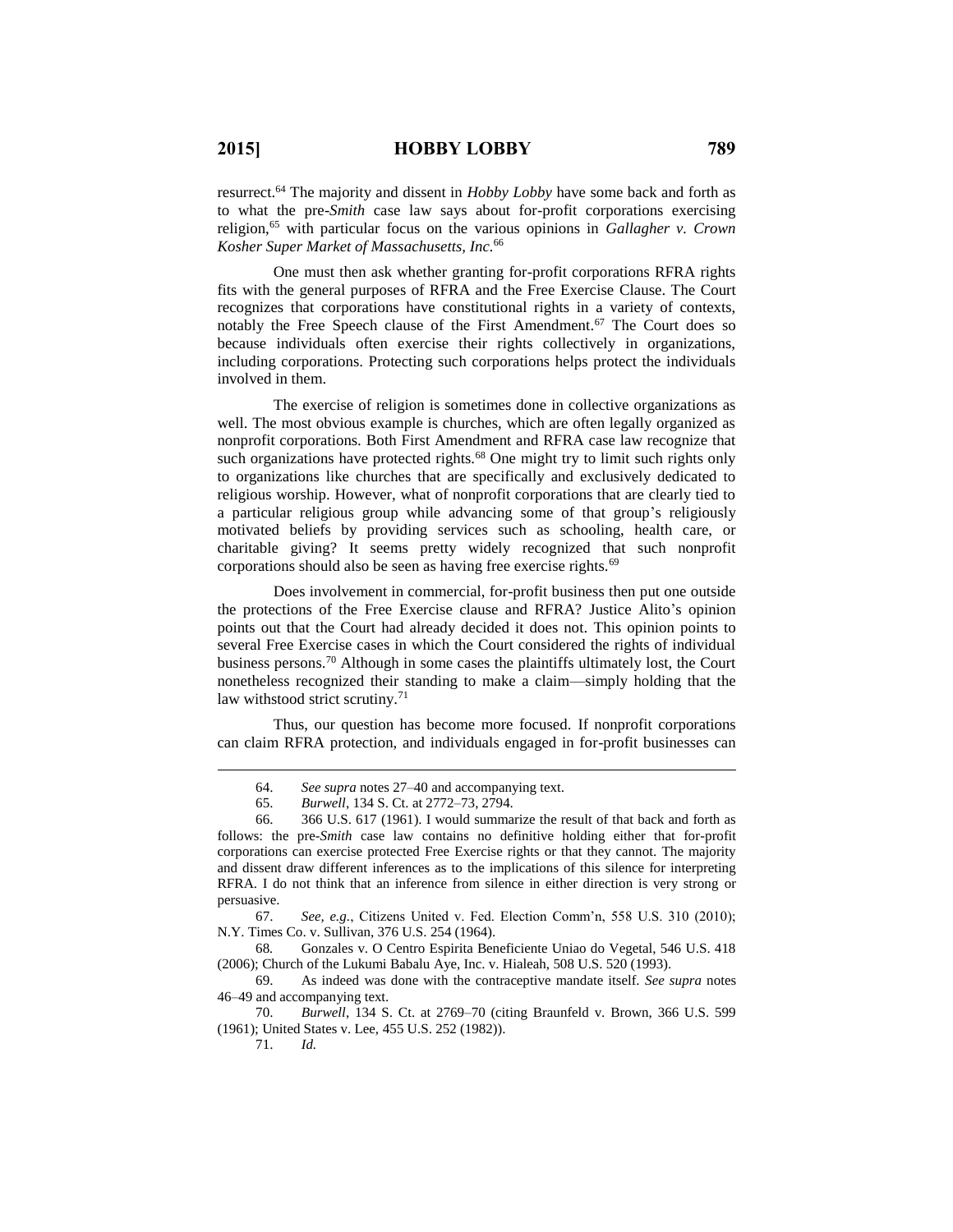$\overline{a}$ 

71. *Id.* 

resurrect.<sup>64</sup> The majority and dissent in *Hobby Lobby* have some back and forth as to what the pre-*Smith* case law says about for-profit corporations exercising religion,<sup>65</sup> with particular focus on the various opinions in *Gallagher v. Crown Kosher Super Market of Massachusetts, Inc.*<sup>66</sup>

One must then ask whether granting for-profit corporations RFRA rights fits with the general purposes of RFRA and the Free Exercise Clause. The Court recognizes that corporations have constitutional rights in a variety of contexts, notably the Free Speech clause of the First Amendment.<sup>67</sup> The Court does so because individuals often exercise their rights collectively in organizations, including corporations. Protecting such corporations helps protect the individuals involved in them.

The exercise of religion is sometimes done in collective organizations as well. The most obvious example is churches, which are often legally organized as nonprofit corporations. Both First Amendment and RFRA case law recognize that such organizations have protected rights.<sup>68</sup> One might try to limit such rights only to organizations like churches that are specifically and exclusively dedicated to religious worship. However, what of nonprofit corporations that are clearly tied to a particular religious group while advancing some of that group's religiously motivated beliefs by providing services such as schooling, health care, or charitable giving? It seems pretty widely recognized that such nonprofit corporations should also be seen as having free exercise rights.<sup>69</sup>

Does involvement in commercial, for-profit business then put one outside the protections of the Free Exercise clause and RFRA? Justice Alito's opinion points out that the Court had already decided it does not. This opinion points to several Free Exercise cases in which the Court considered the rights of individual business persons.<sup>70</sup> Although in some cases the plaintiffs ultimately lost, the Court nonetheless recognized their standing to make a claim—simply holding that the law withstood strict scrutiny.<sup>71</sup>

Thus, our question has become more focused. If nonprofit corporations can claim RFRA protection, and individuals engaged in for-profit businesses can

67. *See, e.g.*, Citizens United v. Fed. Election Comm'n, 558 U.S. 310 (2010); N.Y. Times Co. v. Sullivan, 376 U.S. 254 (1964).

<sup>64.</sup> *See supra* notes 27–40 and accompanying text.

<sup>65.</sup> *Burwell*, 134 S. Ct. at 2772–73, 2794.

<sup>66.</sup> 366 U.S. 617 (1961). I would summarize the result of that back and forth as follows: the pre-*Smith* case law contains no definitive holding either that for-profit corporations can exercise protected Free Exercise rights or that they cannot. The majority and dissent draw different inferences as to the implications of this silence for interpreting RFRA. I do not think that an inference from silence in either direction is very strong or persuasive.

<sup>68</sup>*.* Gonzales v. O Centro Espirita Beneficiente Uniao do Vegetal, 546 U.S. 418 (2006); Church of the Lukumi Babalu Aye, Inc. v. Hialeah, 508 U.S. 520 (1993).

<sup>69.</sup> As indeed was done with the contraceptive mandate itself. *See supra* notes 46–49 and accompanying text.

<sup>70.</sup> *Burwell*, 134 S. Ct. at 2769–70 (citing Braunfeld v. Brown, 366 U.S. 599 (1961); United States v. Lee, 455 U.S. 252 (1982)).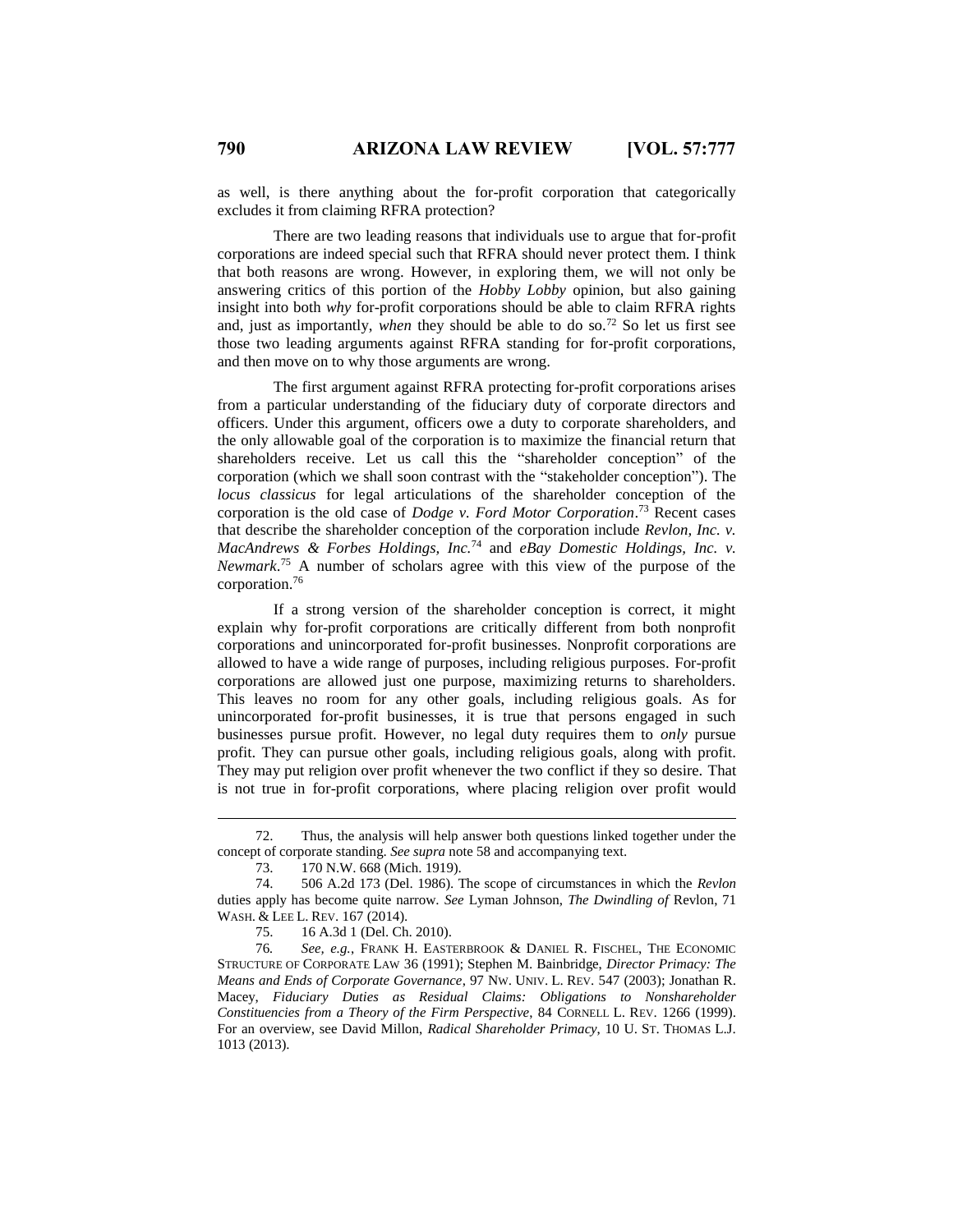as well, is there anything about the for-profit corporation that categorically excludes it from claiming RFRA protection?

There are two leading reasons that individuals use to argue that for-profit corporations are indeed special such that RFRA should never protect them. I think that both reasons are wrong. However, in exploring them, we will not only be answering critics of this portion of the *Hobby Lobby* opinion, but also gaining insight into both *why* for-profit corporations should be able to claim RFRA rights and, just as importantly, *when* they should be able to do so.<sup>72</sup> So let us first see those two leading arguments against RFRA standing for for-profit corporations, and then move on to why those arguments are wrong.

The first argument against RFRA protecting for-profit corporations arises from a particular understanding of the fiduciary duty of corporate directors and officers. Under this argument, officers owe a duty to corporate shareholders, and the only allowable goal of the corporation is to maximize the financial return that shareholders receive. Let us call this the "shareholder conception" of the corporation (which we shall soon contrast with the "stakeholder conception"). The *locus classicus* for legal articulations of the shareholder conception of the corporation is the old case of *Dodge v. Ford Motor Corporation*. <sup>73</sup> Recent cases that describe the shareholder conception of the corporation include *Revlon, Inc. v. MacAndrews & Forbes Holdings, Inc.*<sup>74</sup> and *eBay Domestic Holdings, Inc. v. Newmark*. <sup>75</sup> A number of scholars agree with this view of the purpose of the corporation.<sup>76</sup>

If a strong version of the shareholder conception is correct, it might explain why for-profit corporations are critically different from both nonprofit corporations and unincorporated for-profit businesses. Nonprofit corporations are allowed to have a wide range of purposes, including religious purposes. For-profit corporations are allowed just one purpose, maximizing returns to shareholders. This leaves no room for any other goals, including religious goals. As for unincorporated for-profit businesses, it is true that persons engaged in such businesses pursue profit. However, no legal duty requires them to *only* pursue profit. They can pursue other goals, including religious goals, along with profit. They may put religion over profit whenever the two conflict if they so desire. That is not true in for-profit corporations, where placing religion over profit would

<sup>72.</sup> Thus, the analysis will help answer both questions linked together under the concept of corporate standing. *See supra* note 58 and accompanying text.

<sup>73.</sup> 170 N.W. 668 (Mich. 1919).

<sup>74.</sup> 506 A.2d 173 (Del. 1986). The scope of circumstances in which the *Revlon* duties apply has become quite narrow. *See* Lyman Johnson, *The Dwindling of* Revlon, 71 WASH. & LEE L. REV. 167 (2014).

<sup>75.</sup> 16 A.3d 1 (Del. Ch. 2010).

<sup>76</sup>*. See, e.g.*, FRANK H. EASTERBROOK & DANIEL R. FISCHEL, THE ECONOMIC STRUCTURE OF CORPORATE LAW 36 (1991); Stephen M. Bainbridge, *Director Primacy: The Means and Ends of Corporate Governance*, 97 NW. UNIV. L. REV. 547 (2003); Jonathan R. Macey, *Fiduciary Duties as Residual Claims: Obligations to Nonshareholder Constituencies from a Theory of the Firm Perspective*, 84 CORNELL L. REV. 1266 (1999). For an overview, see David Millon, *Radical Shareholder Primacy*, 10 U. ST. THOMAS L.J. 1013 (2013).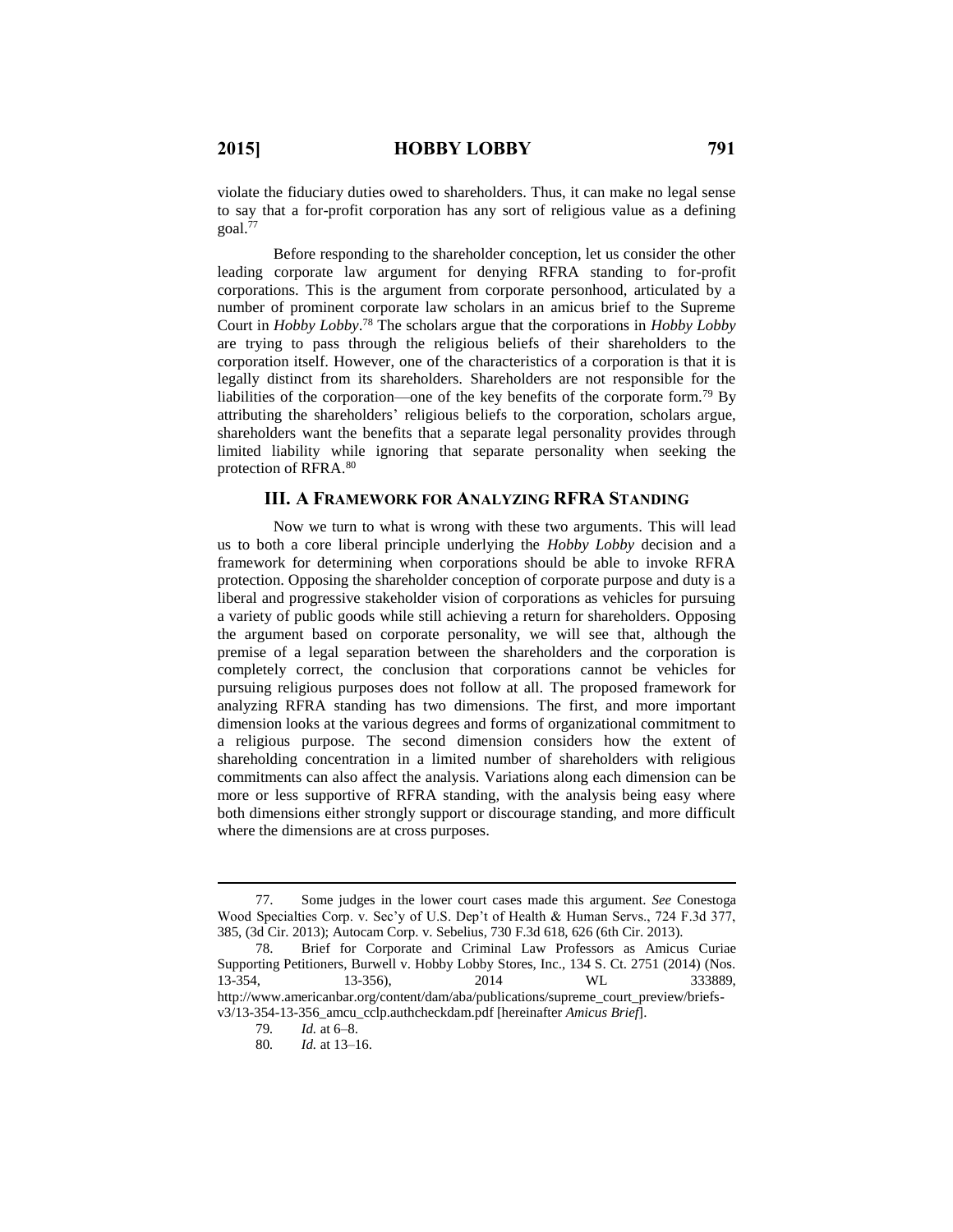violate the fiduciary duties owed to shareholders. Thus, it can make no legal sense to say that a for-profit corporation has any sort of religious value as a defining  $goal.<sup>77</sup>$ 

Before responding to the shareholder conception, let us consider the other leading corporate law argument for denying RFRA standing to for-profit corporations. This is the argument from corporate personhood, articulated by a number of prominent corporate law scholars in an amicus brief to the Supreme Court in *Hobby Lobby*. <sup>78</sup> The scholars argue that the corporations in *Hobby Lobby* are trying to pass through the religious beliefs of their shareholders to the corporation itself. However, one of the characteristics of a corporation is that it is legally distinct from its shareholders. Shareholders are not responsible for the liabilities of the corporation—one of the key benefits of the corporate form.<sup>79</sup> By attributing the shareholders' religious beliefs to the corporation, scholars argue, shareholders want the benefits that a separate legal personality provides through limited liability while ignoring that separate personality when seeking the protection of RFRA.<sup>80</sup>

#### **III. A FRAMEWORK FOR ANALYZING RFRA STANDING**

Now we turn to what is wrong with these two arguments. This will lead us to both a core liberal principle underlying the *Hobby Lobby* decision and a framework for determining when corporations should be able to invoke RFRA protection. Opposing the shareholder conception of corporate purpose and duty is a liberal and progressive stakeholder vision of corporations as vehicles for pursuing a variety of public goods while still achieving a return for shareholders. Opposing the argument based on corporate personality, we will see that, although the premise of a legal separation between the shareholders and the corporation is completely correct, the conclusion that corporations cannot be vehicles for pursuing religious purposes does not follow at all. The proposed framework for analyzing RFRA standing has two dimensions. The first, and more important dimension looks at the various degrees and forms of organizational commitment to a religious purpose. The second dimension considers how the extent of shareholding concentration in a limited number of shareholders with religious commitments can also affect the analysis. Variations along each dimension can be more or less supportive of RFRA standing, with the analysis being easy where both dimensions either strongly support or discourage standing, and more difficult where the dimensions are at cross purposes.

<sup>77.</sup> Some judges in the lower court cases made this argument. *See* Conestoga Wood Specialties Corp. v. Sec'y of U.S. Dep't of Health & Human Servs., 724 F.3d 377, 385, (3d Cir. 2013); Autocam Corp. v. Sebelius, 730 F.3d 618, 626 (6th Cir. 2013).

<sup>78.</sup> Brief for Corporate and Criminal Law Professors as Amicus Curiae Supporting Petitioners, Burwell v. Hobby Lobby Stores, Inc., 134 S. Ct. 2751 (2014) (Nos. 13-354, 13-356), 2014 WL 333889, http://www.americanbar.org/content/dam/aba/publications/supreme\_court\_preview/briefsv3/13-354-13-356\_amcu\_cclp.authcheckdam.pdf [hereinafter *Amicus Brief*].

<sup>79</sup>*. Id.* at 6–8.

<sup>80</sup>*. Id.* at 13–16.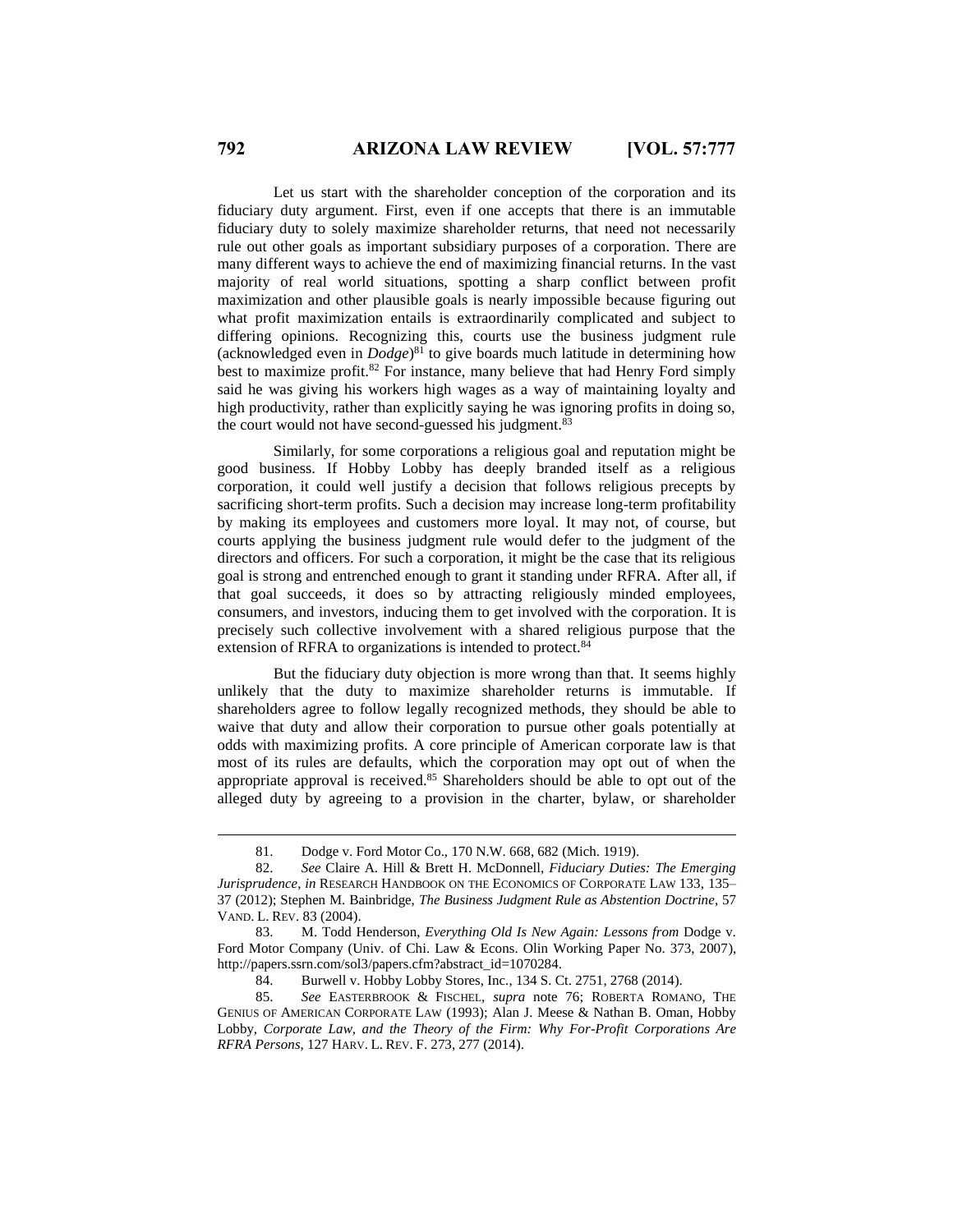Let us start with the shareholder conception of the corporation and its fiduciary duty argument. First, even if one accepts that there is an immutable fiduciary duty to solely maximize shareholder returns, that need not necessarily rule out other goals as important subsidiary purposes of a corporation. There are many different ways to achieve the end of maximizing financial returns. In the vast majority of real world situations, spotting a sharp conflict between profit maximization and other plausible goals is nearly impossible because figuring out what profit maximization entails is extraordinarily complicated and subject to differing opinions. Recognizing this, courts use the business judgment rule (acknowledged even in *Dodge*) <sup>81</sup> to give boards much latitude in determining how best to maximize profit. <sup>82</sup> For instance, many believe that had Henry Ford simply said he was giving his workers high wages as a way of maintaining loyalty and high productivity, rather than explicitly saying he was ignoring profits in doing so, the court would not have second-guessed his judgment.<sup>83</sup>

Similarly, for some corporations a religious goal and reputation might be good business. If Hobby Lobby has deeply branded itself as a religious corporation, it could well justify a decision that follows religious precepts by sacrificing short-term profits. Such a decision may increase long-term profitability by making its employees and customers more loyal. It may not, of course, but courts applying the business judgment rule would defer to the judgment of the directors and officers. For such a corporation, it might be the case that its religious goal is strong and entrenched enough to grant it standing under RFRA. After all, if that goal succeeds, it does so by attracting religiously minded employees, consumers, and investors, inducing them to get involved with the corporation. It is precisely such collective involvement with a shared religious purpose that the extension of RFRA to organizations is intended to protect.<sup>84</sup>

But the fiduciary duty objection is more wrong than that. It seems highly unlikely that the duty to maximize shareholder returns is immutable. If shareholders agree to follow legally recognized methods, they should be able to waive that duty and allow their corporation to pursue other goals potentially at odds with maximizing profits. A core principle of American corporate law is that most of its rules are defaults, which the corporation may opt out of when the appropriate approval is received.<sup>85</sup> Shareholders should be able to opt out of the alleged duty by agreeing to a provision in the charter, bylaw, or shareholder

<sup>81.</sup> Dodge v. Ford Motor Co., 170 N.W. 668, 682 (Mich. 1919).

<sup>82.</sup> *See* Claire A. Hill & Brett H. McDonnell, *Fiduciary Duties: The Emerging Jurisprudence*, *in* RESEARCH HANDBOOK ON THE ECONOMICS OF CORPORATE LAW 133, 135– 37 (2012); Stephen M. Bainbridge, *The Business Judgment Rule as Abstention Doctrine*, 57 VAND. L. REV. 83 (2004).

<sup>83.</sup> M. Todd Henderson, *Everything Old Is New Again: Lessons from* Dodge v. Ford Motor Company (Univ. of Chi. Law & Econs. Olin Working Paper No. 373, 2007), http://papers.ssrn.com/sol3/papers.cfm?abstract\_id=1070284.

<sup>84.</sup> Burwell v. Hobby Lobby Stores, Inc., 134 S. Ct. 2751, 2768 (2014).

<sup>85.</sup> *See* EASTERBROOK & FISCHEL, *supra* note 76; ROBERTA ROMANO, THE GENIUS OF AMERICAN CORPORATE LAW (1993); Alan J. Meese & Nathan B. Oman, Hobby Lobby*, Corporate Law, and the Theory of the Firm: Why For-Profit Corporations Are RFRA Persons*, 127 HARV. L. REV. F. 273, 277 (2014).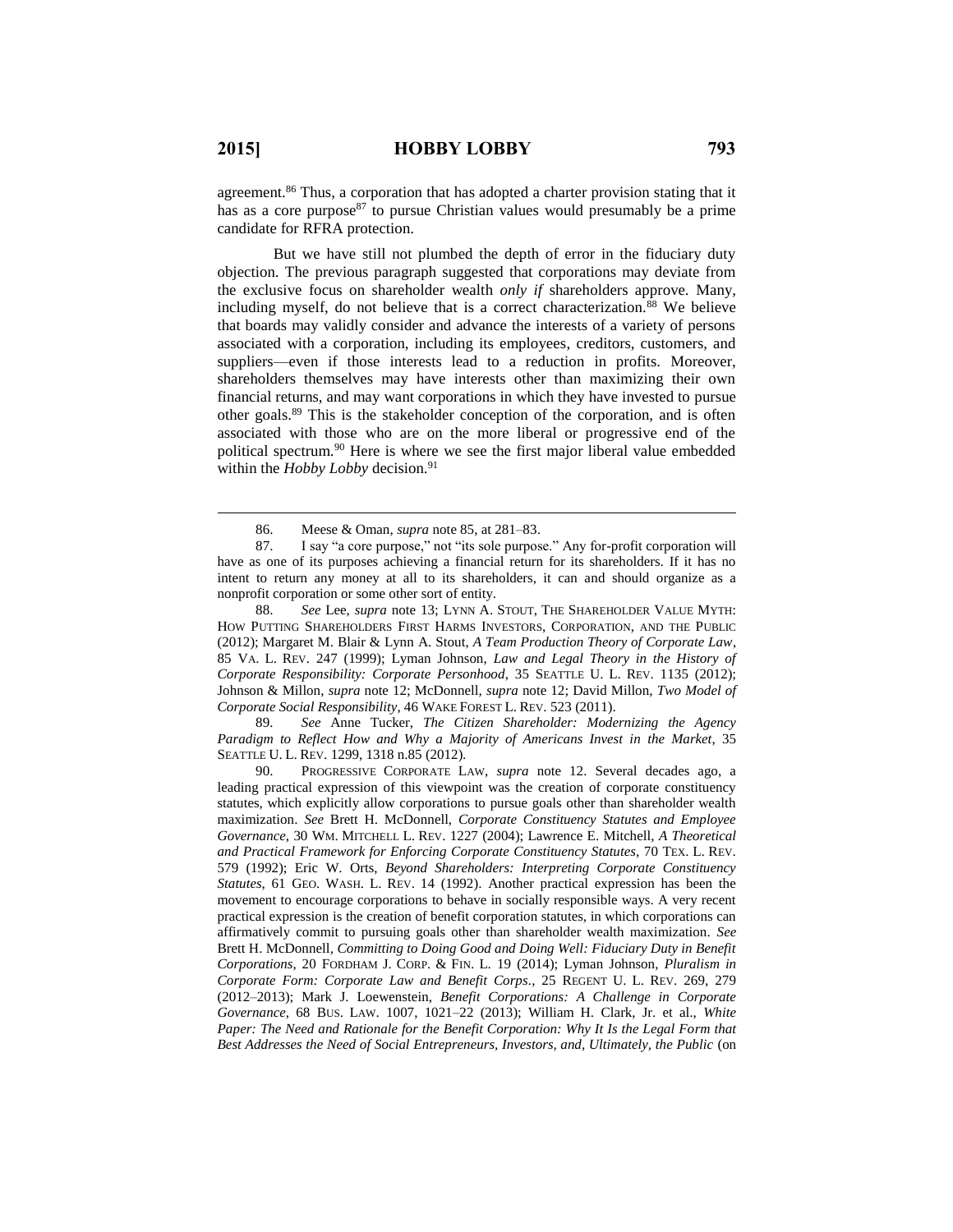$\overline{a}$ 

agreement.<sup>86</sup> Thus, a corporation that has adopted a charter provision stating that it has as a core purpose<sup>87</sup> to pursue Christian values would presumably be a prime candidate for RFRA protection.

But we have still not plumbed the depth of error in the fiduciary duty objection. The previous paragraph suggested that corporations may deviate from the exclusive focus on shareholder wealth *only if* shareholders approve. Many, including myself, do not believe that is a correct characterization.<sup>88</sup> We believe that boards may validly consider and advance the interests of a variety of persons associated with a corporation, including its employees, creditors, customers, and suppliers—even if those interests lead to a reduction in profits. Moreover, shareholders themselves may have interests other than maximizing their own financial returns, and may want corporations in which they have invested to pursue other goals.<sup>89</sup> This is the stakeholder conception of the corporation, and is often associated with those who are on the more liberal or progressive end of the political spectrum.<sup>90</sup> Here is where we see the first major liberal value embedded within the *Hobby Lobby* decision.<sup>91</sup>

88. *See* Lee, *supra* note 13; LYNN A. STOUT, THE SHAREHOLDER VALUE MYTH: HOW PUTTING SHAREHOLDERS FIRST HARMS INVESTORS, CORPORATION, AND THE PUBLIC (2012); Margaret M. Blair & Lynn A. Stout, *A Team Production Theory of Corporate Law*, 85 VA. L. REV. 247 (1999); Lyman Johnson, *Law and Legal Theory in the History of Corporate Responsibility: Corporate Personhood*, 35 SEATTLE U. L. REV. 1135 (2012); Johnson & Millon, *supra* note 12; McDonnell, *supra* note 12; David Millon, *Two Model of Corporate Social Responsibility*, 46 WAKE FOREST L. REV. 523 (2011).

89. *See* Anne Tucker, *The Citizen Shareholder: Modernizing the Agency Paradigm to Reflect How and Why a Majority of Americans Invest in the Market*, 35 SEATTLE U. L. REV. 1299, 1318 n.85 (2012).

90. PROGRESSIVE CORPORATE LAW, *supra* note 12. Several decades ago, a leading practical expression of this viewpoint was the creation of corporate constituency statutes, which explicitly allow corporations to pursue goals other than shareholder wealth maximization. *See* Brett H. McDonnell, *Corporate Constituency Statutes and Employee Governance*, 30 WM. MITCHELL L. REV. 1227 (2004); Lawrence E. Mitchell, *A Theoretical and Practical Framework for Enforcing Corporate Constituency Statutes*, 70 TEX. L. REV. 579 (1992); Eric W. Orts, *Beyond Shareholders: Interpreting Corporate Constituency Statutes*, 61 GEO. WASH. L. REV. 14 (1992). Another practical expression has been the movement to encourage corporations to behave in socially responsible ways. A very recent practical expression is the creation of benefit corporation statutes, in which corporations can affirmatively commit to pursuing goals other than shareholder wealth maximization. *See* Brett H. McDonnell, *Committing to Doing Good and Doing Well: Fiduciary Duty in Benefit Corporations*, 20 FORDHAM J. CORP. & FIN. L. 19 (2014); Lyman Johnson, *Pluralism in Corporate Form: Corporate Law and Benefit Corps.*, 25 REGENT U. L. REV. 269, 279 (2012–2013); Mark J. Loewenstein, *Benefit Corporations: A Challenge in Corporate Governance*, 68 BUS. LAW. 1007, 1021–22 (2013); William H. Clark, Jr. et al., *White Paper: The Need and Rationale for the Benefit Corporation: Why It Is the Legal Form that Best Addresses the Need of Social Entrepreneurs, Investors, and, Ultimately, the Public* (on

<sup>86.</sup> Meese & Oman, *supra* note 85, at 281–83.

<sup>87.</sup> I say "a core purpose," not "its sole purpose." Any for-profit corporation will have as one of its purposes achieving a financial return for its shareholders. If it has no intent to return any money at all to its shareholders, it can and should organize as a nonprofit corporation or some other sort of entity.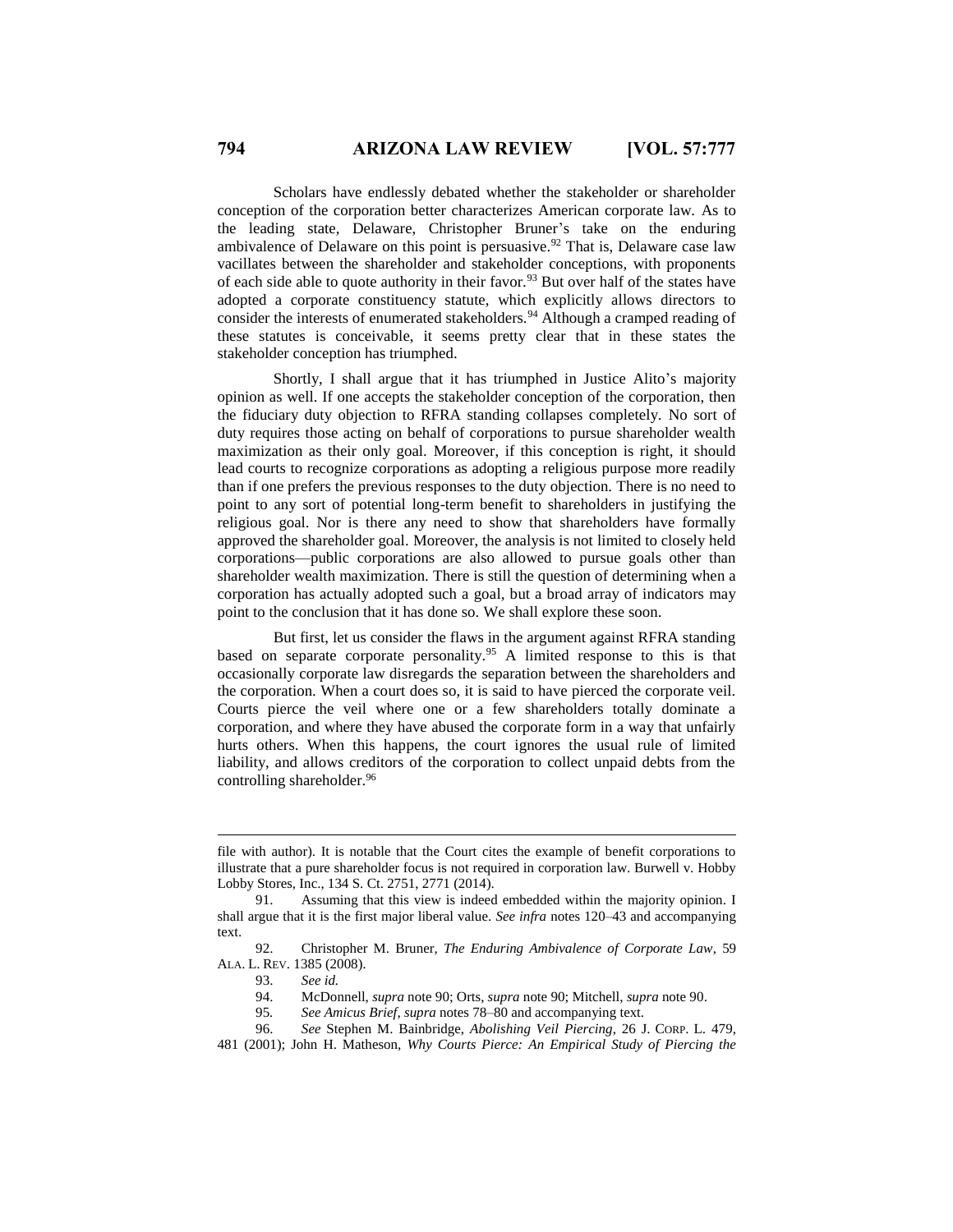Scholars have endlessly debated whether the stakeholder or shareholder conception of the corporation better characterizes American corporate law. As to the leading state, Delaware, Christopher Bruner's take on the enduring ambivalence of Delaware on this point is persuasive.<sup>92</sup> That is, Delaware case law vacillates between the shareholder and stakeholder conceptions, with proponents of each side able to quote authority in their favor.<sup>93</sup> But over half of the states have adopted a corporate constituency statute, which explicitly allows directors to consider the interests of enumerated stakeholders.<sup>94</sup> Although a cramped reading of these statutes is conceivable, it seems pretty clear that in these states the stakeholder conception has triumphed.

Shortly, I shall argue that it has triumphed in Justice Alito's majority opinion as well. If one accepts the stakeholder conception of the corporation, then the fiduciary duty objection to RFRA standing collapses completely. No sort of duty requires those acting on behalf of corporations to pursue shareholder wealth maximization as their only goal. Moreover, if this conception is right, it should lead courts to recognize corporations as adopting a religious purpose more readily than if one prefers the previous responses to the duty objection. There is no need to point to any sort of potential long-term benefit to shareholders in justifying the religious goal. Nor is there any need to show that shareholders have formally approved the shareholder goal. Moreover, the analysis is not limited to closely held corporations—public corporations are also allowed to pursue goals other than shareholder wealth maximization. There is still the question of determining when a corporation has actually adopted such a goal, but a broad array of indicators may point to the conclusion that it has done so. We shall explore these soon.

But first, let us consider the flaws in the argument against RFRA standing based on separate corporate personality.<sup>95</sup> A limited response to this is that occasionally corporate law disregards the separation between the shareholders and the corporation. When a court does so, it is said to have pierced the corporate veil. Courts pierce the veil where one or a few shareholders totally dominate a corporation, and where they have abused the corporate form in a way that unfairly hurts others. When this happens, the court ignores the usual rule of limited liability, and allows creditors of the corporation to collect unpaid debts from the controlling shareholder.<sup>96</sup>

file with author). It is notable that the Court cites the example of benefit corporations to illustrate that a pure shareholder focus is not required in corporation law. Burwell v. Hobby Lobby Stores, Inc., 134 S. Ct. 2751, 2771 (2014).

<sup>91.</sup> Assuming that this view is indeed embedded within the majority opinion. I shall argue that it is the first major liberal value. *See infra* notes 120–43 and accompanying text.

<sup>92.</sup> Christopher M. Bruner, *The Enduring Ambivalence of Corporate Law*, 59 ALA. L. REV. 1385 (2008).

<sup>93.</sup> *See id.*

<sup>94.</sup> McDonnell, *supra* note 90; Orts, *supra* note 90; Mitchell, *supra* note 90.

<sup>95</sup>*. See Amicus Brief*, *supra* notes 78–80 and accompanying text.

<sup>96.</sup> *See* Stephen M. Bainbridge, *Abolishing Veil Piercing*, 26 J. CORP. L. 479, 481 (2001); John H. Matheson, *Why Courts Pierce: An Empirical Study of Piercing the*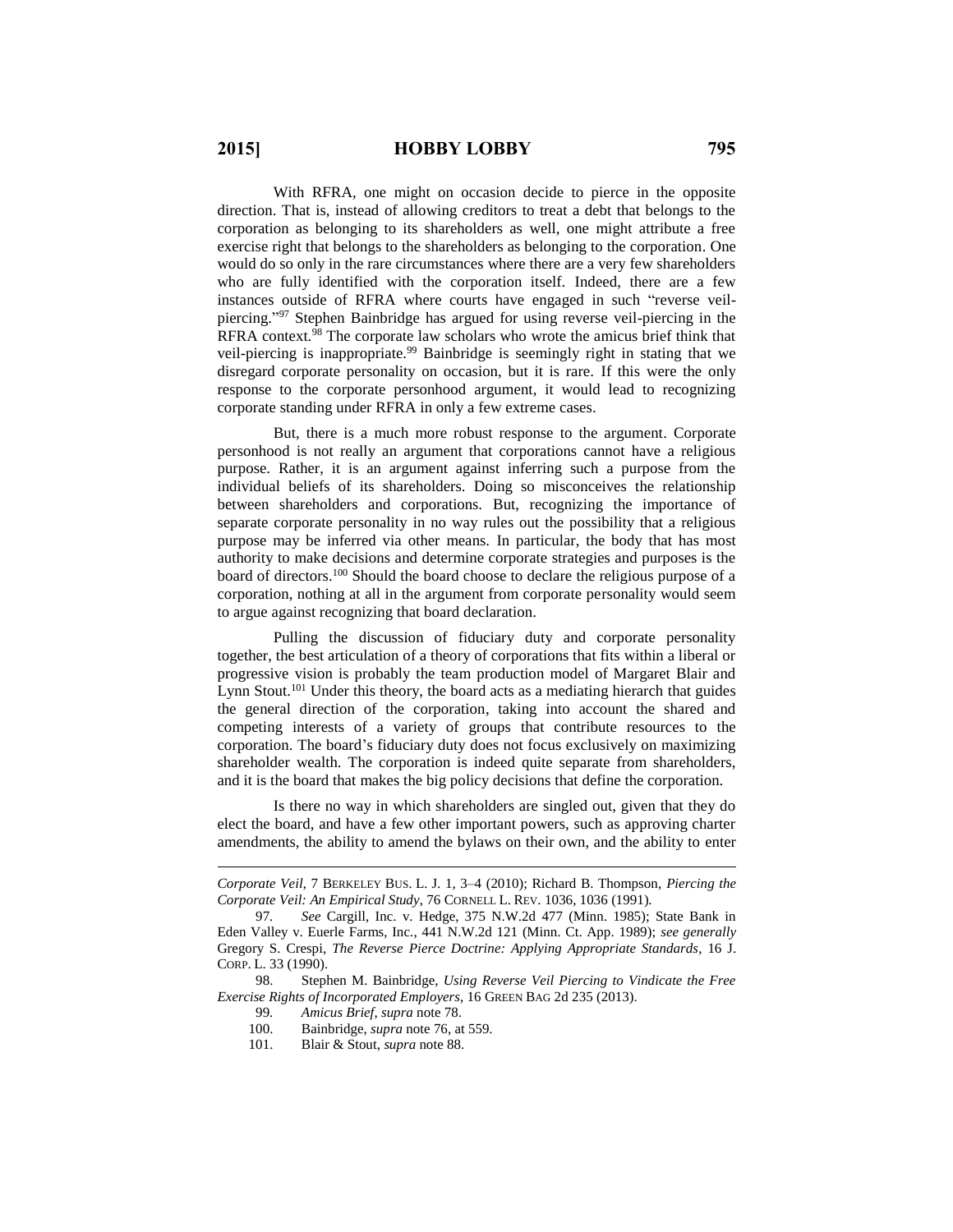With RFRA, one might on occasion decide to pierce in the opposite direction. That is, instead of allowing creditors to treat a debt that belongs to the corporation as belonging to its shareholders as well, one might attribute a free exercise right that belongs to the shareholders as belonging to the corporation. One would do so only in the rare circumstances where there are a very few shareholders who are fully identified with the corporation itself. Indeed, there are a few instances outside of RFRA where courts have engaged in such "reverse veilpiercing." <sup>97</sup> Stephen Bainbridge has argued for using reverse veil-piercing in the RFRA context.<sup>98</sup> The corporate law scholars who wrote the amicus brief think that veil-piercing is inappropriate.<sup>99</sup> Bainbridge is seemingly right in stating that we disregard corporate personality on occasion, but it is rare. If this were the only response to the corporate personhood argument, it would lead to recognizing corporate standing under RFRA in only a few extreme cases.

But, there is a much more robust response to the argument. Corporate personhood is not really an argument that corporations cannot have a religious purpose. Rather, it is an argument against inferring such a purpose from the individual beliefs of its shareholders. Doing so misconceives the relationship between shareholders and corporations. But, recognizing the importance of separate corporate personality in no way rules out the possibility that a religious purpose may be inferred via other means. In particular, the body that has most authority to make decisions and determine corporate strategies and purposes is the board of directors.<sup>100</sup> Should the board choose to declare the religious purpose of a corporation, nothing at all in the argument from corporate personality would seem to argue against recognizing that board declaration.

Pulling the discussion of fiduciary duty and corporate personality together, the best articulation of a theory of corporations that fits within a liberal or progressive vision is probably the team production model of Margaret Blair and Lynn Stout.<sup>101</sup> Under this theory, the board acts as a mediating hierarch that guides the general direction of the corporation, taking into account the shared and competing interests of a variety of groups that contribute resources to the corporation. The board's fiduciary duty does not focus exclusively on maximizing shareholder wealth. The corporation is indeed quite separate from shareholders, and it is the board that makes the big policy decisions that define the corporation.

Is there no way in which shareholders are singled out, given that they do elect the board, and have a few other important powers, such as approving charter amendments, the ability to amend the bylaws on their own, and the ability to enter

*Corporate Veil*, 7 BERKELEY BUS. L. J. 1, 3–4 (2010); Richard B. Thompson, *Piercing the Corporate Veil: An Empirical Study*, 76 CORNELL L. REV. 1036, 1036 (1991).

<sup>97</sup>*. See* Cargill, Inc. v. Hedge, 375 N.W.2d 477 (Minn. 1985); State Bank in Eden Valley v. Euerle Farms, Inc*.*, 441 N.W.2d 121 (Minn. Ct. App. 1989); *see generally* Gregory S. Crespi, *The Reverse Pierce Doctrine: Applying Appropriate Standards*, 16 J. CORP. L. 33 (1990).

<sup>98.</sup> Stephen M. Bainbridge, *Using Reverse Veil Piercing to Vindicate the Free Exercise Rights of Incorporated Employers*, 16 GREEN BAG 2d 235 (2013).

<sup>99</sup>*. Amicus Brief*, *supra* note 78.

<sup>100.</sup> Bainbridge, *supra* note 76, at 559.

<sup>101.</sup> Blair & Stout, *supra* note 88.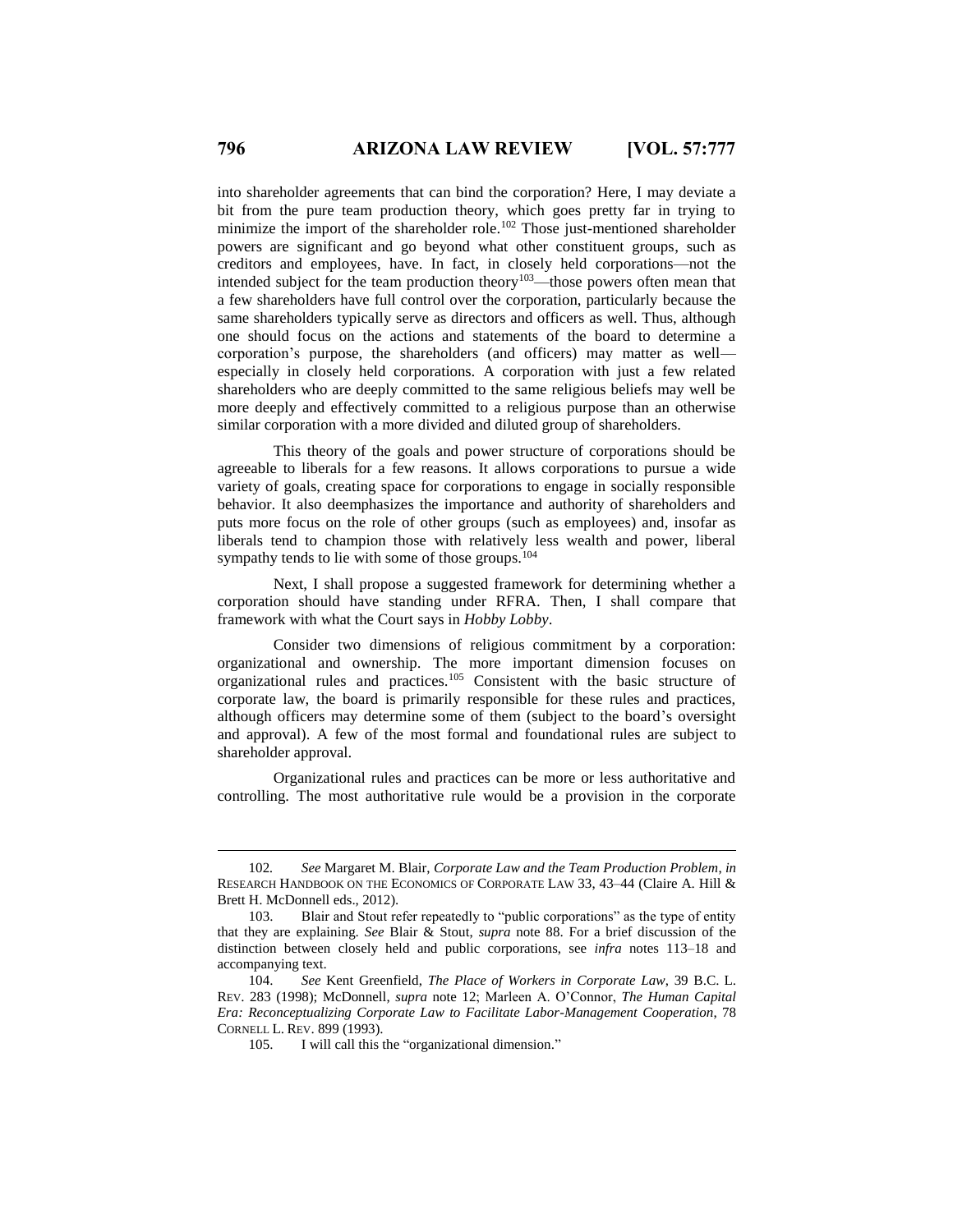into shareholder agreements that can bind the corporation? Here, I may deviate a bit from the pure team production theory, which goes pretty far in trying to minimize the import of the shareholder role.<sup>102</sup> Those just-mentioned shareholder powers are significant and go beyond what other constituent groups, such as creditors and employees, have. In fact, in closely held corporations—not the intended subject for the team production theory<sup>103</sup>—those powers often mean that a few shareholders have full control over the corporation, particularly because the same shareholders typically serve as directors and officers as well. Thus, although one should focus on the actions and statements of the board to determine a corporation's purpose, the shareholders (and officers) may matter as well especially in closely held corporations. A corporation with just a few related shareholders who are deeply committed to the same religious beliefs may well be more deeply and effectively committed to a religious purpose than an otherwise similar corporation with a more divided and diluted group of shareholders.

This theory of the goals and power structure of corporations should be agreeable to liberals for a few reasons. It allows corporations to pursue a wide variety of goals, creating space for corporations to engage in socially responsible behavior. It also deemphasizes the importance and authority of shareholders and puts more focus on the role of other groups (such as employees) and, insofar as liberals tend to champion those with relatively less wealth and power, liberal sympathy tends to lie with some of those groups.<sup>104</sup>

Next, I shall propose a suggested framework for determining whether a corporation should have standing under RFRA. Then, I shall compare that framework with what the Court says in *Hobby Lobby*.

Consider two dimensions of religious commitment by a corporation: organizational and ownership. The more important dimension focuses on organizational rules and practices.<sup>105</sup> Consistent with the basic structure of corporate law, the board is primarily responsible for these rules and practices, although officers may determine some of them (subject to the board's oversight and approval). A few of the most formal and foundational rules are subject to shareholder approval.

Organizational rules and practices can be more or less authoritative and controlling. The most authoritative rule would be a provision in the corporate

<sup>102</sup>*. See* Margaret M. Blair, *Corporate Law and the Team Production Problem*, *in*  RESEARCH HANDBOOK ON THE ECONOMICS OF CORPORATE LAW 33, 43–44 (Claire A. Hill & Brett H. McDonnell eds., 2012).

<sup>103.</sup> Blair and Stout refer repeatedly to "public corporations" as the type of entity that they are explaining. *See* Blair & Stout, *supra* note 88. For a brief discussion of the distinction between closely held and public corporations, see *infra* notes 113–18 and accompanying text.

<sup>104.</sup> *See* Kent Greenfield, *The Place of Workers in Corporate Law*, 39 B.C. L. REV. 283 (1998); McDonnell, *supra* note 12; Marleen A. O'Connor, *The Human Capital Era: Reconceptualizing Corporate Law to Facilitate Labor-Management Cooperation*, 78 CORNELL L. REV. 899 (1993).

<sup>105.</sup> I will call this the "organizational dimension."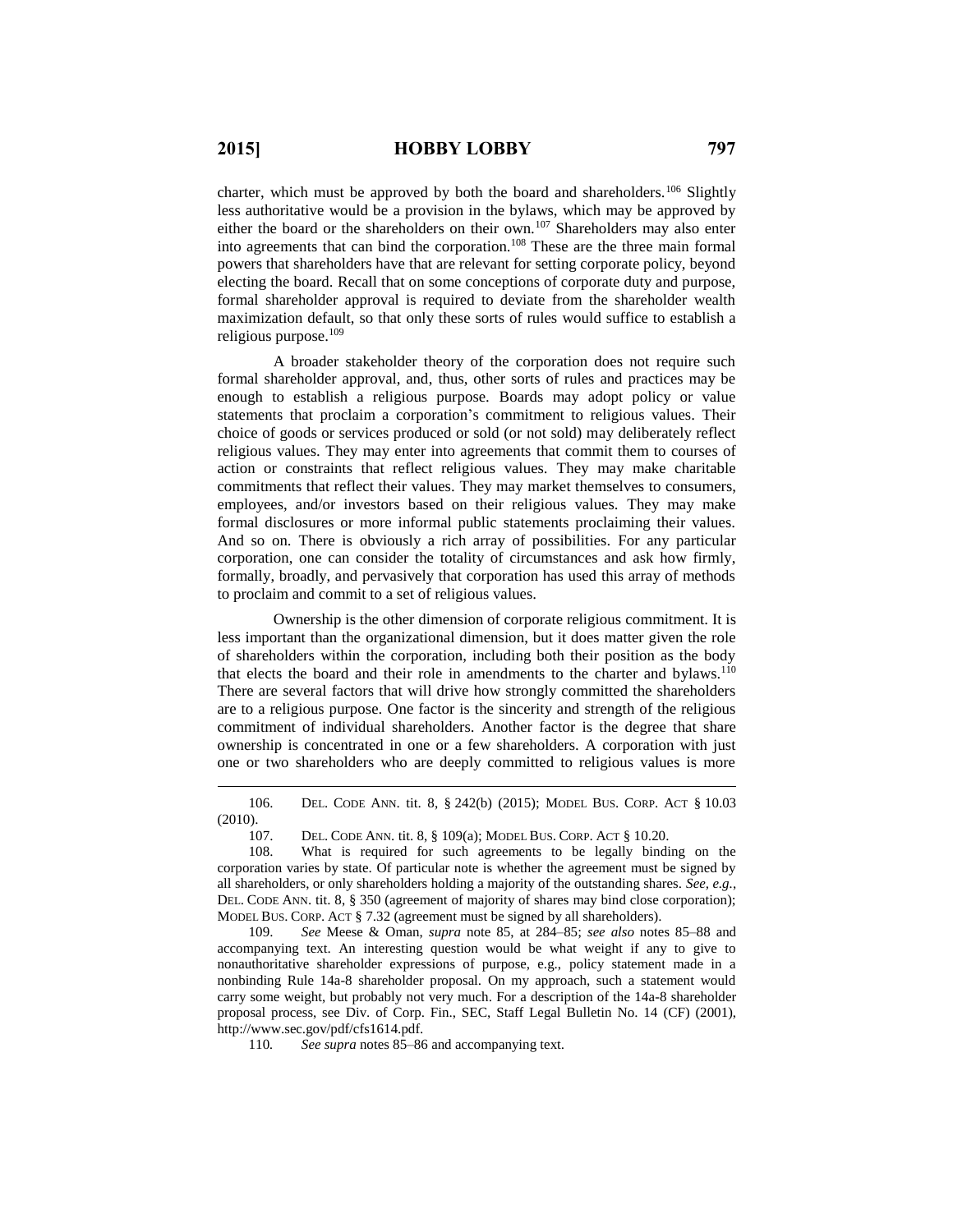$\overline{a}$ 

charter, which must be approved by both the board and shareholders.<sup>106</sup> Slightly less authoritative would be a provision in the bylaws, which may be approved by either the board or the shareholders on their own.<sup>107</sup> Shareholders may also enter into agreements that can bind the corporation.<sup>108</sup> These are the three main formal powers that shareholders have that are relevant for setting corporate policy, beyond electing the board. Recall that on some conceptions of corporate duty and purpose, formal shareholder approval is required to deviate from the shareholder wealth maximization default, so that only these sorts of rules would suffice to establish a religious purpose.<sup>109</sup>

A broader stakeholder theory of the corporation does not require such formal shareholder approval, and, thus, other sorts of rules and practices may be enough to establish a religious purpose. Boards may adopt policy or value statements that proclaim a corporation's commitment to religious values. Their choice of goods or services produced or sold (or not sold) may deliberately reflect religious values. They may enter into agreements that commit them to courses of action or constraints that reflect religious values. They may make charitable commitments that reflect their values. They may market themselves to consumers, employees, and/or investors based on their religious values. They may make formal disclosures or more informal public statements proclaiming their values. And so on. There is obviously a rich array of possibilities. For any particular corporation, one can consider the totality of circumstances and ask how firmly, formally, broadly, and pervasively that corporation has used this array of methods to proclaim and commit to a set of religious values.

Ownership is the other dimension of corporate religious commitment. It is less important than the organizational dimension, but it does matter given the role of shareholders within the corporation, including both their position as the body that elects the board and their role in amendments to the charter and bylaws.<sup>110</sup> There are several factors that will drive how strongly committed the shareholders are to a religious purpose. One factor is the sincerity and strength of the religious commitment of individual shareholders. Another factor is the degree that share ownership is concentrated in one or a few shareholders. A corporation with just one or two shareholders who are deeply committed to religious values is more

106. DEL. CODE ANN. tit. 8, § 242(b) (2015); MODEL BUS. CORP. ACT § 10.03 (2010).

107. DEL. CODE ANN. tit. 8, § 109(a); MODEL BUS. CORP. ACT § 10.20.

109. *See* Meese & Oman, *supra* note 85, at 284–85; *see also* notes 85–88 and accompanying text. An interesting question would be what weight if any to give to nonauthoritative shareholder expressions of purpose, e.g., policy statement made in a nonbinding Rule 14a-8 shareholder proposal. On my approach, such a statement would carry some weight, but probably not very much. For a description of the 14a-8 shareholder proposal process, see Div. of Corp. Fin., SEC, Staff Legal Bulletin No. 14 (CF) (2001), http://www.sec.gov/pdf/cfs1614.pdf.

110*. See supra* notes 85–86 and accompanying text.

<sup>108.</sup> What is required for such agreements to be legally binding on the corporation varies by state. Of particular note is whether the agreement must be signed by all shareholders, or only shareholders holding a majority of the outstanding shares. *See, e.g.*, DEL. CODE ANN. tit. 8, § 350 (agreement of majority of shares may bind close corporation); MODEL BUS. CORP. ACT § 7.32 (agreement must be signed by all shareholders).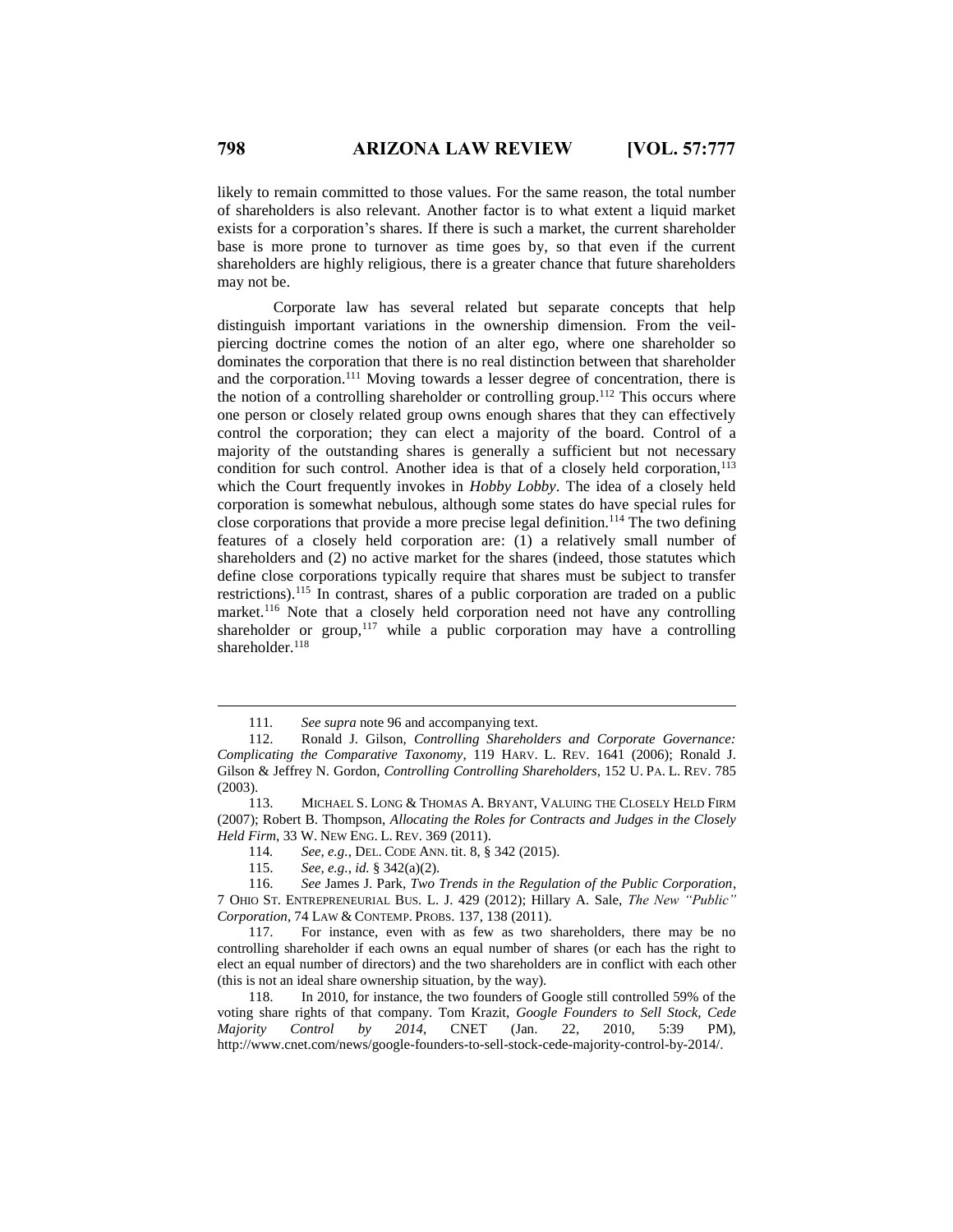likely to remain committed to those values. For the same reason, the total number of shareholders is also relevant. Another factor is to what extent a liquid market exists for a corporation's shares. If there is such a market, the current shareholder base is more prone to turnover as time goes by, so that even if the current shareholders are highly religious, there is a greater chance that future shareholders may not be.

Corporate law has several related but separate concepts that help distinguish important variations in the ownership dimension. From the veilpiercing doctrine comes the notion of an alter ego, where one shareholder so dominates the corporation that there is no real distinction between that shareholder and the corporation.<sup>111</sup> Moving towards a lesser degree of concentration, there is the notion of a controlling shareholder or controlling group.<sup>112</sup> This occurs where one person or closely related group owns enough shares that they can effectively control the corporation; they can elect a majority of the board. Control of a majority of the outstanding shares is generally a sufficient but not necessary condition for such control. Another idea is that of a closely held corporation, $113$ which the Court frequently invokes in *Hobby Lobby*. The idea of a closely held corporation is somewhat nebulous, although some states do have special rules for close corporations that provide a more precise legal definition.<sup>114</sup> The two defining features of a closely held corporation are: (1) a relatively small number of shareholders and (2) no active market for the shares (indeed, those statutes which define close corporations typically require that shares must be subject to transfer restrictions).<sup>115</sup> In contrast, shares of a public corporation are traded on a public market.<sup>116</sup> Note that a closely held corporation need not have any controlling shareholder or group,<sup>117</sup> while a public corporation may have a controlling shareholder.<sup>118</sup>

<sup>111</sup>*. See supra* note 96 and accompanying text.

<sup>112.</sup> Ronald J. Gilson, *Controlling Shareholders and Corporate Governance: Complicating the Comparative Taxonomy*, 119 HARV. L. REV. 1641 (2006); Ronald J. Gilson & Jeffrey N. Gordon, *Controlling Controlling Shareholders*, 152 U. PA. L. REV. 785 (2003).

<sup>113.</sup> MICHAEL S. LONG & THOMAS A. BRYANT, VALUING THE CLOSELY HELD FIRM (2007); Robert B. Thompson, *Allocating the Roles for Contracts and Judges in the Closely Held Firm*, 33 W. NEW ENG. L. REV. 369 (2011).

<sup>114</sup>*. See, e.g.*, DEL. CODE ANN. tit. 8, § 342 (2015).

<sup>115.</sup> *See, e.g.*, *id.* § 342(a)(2).

<sup>116.</sup> *See* James J. Park, *Two Trends in the Regulation of the Public Corporation*, 7 OHIO ST. ENTREPRENEURIAL BUS. L. J. 429 (2012); Hillary A. Sale, *The New "Public" Corporation*, 74 LAW & CONTEMP. PROBS. 137, 138 (2011).

<sup>117.</sup> For instance, even with as few as two shareholders, there may be no controlling shareholder if each owns an equal number of shares (or each has the right to elect an equal number of directors) and the two shareholders are in conflict with each other (this is not an ideal share ownership situation, by the way).

<sup>118.</sup> In 2010, for instance, the two founders of Google still controlled 59% of the voting share rights of that company. Tom Krazit, *Google Founders to Sell Stock, Cede Majority Control by 2014*, CNET (Jan. 22, 2010, 5:39 PM), http://www.cnet.com/news/google-founders-to-sell-stock-cede-majority-control-by-2014/.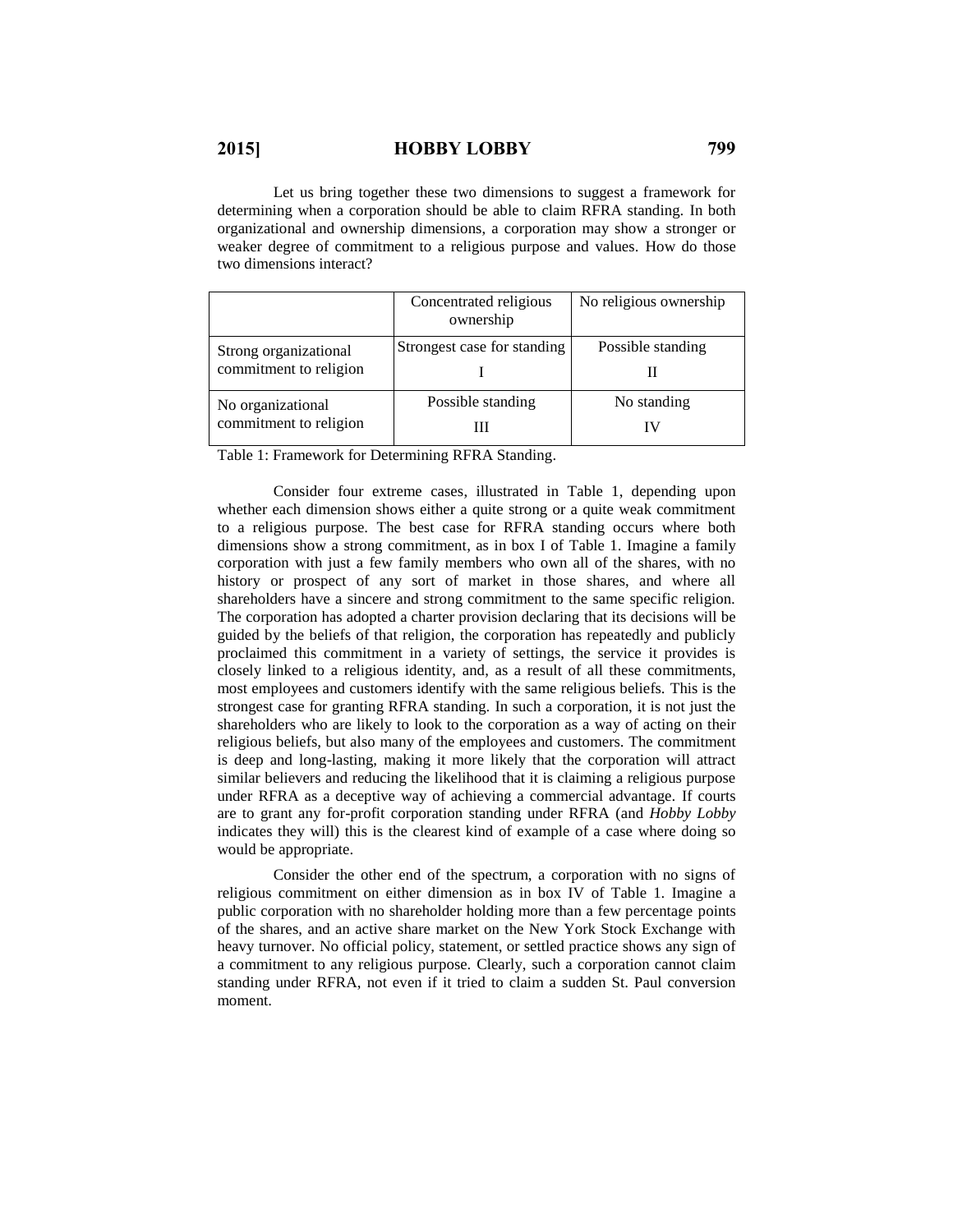Let us bring together these two dimensions to suggest a framework for determining when a corporation should be able to claim RFRA standing. In both organizational and ownership dimensions, a corporation may show a stronger or weaker degree of commitment to a religious purpose and values. How do those two dimensions interact?

|                                                 | Concentrated religious<br>ownership | No religious ownership |
|-------------------------------------------------|-------------------------------------|------------------------|
| Strong organizational<br>commitment to religion | Strongest case for standing         | Possible standing      |
|                                                 |                                     |                        |
| No organizational<br>commitment to religion     | Possible standing                   | No standing            |
|                                                 | Ш                                   | I V                    |

Table 1: Framework for Determining RFRA Standing.

Consider four extreme cases, illustrated in Table 1, depending upon whether each dimension shows either a quite strong or a quite weak commitment to a religious purpose. The best case for RFRA standing occurs where both dimensions show a strong commitment, as in box I of Table 1. Imagine a family corporation with just a few family members who own all of the shares, with no history or prospect of any sort of market in those shares, and where all shareholders have a sincere and strong commitment to the same specific religion. The corporation has adopted a charter provision declaring that its decisions will be guided by the beliefs of that religion, the corporation has repeatedly and publicly proclaimed this commitment in a variety of settings, the service it provides is closely linked to a religious identity, and, as a result of all these commitments, most employees and customers identify with the same religious beliefs. This is the strongest case for granting RFRA standing. In such a corporation, it is not just the shareholders who are likely to look to the corporation as a way of acting on their religious beliefs, but also many of the employees and customers. The commitment is deep and long-lasting, making it more likely that the corporation will attract similar believers and reducing the likelihood that it is claiming a religious purpose under RFRA as a deceptive way of achieving a commercial advantage. If courts are to grant any for-profit corporation standing under RFRA (and *Hobby Lobby* indicates they will) this is the clearest kind of example of a case where doing so would be appropriate.

Consider the other end of the spectrum, a corporation with no signs of religious commitment on either dimension as in box IV of Table 1. Imagine a public corporation with no shareholder holding more than a few percentage points of the shares, and an active share market on the New York Stock Exchange with heavy turnover. No official policy, statement, or settled practice shows any sign of a commitment to any religious purpose. Clearly, such a corporation cannot claim standing under RFRA, not even if it tried to claim a sudden St. Paul conversion moment.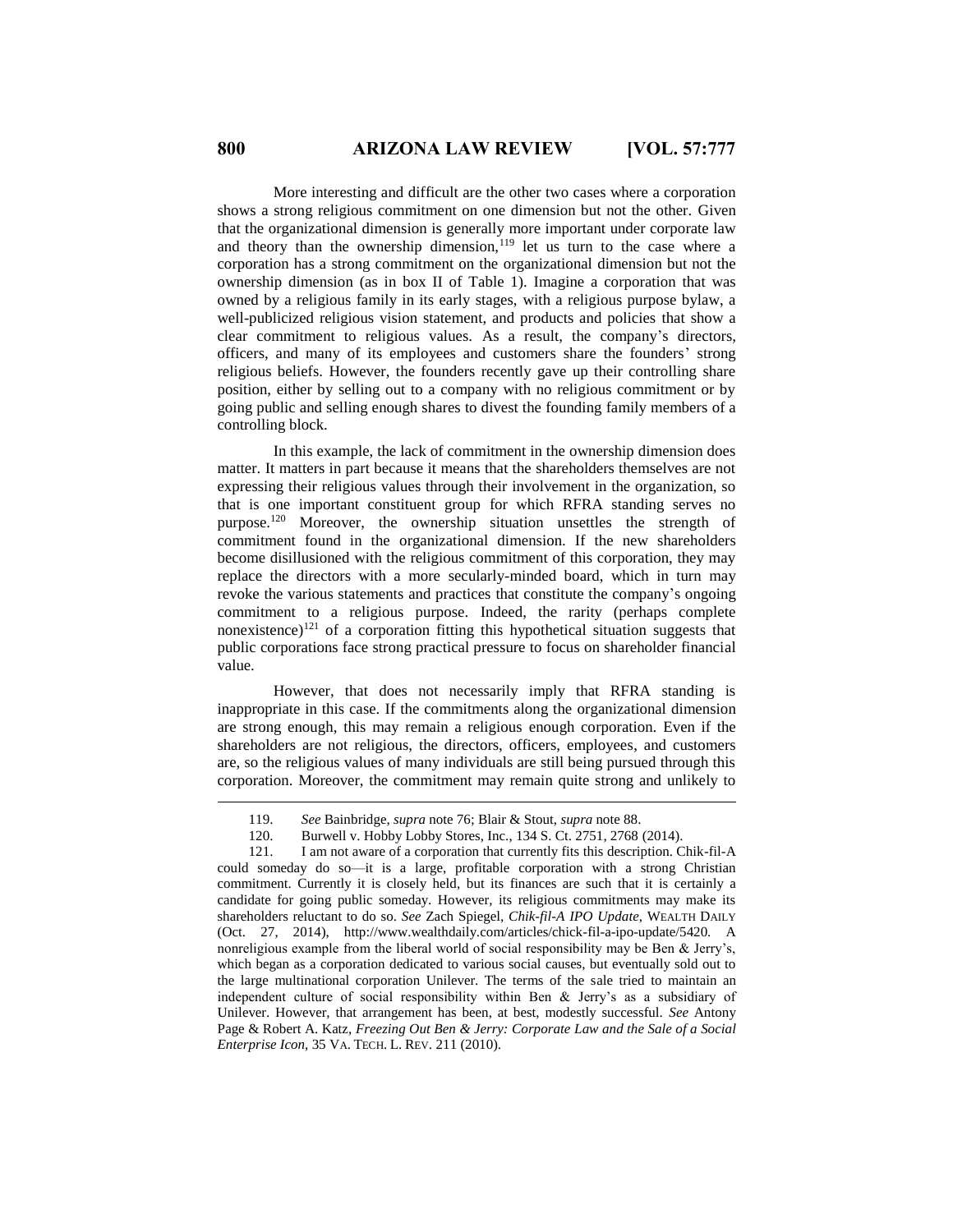More interesting and difficult are the other two cases where a corporation shows a strong religious commitment on one dimension but not the other. Given that the organizational dimension is generally more important under corporate law and theory than the ownership dimension,<sup>119</sup> let us turn to the case where a corporation has a strong commitment on the organizational dimension but not the ownership dimension (as in box II of Table 1). Imagine a corporation that was owned by a religious family in its early stages, with a religious purpose bylaw, a well-publicized religious vision statement, and products and policies that show a clear commitment to religious values. As a result, the company's directors, officers, and many of its employees and customers share the founders' strong religious beliefs. However, the founders recently gave up their controlling share position, either by selling out to a company with no religious commitment or by going public and selling enough shares to divest the founding family members of a controlling block.

In this example, the lack of commitment in the ownership dimension does matter. It matters in part because it means that the shareholders themselves are not expressing their religious values through their involvement in the organization, so that is one important constituent group for which RFRA standing serves no purpose.<sup>120</sup> Moreover, the ownership situation unsettles the strength of commitment found in the organizational dimension. If the new shareholders become disillusioned with the religious commitment of this corporation, they may replace the directors with a more secularly-minded board, which in turn may revoke the various statements and practices that constitute the company's ongoing commitment to a religious purpose. Indeed, the rarity (perhaps complete nonexistence)<sup>121</sup> of a corporation fitting this hypothetical situation suggests that public corporations face strong practical pressure to focus on shareholder financial value.

However, that does not necessarily imply that RFRA standing is inappropriate in this case. If the commitments along the organizational dimension are strong enough, this may remain a religious enough corporation. Even if the shareholders are not religious, the directors, officers, employees, and customers are, so the religious values of many individuals are still being pursued through this corporation. Moreover, the commitment may remain quite strong and unlikely to

<sup>119.</sup> *See* Bainbridge, *supra* note 76; Blair & Stout, *supra* note 88.

<sup>120.</sup> Burwell v. Hobby Lobby Stores, Inc., 134 S. Ct. 2751, 2768 (2014).

<sup>121.</sup> I am not aware of a corporation that currently fits this description. Chik-fil-A could someday do so—it is a large, profitable corporation with a strong Christian commitment. Currently it is closely held, but its finances are such that it is certainly a candidate for going public someday. However, its religious commitments may make its shareholders reluctant to do so. *See* Zach Spiegel, *Chik-fil-A IPO Update*, WEALTH DAILY (Oct. 27, 2014), http://www.wealthdaily.com/articles/chick-fil-a-ipo-update/5420. A nonreligious example from the liberal world of social responsibility may be Ben & Jerry's, which began as a corporation dedicated to various social causes, but eventually sold out to the large multinational corporation Unilever. The terms of the sale tried to maintain an independent culture of social responsibility within Ben & Jerry's as a subsidiary of Unilever. However, that arrangement has been, at best, modestly successful. *See* Antony Page & Robert A. Katz, *Freezing Out Ben & Jerry: Corporate Law and the Sale of a Social Enterprise Icon*, 35 VA. TECH. L. REV. 211 (2010).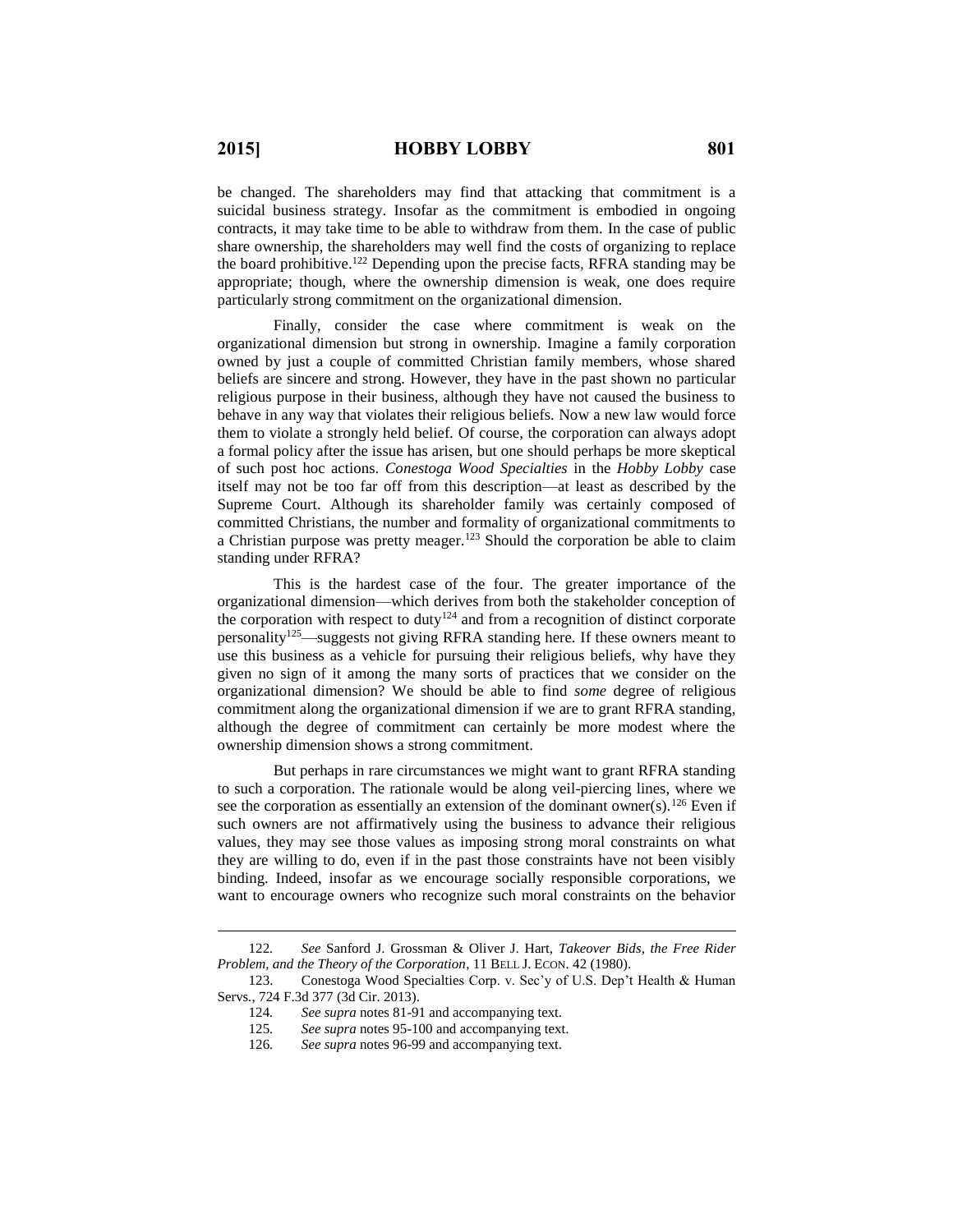$\overline{a}$ 

be changed. The shareholders may find that attacking that commitment is a suicidal business strategy. Insofar as the commitment is embodied in ongoing contracts, it may take time to be able to withdraw from them. In the case of public share ownership, the shareholders may well find the costs of organizing to replace the board prohibitive. <sup>122</sup> Depending upon the precise facts, RFRA standing may be appropriate; though, where the ownership dimension is weak, one does require particularly strong commitment on the organizational dimension.

Finally, consider the case where commitment is weak on the organizational dimension but strong in ownership. Imagine a family corporation owned by just a couple of committed Christian family members, whose shared beliefs are sincere and strong. However, they have in the past shown no particular religious purpose in their business, although they have not caused the business to behave in any way that violates their religious beliefs. Now a new law would force them to violate a strongly held belief. Of course, the corporation can always adopt a formal policy after the issue has arisen, but one should perhaps be more skeptical of such post hoc actions. *Conestoga Wood Specialties* in the *Hobby Lobby* case itself may not be too far off from this description—at least as described by the Supreme Court. Although its shareholder family was certainly composed of committed Christians, the number and formality of organizational commitments to a Christian purpose was pretty meager.<sup>123</sup> Should the corporation be able to claim standing under RFRA?

This is the hardest case of the four. The greater importance of the organizational dimension—which derives from both the stakeholder conception of the corporation with respect to duty<sup>124</sup> and from a recognition of distinct corporate personality<sup>125</sup>—suggests not giving RFRA standing here. If these owners meant to use this business as a vehicle for pursuing their religious beliefs, why have they given no sign of it among the many sorts of practices that we consider on the organizational dimension? We should be able to find *some* degree of religious commitment along the organizational dimension if we are to grant RFRA standing, although the degree of commitment can certainly be more modest where the ownership dimension shows a strong commitment.

But perhaps in rare circumstances we might want to grant RFRA standing to such a corporation. The rationale would be along veil-piercing lines, where we see the corporation as essentially an extension of the dominant owner(s).<sup>126</sup> Even if such owners are not affirmatively using the business to advance their religious values, they may see those values as imposing strong moral constraints on what they are willing to do, even if in the past those constraints have not been visibly binding. Indeed, insofar as we encourage socially responsible corporations, we want to encourage owners who recognize such moral constraints on the behavior

<sup>122</sup>*. See* Sanford J. Grossman & Oliver J. Hart, *Takeover Bids, the Free Rider Problem, and the Theory of the Corporation*, 11 BELL J. ECON. 42 (1980).

<sup>123.</sup> Conestoga Wood Specialties Corp. v. Sec'y of U.S. Dep't Health & Human Servs*.*, 724 F.3d 377 (3d Cir. 2013).

<sup>124</sup>*. See supra* notes 81-91 and accompanying text.

<sup>125</sup>*. See supra* notes 95-100 and accompanying text.

<sup>126</sup>*. See supra* notes 96-99 and accompanying text.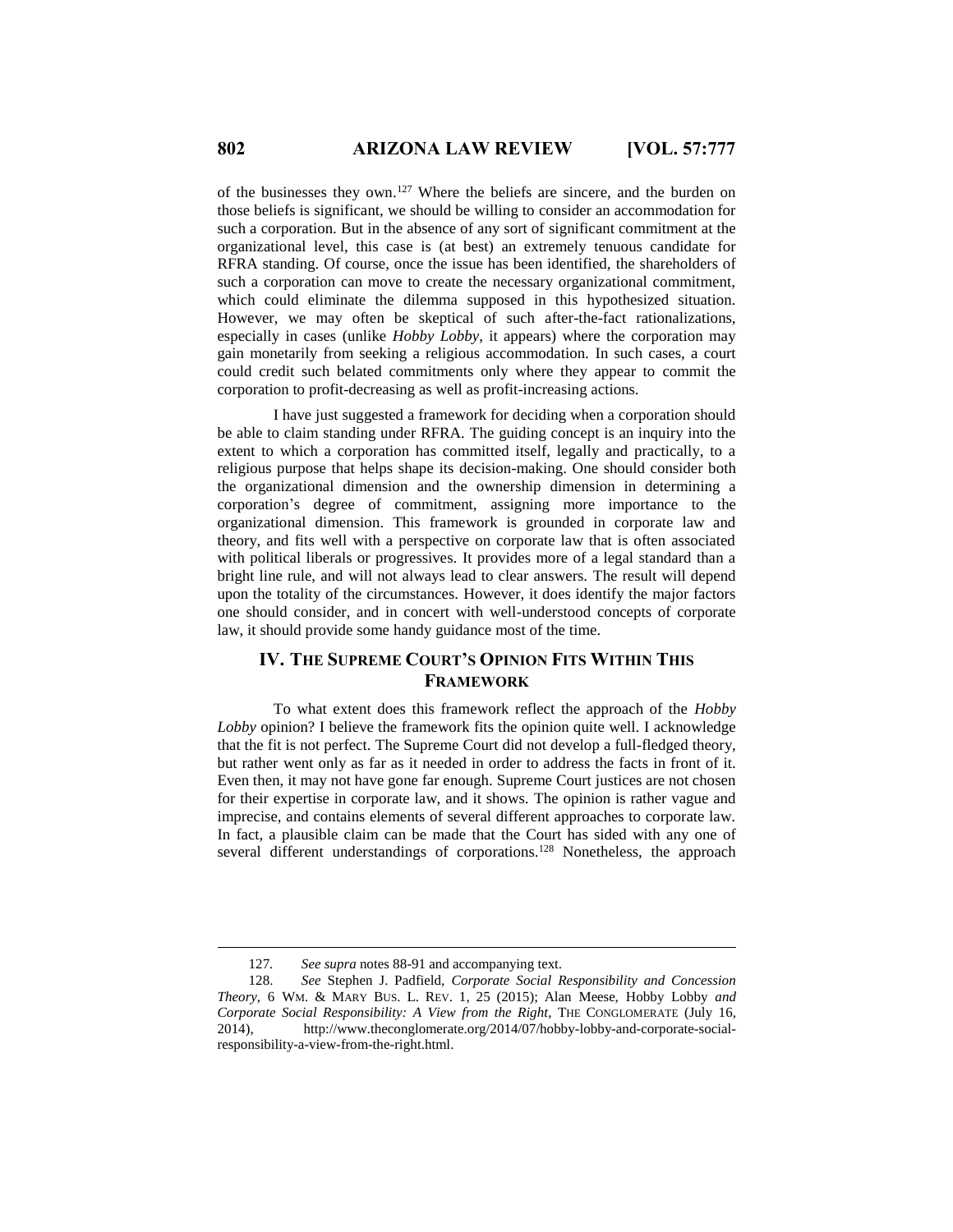of the businesses they own.<sup>127</sup> Where the beliefs are sincere, and the burden on those beliefs is significant, we should be willing to consider an accommodation for such a corporation. But in the absence of any sort of significant commitment at the organizational level, this case is (at best) an extremely tenuous candidate for RFRA standing. Of course, once the issue has been identified, the shareholders of such a corporation can move to create the necessary organizational commitment, which could eliminate the dilemma supposed in this hypothesized situation. However, we may often be skeptical of such after-the-fact rationalizations, especially in cases (unlike *Hobby Lobby*, it appears) where the corporation may gain monetarily from seeking a religious accommodation. In such cases, a court could credit such belated commitments only where they appear to commit the corporation to profit-decreasing as well as profit-increasing actions.

I have just suggested a framework for deciding when a corporation should be able to claim standing under RFRA. The guiding concept is an inquiry into the extent to which a corporation has committed itself, legally and practically, to a religious purpose that helps shape its decision-making. One should consider both the organizational dimension and the ownership dimension in determining a corporation's degree of commitment, assigning more importance to the organizational dimension. This framework is grounded in corporate law and theory, and fits well with a perspective on corporate law that is often associated with political liberals or progressives. It provides more of a legal standard than a bright line rule, and will not always lead to clear answers. The result will depend upon the totality of the circumstances. However, it does identify the major factors one should consider, and in concert with well-understood concepts of corporate law, it should provide some handy guidance most of the time.

# **IV. THE SUPREME COURT'S OPINION FITS WITHIN THIS FRAMEWORK**

To what extent does this framework reflect the approach of the *Hobby Lobby* opinion? I believe the framework fits the opinion quite well. I acknowledge that the fit is not perfect. The Supreme Court did not develop a full-fledged theory, but rather went only as far as it needed in order to address the facts in front of it. Even then, it may not have gone far enough. Supreme Court justices are not chosen for their expertise in corporate law, and it shows. The opinion is rather vague and imprecise, and contains elements of several different approaches to corporate law. In fact, a plausible claim can be made that the Court has sided with any one of several different understandings of corporations.<sup>128</sup> Nonetheless, the approach

<sup>127</sup>*. See supra* notes 88-91 and accompanying text.

<sup>128.</sup> *See* Stephen J. Padfield, *Corporate Social Responsibility and Concession Theory*, 6 WM. & MARY BUS. L. REV. 1, 25 (2015); Alan Meese, Hobby Lobby *and Corporate Social Responsibility: A View from the Right*, THE CONGLOMERATE (July 16, 2014), http://www.theconglomerate.org/2014/07/hobby-lobby-and-corporate-socialresponsibility-a-view-from-the-right.html.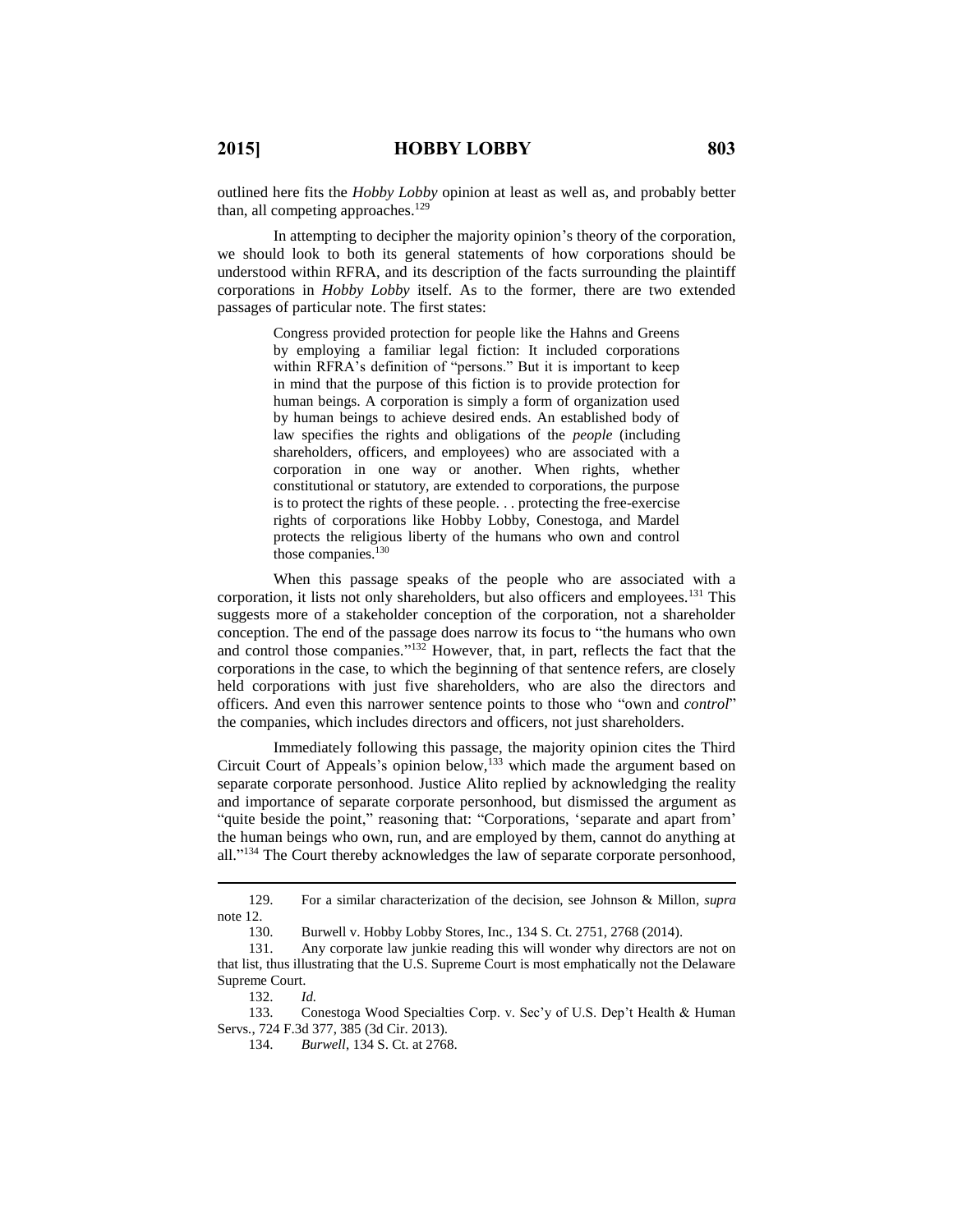outlined here fits the *Hobby Lobby* opinion at least as well as, and probably better than, all competing approaches.<sup>129</sup>

In attempting to decipher the majority opinion's theory of the corporation, we should look to both its general statements of how corporations should be understood within RFRA, and its description of the facts surrounding the plaintiff corporations in *Hobby Lobby* itself. As to the former, there are two extended passages of particular note. The first states:

> Congress provided protection for people like the Hahns and Greens by employing a familiar legal fiction: It included corporations within RFRA's definition of "persons." But it is important to keep in mind that the purpose of this fiction is to provide protection for human beings. A corporation is simply a form of organization used by human beings to achieve desired ends. An established body of law specifies the rights and obligations of the *people* (including shareholders, officers, and employees) who are associated with a corporation in one way or another. When rights, whether constitutional or statutory, are extended to corporations, the purpose is to protect the rights of these people. . . protecting the free-exercise rights of corporations like Hobby Lobby, Conestoga, and Mardel protects the religious liberty of the humans who own and control those companies.<sup>130</sup>

When this passage speaks of the people who are associated with a corporation, it lists not only shareholders, but also officers and employees.<sup>131</sup> This suggests more of a stakeholder conception of the corporation, not a shareholder conception. The end of the passage does narrow its focus to "the humans who own and control those companies."<sup>132</sup> However, that, in part, reflects the fact that the corporations in the case, to which the beginning of that sentence refers, are closely held corporations with just five shareholders, who are also the directors and officers. And even this narrower sentence points to those who "own and *control*" the companies, which includes directors and officers, not just shareholders.

Immediately following this passage, the majority opinion cites the Third Circuit Court of Appeals's opinion below, <sup>133</sup> which made the argument based on separate corporate personhood. Justice Alito replied by acknowledging the reality and importance of separate corporate personhood, but dismissed the argument as "quite beside the point," reasoning that: "Corporations, 'separate and apart from' the human beings who own, run, and are employed by them, cannot do anything at all."<sup>134</sup> The Court thereby acknowledges the law of separate corporate personhood,

 $\overline{a}$ 

133. Conestoga Wood Specialties Corp. v. Sec'y of U.S. Dep't Health & Human Servs*.*, 724 F.3d 377, 385 (3d Cir. 2013).

<sup>129.</sup> For a similar characterization of the decision, see Johnson & Millon, *supra* note 12.

<sup>130.</sup> Burwell v. Hobby Lobby Stores, Inc., 134 S. Ct. 2751, 2768 (2014).

<sup>131.</sup> Any corporate law junkie reading this will wonder why directors are not on that list, thus illustrating that the U.S. Supreme Court is most emphatically not the Delaware Supreme Court.

<sup>132.</sup> *Id.*

<sup>134.</sup> *Burwell*, 134 S. Ct. at 2768.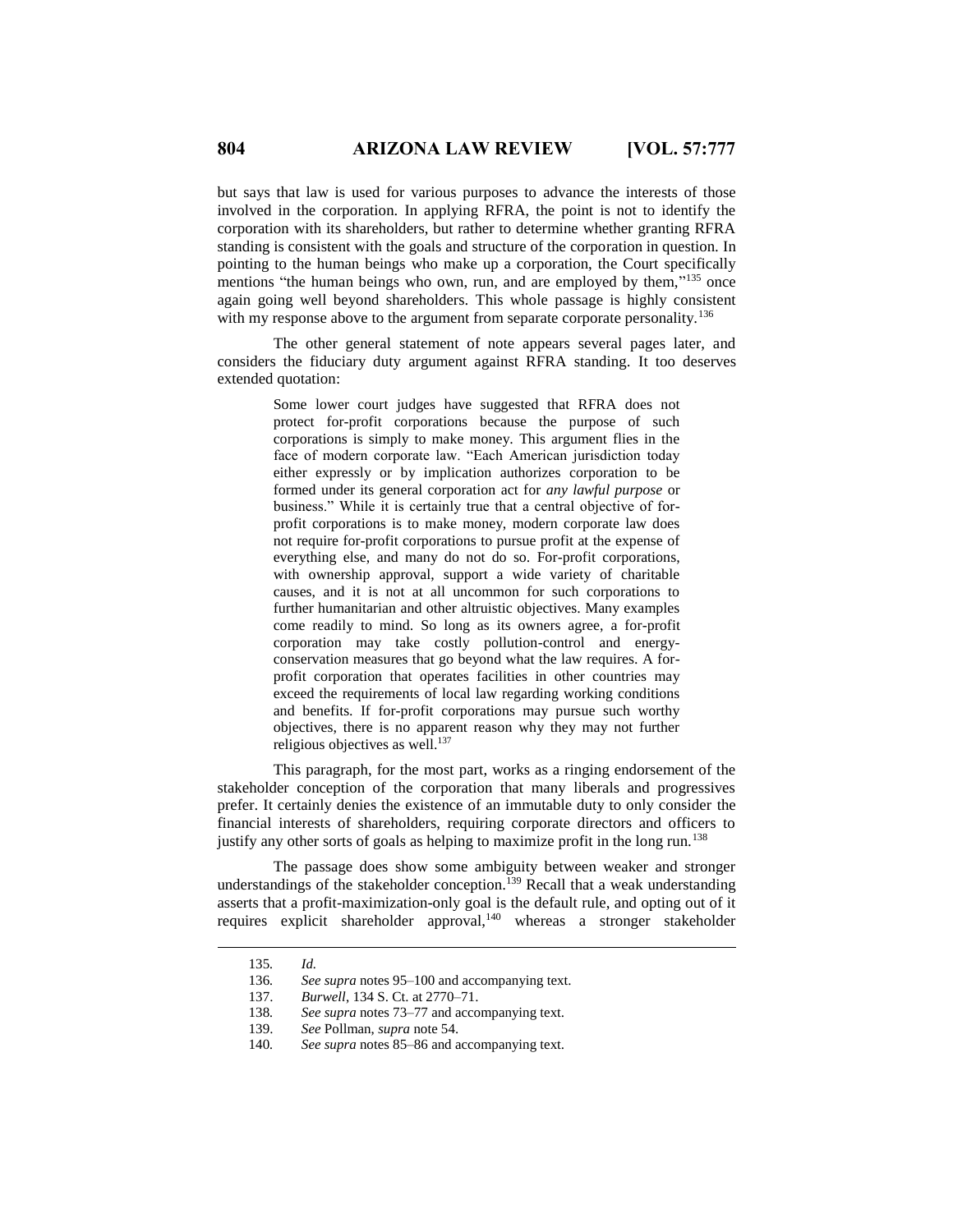but says that law is used for various purposes to advance the interests of those involved in the corporation. In applying RFRA, the point is not to identify the corporation with its shareholders, but rather to determine whether granting RFRA standing is consistent with the goals and structure of the corporation in question. In pointing to the human beings who make up a corporation, the Court specifically mentions "the human beings who own, run, and are employed by them,"<sup>135</sup> once again going well beyond shareholders. This whole passage is highly consistent with my response above to the argument from separate corporate personality.<sup>136</sup>

The other general statement of note appears several pages later, and considers the fiduciary duty argument against RFRA standing. It too deserves extended quotation:

> Some lower court judges have suggested that RFRA does not protect for-profit corporations because the purpose of such corporations is simply to make money. This argument flies in the face of modern corporate law. "Each American jurisdiction today either expressly or by implication authorizes corporation to be formed under its general corporation act for *any lawful purpose* or business." While it is certainly true that a central objective of forprofit corporations is to make money, modern corporate law does not require for-profit corporations to pursue profit at the expense of everything else, and many do not do so. For-profit corporations, with ownership approval, support a wide variety of charitable causes, and it is not at all uncommon for such corporations to further humanitarian and other altruistic objectives. Many examples come readily to mind. So long as its owners agree, a for-profit corporation may take costly pollution-control and energyconservation measures that go beyond what the law requires. A forprofit corporation that operates facilities in other countries may exceed the requirements of local law regarding working conditions and benefits. If for-profit corporations may pursue such worthy objectives, there is no apparent reason why they may not further religious objectives as well.<sup>137</sup>

This paragraph, for the most part, works as a ringing endorsement of the stakeholder conception of the corporation that many liberals and progressives prefer. It certainly denies the existence of an immutable duty to only consider the financial interests of shareholders, requiring corporate directors and officers to justify any other sorts of goals as helping to maximize profit in the long run.<sup>138</sup>

The passage does show some ambiguity between weaker and stronger understandings of the stakeholder conception.<sup>139</sup> Recall that a weak understanding asserts that a profit-maximization-only goal is the default rule, and opting out of it requires explicit shareholder approval,<sup>140</sup> whereas a stronger stakeholder

<sup>135</sup>*. Id.*

<sup>136</sup>*. See supra* notes 95–100 and accompanying text.

<sup>137.</sup> *Burwell*, 134 S. Ct. at 2770–71.

<sup>138</sup>*. See supra* notes 73–77 and accompanying text.

<sup>139.</sup> *See* Pollman, *supra* note 54.

<sup>140</sup>*. See supra* notes 85–86 and accompanying text.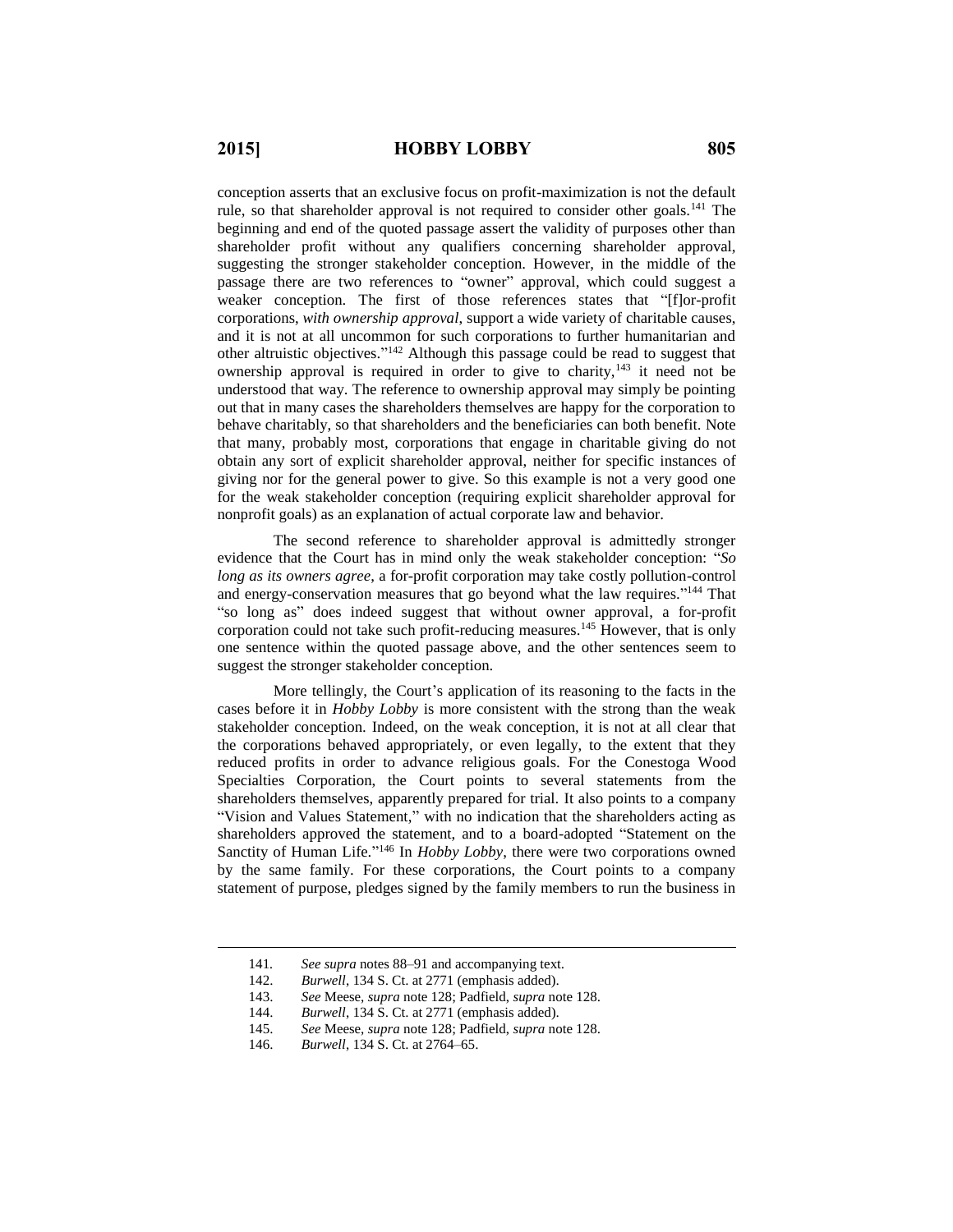conception asserts that an exclusive focus on profit-maximization is not the default rule, so that shareholder approval is not required to consider other goals.<sup>141</sup> The beginning and end of the quoted passage assert the validity of purposes other than shareholder profit without any qualifiers concerning shareholder approval, suggesting the stronger stakeholder conception. However, in the middle of the passage there are two references to "owner" approval, which could suggest a weaker conception. The first of those references states that "[f]or-profit corporations, *with ownership approval*, support a wide variety of charitable causes, and it is not at all uncommon for such corporations to further humanitarian and other altruistic objectives." <sup>142</sup> Although this passage could be read to suggest that ownership approval is required in order to give to charity, $143$  it need not be understood that way. The reference to ownership approval may simply be pointing out that in many cases the shareholders themselves are happy for the corporation to behave charitably, so that shareholders and the beneficiaries can both benefit. Note that many, probably most, corporations that engage in charitable giving do not obtain any sort of explicit shareholder approval, neither for specific instances of giving nor for the general power to give. So this example is not a very good one for the weak stakeholder conception (requiring explicit shareholder approval for nonprofit goals) as an explanation of actual corporate law and behavior.

The second reference to shareholder approval is admittedly stronger evidence that the Court has in mind only the weak stakeholder conception: "*So long as its owners agree*, a for-profit corporation may take costly pollution-control and energy-conservation measures that go beyond what the law requires."<sup>144</sup> That "so long as" does indeed suggest that without owner approval, a for-profit corporation could not take such profit-reducing measures.<sup>145</sup> However, that is only one sentence within the quoted passage above, and the other sentences seem to suggest the stronger stakeholder conception.

More tellingly, the Court's application of its reasoning to the facts in the cases before it in *Hobby Lobby* is more consistent with the strong than the weak stakeholder conception. Indeed, on the weak conception, it is not at all clear that the corporations behaved appropriately, or even legally, to the extent that they reduced profits in order to advance religious goals. For the Conestoga Wood Specialties Corporation, the Court points to several statements from the shareholders themselves, apparently prepared for trial. It also points to a company "Vision and Values Statement," with no indication that the shareholders acting as shareholders approved the statement, and to a board-adopted "Statement on the Sanctity of Human Life."<sup>146</sup> In *Hobby Lobby*, there were two corporations owned by the same family. For these corporations, the Court points to a company statement of purpose, pledges signed by the family members to run the business in

<sup>141</sup>*. See supra* notes 88–91 and accompanying text.

<sup>142.</sup> *Burwell*, 134 S. Ct. at 2771 (emphasis added).

<sup>143.</sup> *See* Meese, *supra* note 128; Padfield, *supra* note 128.

<sup>144.</sup> *Burwell*, 134 S. Ct. at 2771 (emphasis added).

<sup>145.</sup> *See* Meese, *supra* note 128; Padfield, *supra* note 128.

<sup>146.</sup> *Burwell*, 134 S. Ct. at 2764–65.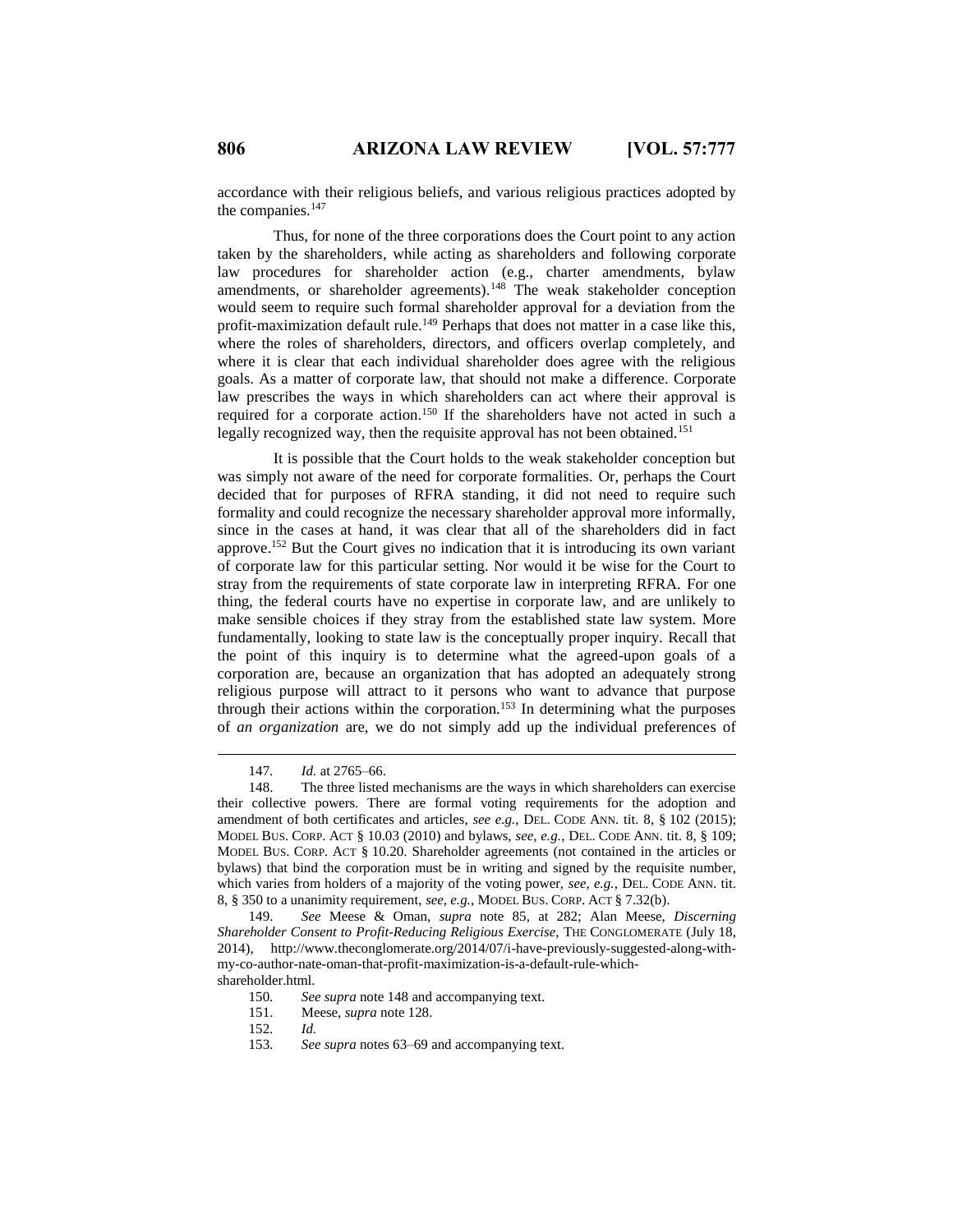accordance with their religious beliefs, and various religious practices adopted by the companies.<sup>147</sup>

Thus, for none of the three corporations does the Court point to any action taken by the shareholders, while acting as shareholders and following corporate law procedures for shareholder action (e.g., charter amendments, bylaw amendments, or shareholder agreements).<sup>148</sup> The weak stakeholder conception would seem to require such formal shareholder approval for a deviation from the profit-maximization default rule.<sup>149</sup> Perhaps that does not matter in a case like this, where the roles of shareholders, directors, and officers overlap completely, and where it is clear that each individual shareholder does agree with the religious goals. As a matter of corporate law, that should not make a difference. Corporate law prescribes the ways in which shareholders can act where their approval is required for a corporate action.<sup>150</sup> If the shareholders have not acted in such a legally recognized way, then the requisite approval has not been obtained.<sup>151</sup>

It is possible that the Court holds to the weak stakeholder conception but was simply not aware of the need for corporate formalities. Or, perhaps the Court decided that for purposes of RFRA standing, it did not need to require such formality and could recognize the necessary shareholder approval more informally, since in the cases at hand, it was clear that all of the shareholders did in fact approve.<sup>152</sup> But the Court gives no indication that it is introducing its own variant of corporate law for this particular setting. Nor would it be wise for the Court to stray from the requirements of state corporate law in interpreting RFRA. For one thing, the federal courts have no expertise in corporate law, and are unlikely to make sensible choices if they stray from the established state law system. More fundamentally, looking to state law is the conceptually proper inquiry. Recall that the point of this inquiry is to determine what the agreed-upon goals of a corporation are, because an organization that has adopted an adequately strong religious purpose will attract to it persons who want to advance that purpose through their actions within the corporation.<sup>153</sup> In determining what the purposes of *an organization* are, we do not simply add up the individual preferences of

 $\overline{a}$ 

153*. See supra* notes 63–69 and accompanying text.

<sup>147</sup>*. Id.* at 2765–66.

<sup>148.</sup> The three listed mechanisms are the ways in which shareholders can exercise their collective powers. There are formal voting requirements for the adoption and amendment of both certificates and articles, *see e.g.*, DEL. CODE ANN. tit. 8, § 102 (2015); MODEL BUS. CORP. ACT § 10.03 (2010) and bylaws, *see, e.g.*, DEL. CODE ANN. tit. 8, § 109; MODEL BUS. CORP. ACT § 10.20. Shareholder agreements (not contained in the articles or bylaws) that bind the corporation must be in writing and signed by the requisite number, which varies from holders of a majority of the voting power, *see, e.g.*, DEL. CODE ANN. tit. 8, § 350 to a unanimity requirement, *see, e.g.*, MODEL BUS. CORP. ACT § 7.32(b).

<sup>149.</sup> *See* Meese & Oman, *supra* note 85, at 282; Alan Meese, *Discerning Shareholder Consent to Profit-Reducing Religious Exercise*, THE CONGLOMERATE (July 18, 2014), http://www.theconglomerate.org/2014/07/i-have-previously-suggested-along-withmy-co-author-nate-oman-that-profit-maximization-is-a-default-rule-whichshareholder.html.

<sup>150</sup>*. See supra* note 148 and accompanying text.

<sup>151.</sup> Meese, *supra* note 128.

<sup>152</sup>*. Id.*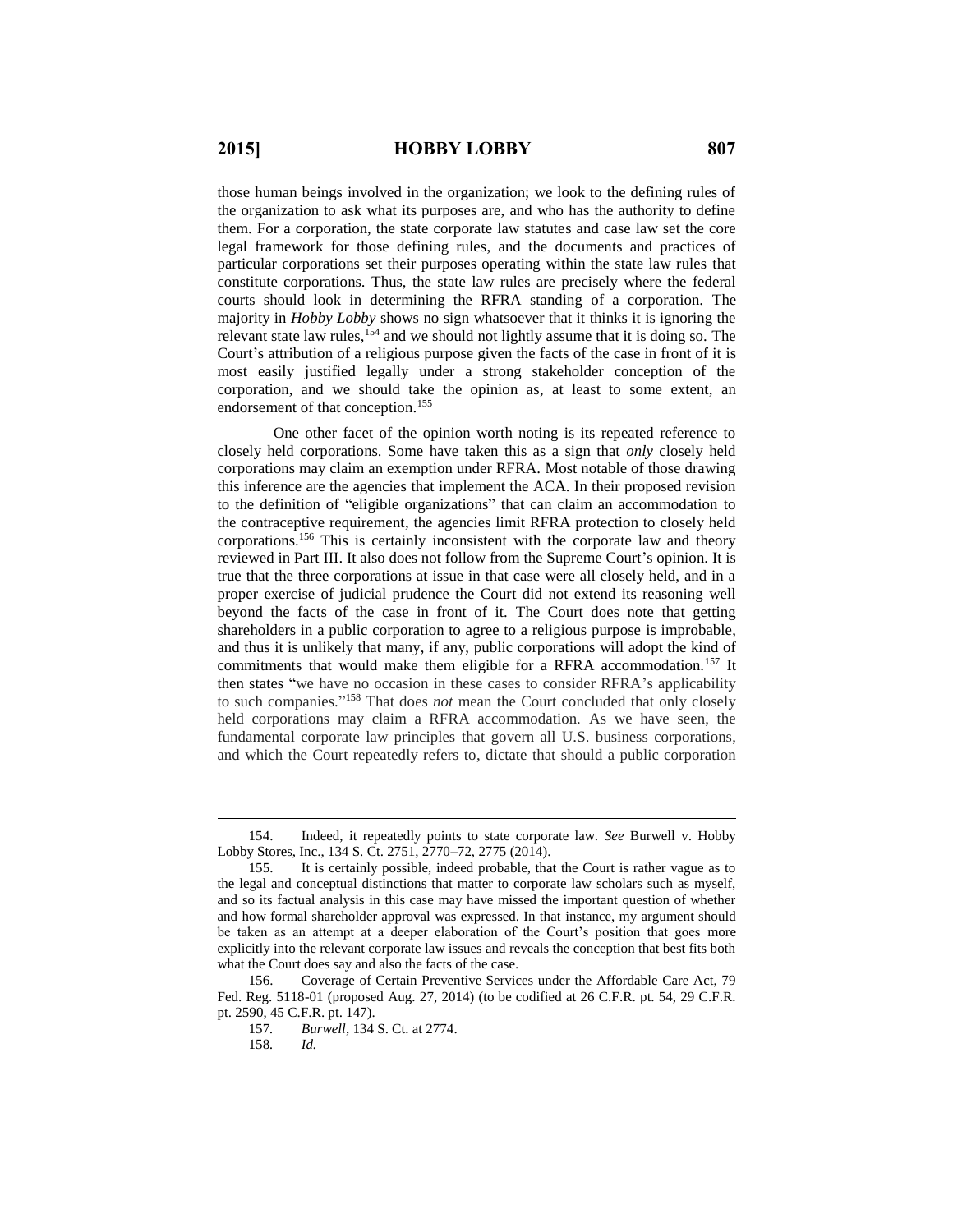those human beings involved in the organization; we look to the defining rules of the organization to ask what its purposes are, and who has the authority to define them. For a corporation, the state corporate law statutes and case law set the core legal framework for those defining rules, and the documents and practices of particular corporations set their purposes operating within the state law rules that constitute corporations. Thus, the state law rules are precisely where the federal courts should look in determining the RFRA standing of a corporation. The majority in *Hobby Lobby* shows no sign whatsoever that it thinks it is ignoring the relevant state law rules,  $154$  and we should not lightly assume that it is doing so. The Court's attribution of a religious purpose given the facts of the case in front of it is most easily justified legally under a strong stakeholder conception of the corporation, and we should take the opinion as, at least to some extent, an endorsement of that conception.<sup>155</sup>

One other facet of the opinion worth noting is its repeated reference to closely held corporations. Some have taken this as a sign that *only* closely held corporations may claim an exemption under RFRA. Most notable of those drawing this inference are the agencies that implement the ACA. In their proposed revision to the definition of "eligible organizations" that can claim an accommodation to the contraceptive requirement, the agencies limit RFRA protection to closely held corporations.<sup>156</sup> This is certainly inconsistent with the corporate law and theory reviewed in Part III. It also does not follow from the Supreme Court's opinion. It is true that the three corporations at issue in that case were all closely held, and in a proper exercise of judicial prudence the Court did not extend its reasoning well beyond the facts of the case in front of it. The Court does note that getting shareholders in a public corporation to agree to a religious purpose is improbable, and thus it is unlikely that many, if any, public corporations will adopt the kind of commitments that would make them eligible for a RFRA accommodation.<sup>157</sup> It then states "we have no occasion in these cases to consider RFRA's applicability to such companies." <sup>158</sup> That does *not* mean the Court concluded that only closely held corporations may claim a RFRA accommodation. As we have seen, the fundamental corporate law principles that govern all U.S. business corporations, and which the Court repeatedly refers to, dictate that should a public corporation

<sup>154.</sup> Indeed, it repeatedly points to state corporate law. *See* Burwell v. Hobby Lobby Stores, Inc., 134 S. Ct. 2751, 2770–72, 2775 (2014).

<sup>155.</sup> It is certainly possible, indeed probable, that the Court is rather vague as to the legal and conceptual distinctions that matter to corporate law scholars such as myself, and so its factual analysis in this case may have missed the important question of whether and how formal shareholder approval was expressed. In that instance, my argument should be taken as an attempt at a deeper elaboration of the Court's position that goes more explicitly into the relevant corporate law issues and reveals the conception that best fits both what the Court does say and also the facts of the case.

<sup>156.</sup> Coverage of Certain Preventive Services under the Affordable Care Act, 79 Fed. Reg. 5118-01 (proposed Aug. 27, 2014) (to be codified at 26 C.F.R. pt. 54, 29 C.F.R. pt. 2590, 45 C.F.R. pt. 147).

<sup>157</sup>*. Burwell*, 134 S. Ct. at 2774.

<sup>158</sup>*. Id.*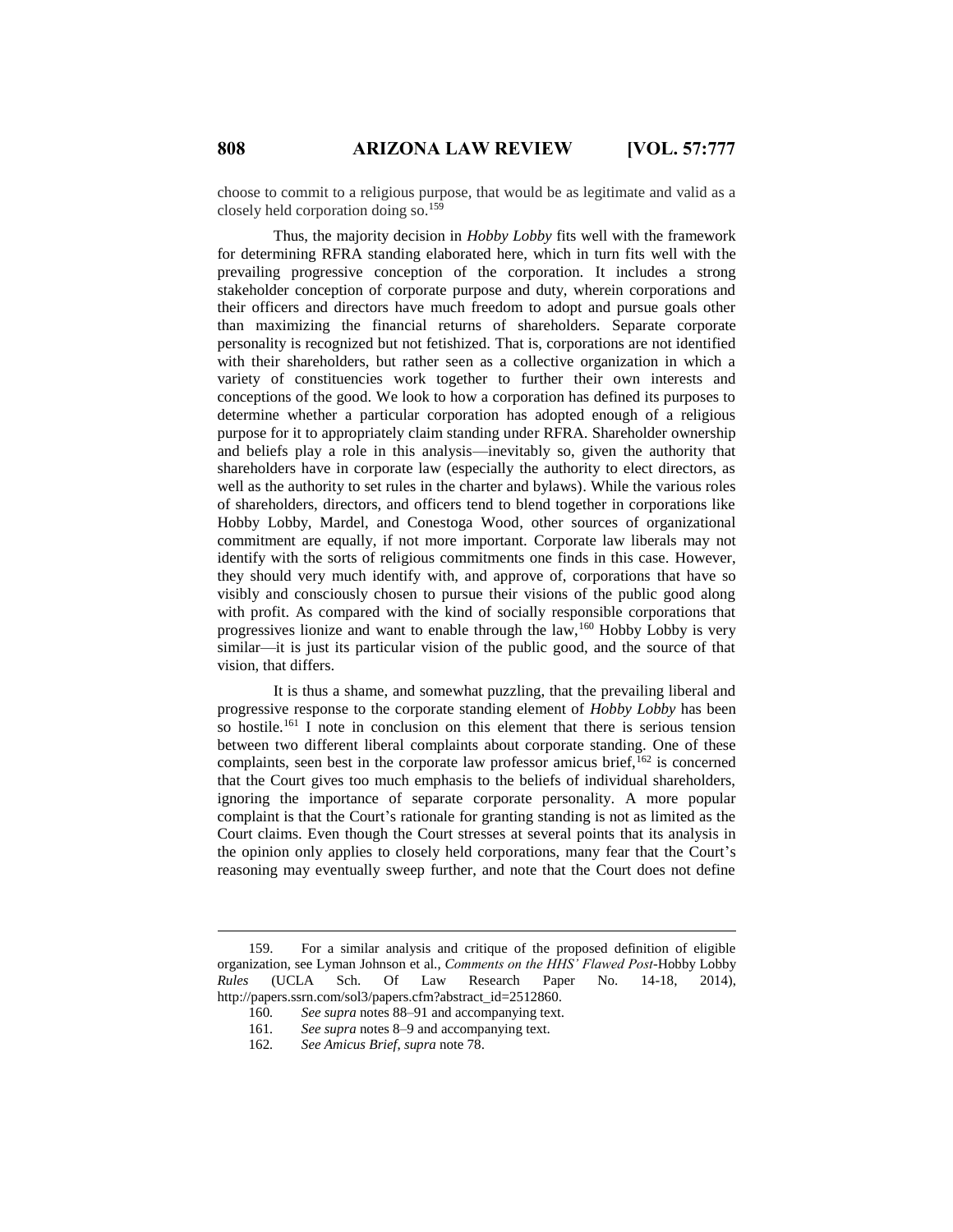choose to commit to a religious purpose, that would be as legitimate and valid as a closely held corporation doing so.<sup>159</sup>

Thus, the majority decision in *Hobby Lobby* fits well with the framework for determining RFRA standing elaborated here, which in turn fits well with the prevailing progressive conception of the corporation. It includes a strong stakeholder conception of corporate purpose and duty, wherein corporations and their officers and directors have much freedom to adopt and pursue goals other than maximizing the financial returns of shareholders. Separate corporate personality is recognized but not fetishized. That is, corporations are not identified with their shareholders, but rather seen as a collective organization in which a variety of constituencies work together to further their own interests and conceptions of the good. We look to how a corporation has defined its purposes to determine whether a particular corporation has adopted enough of a religious purpose for it to appropriately claim standing under RFRA. Shareholder ownership and beliefs play a role in this analysis—inevitably so, given the authority that shareholders have in corporate law (especially the authority to elect directors, as well as the authority to set rules in the charter and bylaws). While the various roles of shareholders, directors, and officers tend to blend together in corporations like Hobby Lobby, Mardel, and Conestoga Wood, other sources of organizational commitment are equally, if not more important. Corporate law liberals may not identify with the sorts of religious commitments one finds in this case. However, they should very much identify with, and approve of, corporations that have so visibly and consciously chosen to pursue their visions of the public good along with profit. As compared with the kind of socially responsible corporations that progressives lionize and want to enable through the law,<sup>160</sup> Hobby Lobby is very similar—it is just its particular vision of the public good, and the source of that vision, that differs.

It is thus a shame, and somewhat puzzling, that the prevailing liberal and progressive response to the corporate standing element of *Hobby Lobby* has been so hostile.<sup>161</sup> I note in conclusion on this element that there is serious tension between two different liberal complaints about corporate standing. One of these complaints, seen best in the corporate law professor amicus brief,  $^{162}$  is concerned that the Court gives too much emphasis to the beliefs of individual shareholders, ignoring the importance of separate corporate personality. A more popular complaint is that the Court's rationale for granting standing is not as limited as the Court claims. Even though the Court stresses at several points that its analysis in the opinion only applies to closely held corporations, many fear that the Court's reasoning may eventually sweep further, and note that the Court does not define

<sup>159.</sup> For a similar analysis and critique of the proposed definition of eligible organization, see Lyman Johnson et al., *Comments on the HHS' Flawed Post-*Hobby Lobby *Rules* (UCLA Sch. Of Law Research Paper No. 14-18, 2014), http://papers.ssrn.com/sol3/papers.cfm?abstract\_id=2512860.

<sup>160</sup>*. See supra* notes 88–91 and accompanying text.

<sup>161</sup>*. See supra* notes 8–9 and accompanying text.

<sup>162</sup>*. See Amicus Brief*, *supra* note 78.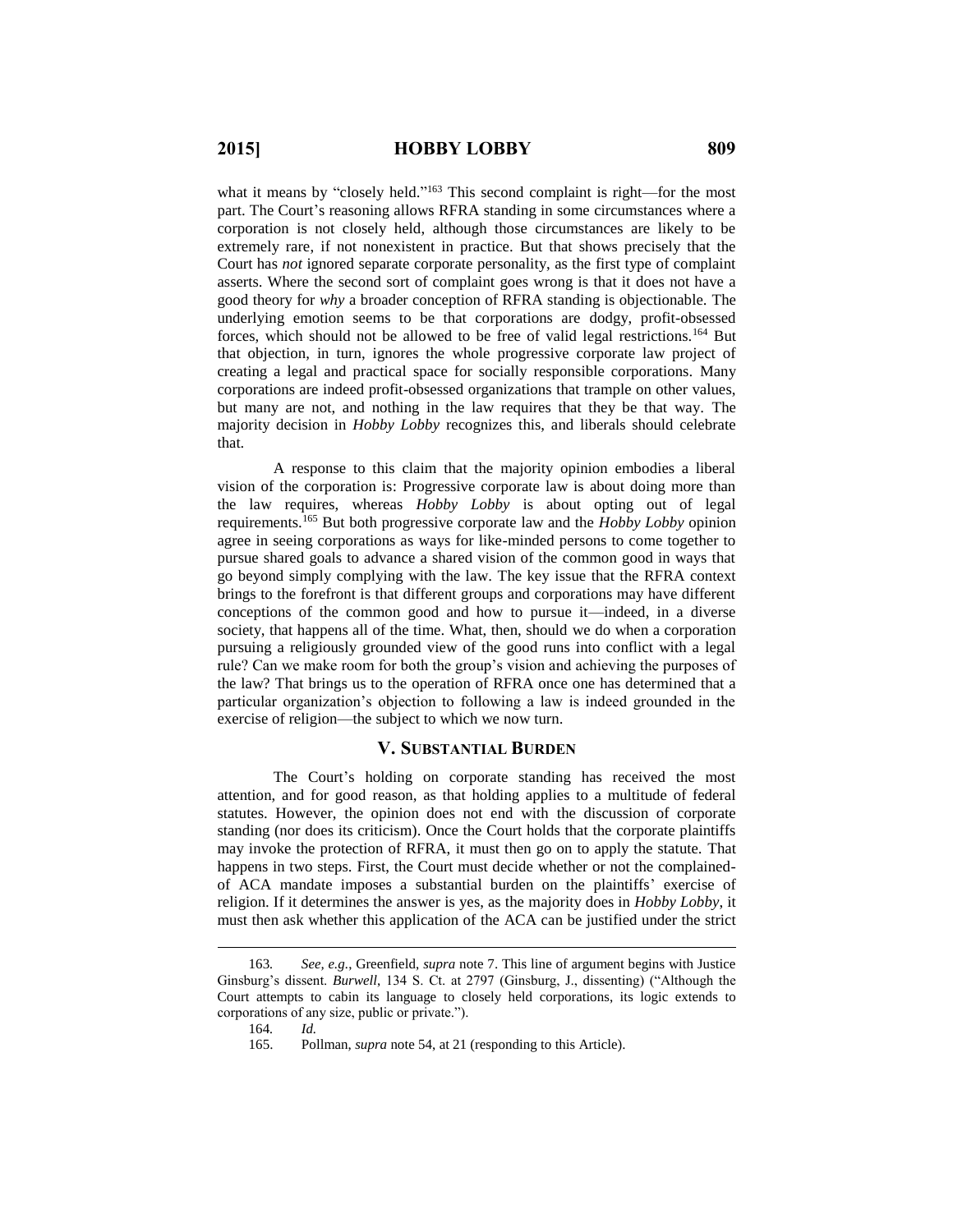what it means by "closely held."<sup>163</sup> This second complaint is right—for the most part. The Court's reasoning allows RFRA standing in some circumstances where a corporation is not closely held, although those circumstances are likely to be extremely rare, if not nonexistent in practice. But that shows precisely that the Court has *not* ignored separate corporate personality, as the first type of complaint asserts. Where the second sort of complaint goes wrong is that it does not have a good theory for *why* a broader conception of RFRA standing is objectionable. The underlying emotion seems to be that corporations are dodgy, profit-obsessed forces, which should not be allowed to be free of valid legal restrictions.<sup>164</sup> But that objection, in turn, ignores the whole progressive corporate law project of creating a legal and practical space for socially responsible corporations. Many corporations are indeed profit-obsessed organizations that trample on other values, but many are not, and nothing in the law requires that they be that way. The majority decision in *Hobby Lobby* recognizes this, and liberals should celebrate that.

A response to this claim that the majority opinion embodies a liberal vision of the corporation is: Progressive corporate law is about doing more than the law requires, whereas *Hobby Lobby* is about opting out of legal requirements.<sup>165</sup> But both progressive corporate law and the *Hobby Lobby* opinion agree in seeing corporations as ways for like-minded persons to come together to pursue shared goals to advance a shared vision of the common good in ways that go beyond simply complying with the law. The key issue that the RFRA context brings to the forefront is that different groups and corporations may have different conceptions of the common good and how to pursue it—indeed, in a diverse society, that happens all of the time. What, then, should we do when a corporation pursuing a religiously grounded view of the good runs into conflict with a legal rule? Can we make room for both the group's vision and achieving the purposes of the law? That brings us to the operation of RFRA once one has determined that a particular organization's objection to following a law is indeed grounded in the exercise of religion—the subject to which we now turn.

### **V. SUBSTANTIAL BURDEN**

The Court's holding on corporate standing has received the most attention, and for good reason, as that holding applies to a multitude of federal statutes. However, the opinion does not end with the discussion of corporate standing (nor does its criticism). Once the Court holds that the corporate plaintiffs may invoke the protection of RFRA, it must then go on to apply the statute. That happens in two steps. First, the Court must decide whether or not the complainedof ACA mandate imposes a substantial burden on the plaintiffs' exercise of religion. If it determines the answer is yes, as the majority does in *Hobby Lobby*, it must then ask whether this application of the ACA can be justified under the strict

<sup>163</sup>*. See, e.g.*, Greenfield, *supra* note 7. This line of argument begins with Justice Ginsburg's dissent. *Burwell*, 134 S. Ct. at 2797 (Ginsburg, J., dissenting) ("Although the Court attempts to cabin its language to closely held corporations, its logic extends to corporations of any size, public or private.").

<sup>164</sup>*. Id.*

<sup>165.</sup> Pollman, *supra* note 54, at 21 (responding to this Article).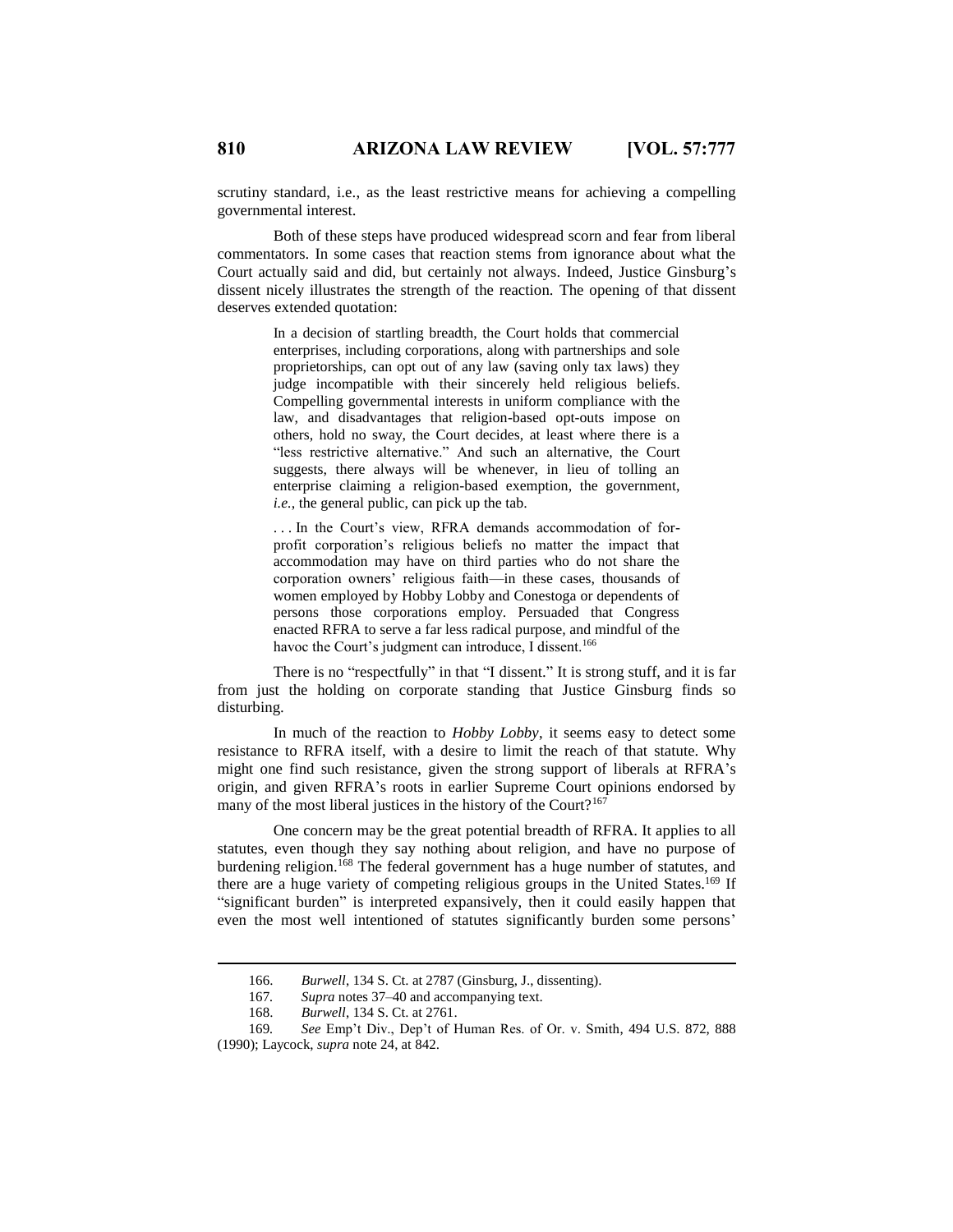scrutiny standard, i.e., as the least restrictive means for achieving a compelling governmental interest.

Both of these steps have produced widespread scorn and fear from liberal commentators. In some cases that reaction stems from ignorance about what the Court actually said and did, but certainly not always. Indeed, Justice Ginsburg's dissent nicely illustrates the strength of the reaction. The opening of that dissent deserves extended quotation:

> In a decision of startling breadth, the Court holds that commercial enterprises, including corporations, along with partnerships and sole proprietorships, can opt out of any law (saving only tax laws) they judge incompatible with their sincerely held religious beliefs. Compelling governmental interests in uniform compliance with the law, and disadvantages that religion-based opt-outs impose on others, hold no sway, the Court decides, at least where there is a "less restrictive alternative." And such an alternative, the Court suggests, there always will be whenever, in lieu of tolling an enterprise claiming a religion-based exemption, the government, *i.e.*, the general public, can pick up the tab.

> . . . In the Court's view, RFRA demands accommodation of forprofit corporation's religious beliefs no matter the impact that accommodation may have on third parties who do not share the corporation owners' religious faith—in these cases, thousands of women employed by Hobby Lobby and Conestoga or dependents of persons those corporations employ. Persuaded that Congress enacted RFRA to serve a far less radical purpose, and mindful of the havoc the Court's judgment can introduce, I dissent.<sup>166</sup>

There is no "respectfully" in that "I dissent." It is strong stuff, and it is far from just the holding on corporate standing that Justice Ginsburg finds so disturbing.

In much of the reaction to *Hobby Lobby*, it seems easy to detect some resistance to RFRA itself, with a desire to limit the reach of that statute. Why might one find such resistance, given the strong support of liberals at RFRA's origin, and given RFRA's roots in earlier Supreme Court opinions endorsed by many of the most liberal justices in the history of the Court?<sup>167</sup>

One concern may be the great potential breadth of RFRA. It applies to all statutes, even though they say nothing about religion, and have no purpose of burdening religion.<sup>168</sup> The federal government has a huge number of statutes, and there are a huge variety of competing religious groups in the United States.<sup>169</sup> If "significant burden" is interpreted expansively, then it could easily happen that even the most well intentioned of statutes significantly burden some persons'

<sup>166.</sup> *Burwell*, 134 S. Ct. at 2787 (Ginsburg, J., dissenting).

<sup>167</sup>*. Supra* notes 37–40 and accompanying text.

<sup>168.</sup> *Burwell*, 134 S. Ct. at 2761.

<sup>169</sup>*. See* Emp't Div., Dep't of Human Res. of Or. v. Smith, 494 U.S. 872, 888 (1990); Laycock, *supra* note 24, at 842.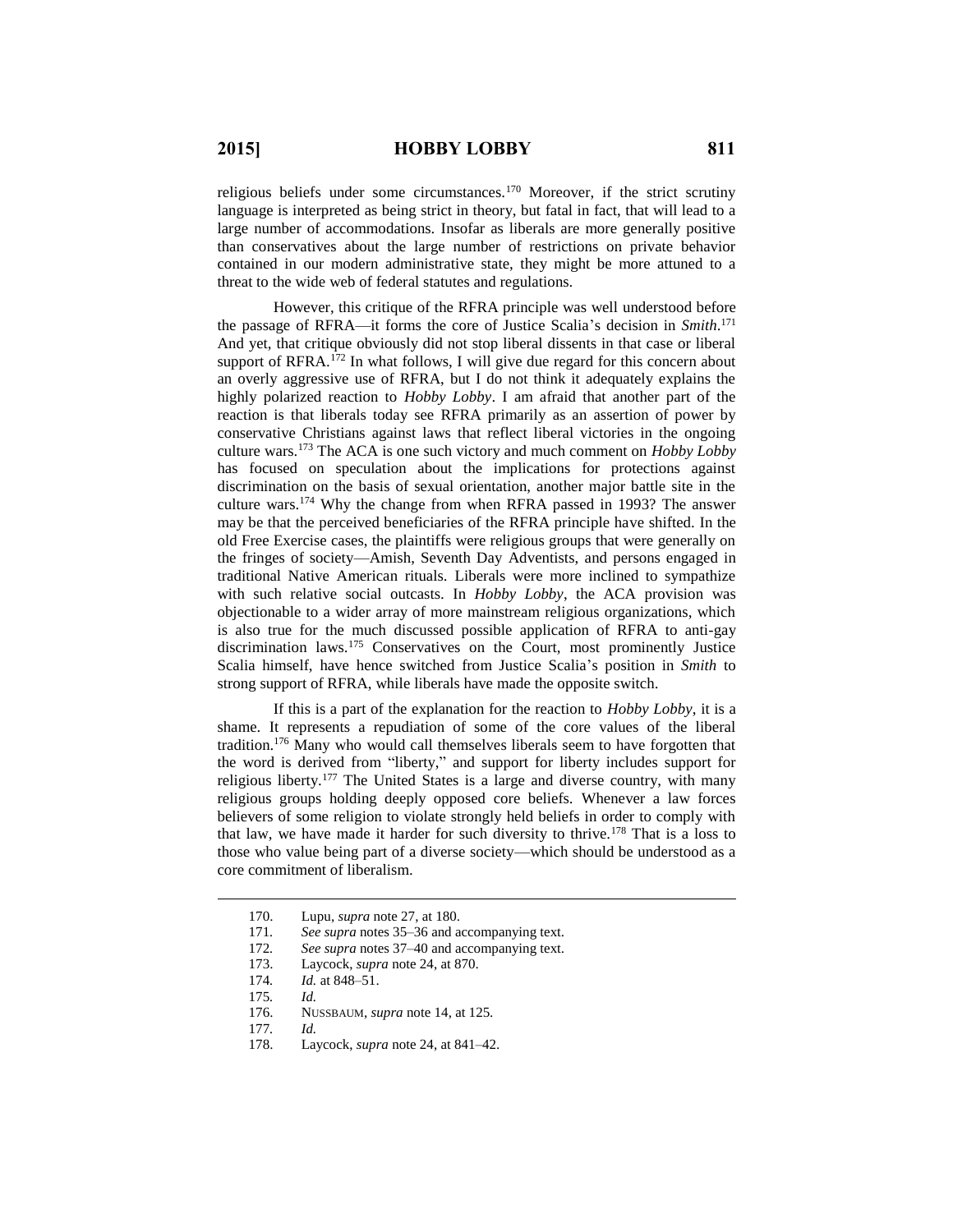religious beliefs under some circumstances.<sup>170</sup> Moreover, if the strict scrutiny language is interpreted as being strict in theory, but fatal in fact, that will lead to a large number of accommodations. Insofar as liberals are more generally positive than conservatives about the large number of restrictions on private behavior contained in our modern administrative state, they might be more attuned to a threat to the wide web of federal statutes and regulations.

However, this critique of the RFRA principle was well understood before the passage of RFRA—it forms the core of Justice Scalia's decision in *Smith*. 171 And yet, that critique obviously did not stop liberal dissents in that case or liberal support of RFRA.<sup>172</sup> In what follows, I will give due regard for this concern about an overly aggressive use of RFRA, but I do not think it adequately explains the highly polarized reaction to *Hobby Lobby*. I am afraid that another part of the reaction is that liberals today see RFRA primarily as an assertion of power by conservative Christians against laws that reflect liberal victories in the ongoing culture wars.<sup>173</sup> The ACA is one such victory and much comment on *Hobby Lobby* has focused on speculation about the implications for protections against discrimination on the basis of sexual orientation, another major battle site in the culture wars.<sup>174</sup> Why the change from when RFRA passed in 1993? The answer may be that the perceived beneficiaries of the RFRA principle have shifted. In the old Free Exercise cases, the plaintiffs were religious groups that were generally on the fringes of society—Amish, Seventh Day Adventists, and persons engaged in traditional Native American rituals. Liberals were more inclined to sympathize with such relative social outcasts. In *Hobby Lobby*, the ACA provision was objectionable to a wider array of more mainstream religious organizations, which is also true for the much discussed possible application of RFRA to anti-gay discrimination laws.<sup>175</sup> Conservatives on the Court, most prominently Justice Scalia himself, have hence switched from Justice Scalia's position in *Smith* to strong support of RFRA, while liberals have made the opposite switch.

If this is a part of the explanation for the reaction to *Hobby Lobby*, it is a shame. It represents a repudiation of some of the core values of the liberal tradition.<sup>176</sup> Many who would call themselves liberals seem to have forgotten that the word is derived from "liberty," and support for liberty includes support for religious liberty.<sup>177</sup> The United States is a large and diverse country, with many religious groups holding deeply opposed core beliefs. Whenever a law forces believers of some religion to violate strongly held beliefs in order to comply with that law, we have made it harder for such diversity to thrive.<sup>178</sup> That is a loss to those who value being part of a diverse society—which should be understood as a core commitment of liberalism.

 $\overline{a}$ 

178. Laycock, *supra* note 24, at 841–42.

<sup>170.</sup> Lupu, *supra* note 27, at 180.

<sup>171</sup>*. See supra* notes 35–36 and accompanying text.

<sup>172</sup>*. See supra* notes 37–40 and accompanying text.

<sup>173.</sup> Laycock, *supra* note 24, at 870.

<sup>174</sup>*. Id.* at 848–51.

<sup>175</sup>*. Id.*

<sup>176.</sup> NUSSBAUM, *supra* note 14, at 125.

<sup>177</sup>*. Id.*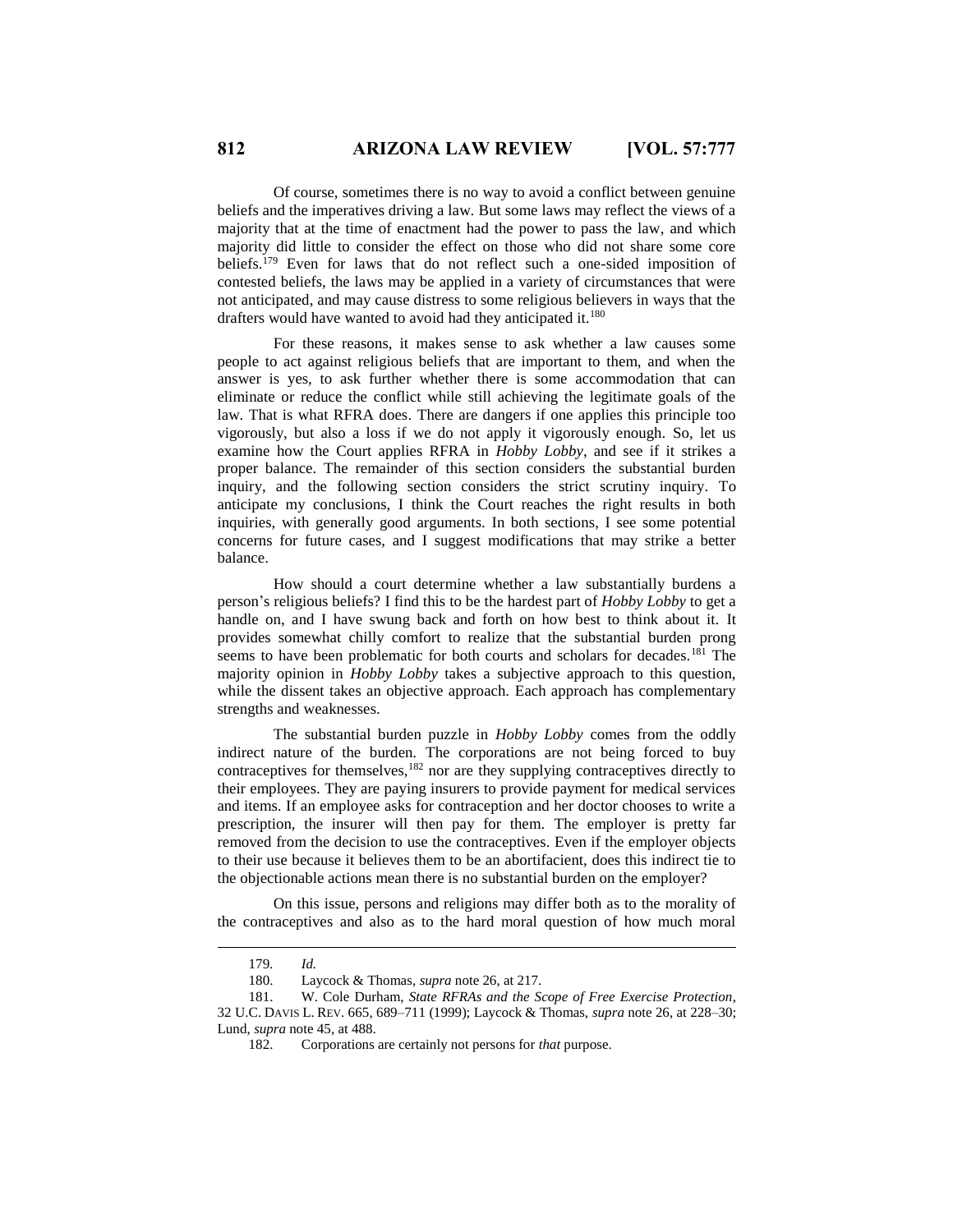Of course, sometimes there is no way to avoid a conflict between genuine beliefs and the imperatives driving a law. But some laws may reflect the views of a majority that at the time of enactment had the power to pass the law, and which majority did little to consider the effect on those who did not share some core beliefs.<sup>179</sup> Even for laws that do not reflect such a one-sided imposition of contested beliefs, the laws may be applied in a variety of circumstances that were not anticipated, and may cause distress to some religious believers in ways that the drafters would have wanted to avoid had they anticipated it.<sup>180</sup>

For these reasons, it makes sense to ask whether a law causes some people to act against religious beliefs that are important to them, and when the answer is yes, to ask further whether there is some accommodation that can eliminate or reduce the conflict while still achieving the legitimate goals of the law. That is what RFRA does. There are dangers if one applies this principle too vigorously, but also a loss if we do not apply it vigorously enough. So, let us examine how the Court applies RFRA in *Hobby Lobby*, and see if it strikes a proper balance. The remainder of this section considers the substantial burden inquiry, and the following section considers the strict scrutiny inquiry. To anticipate my conclusions, I think the Court reaches the right results in both inquiries, with generally good arguments. In both sections, I see some potential concerns for future cases, and I suggest modifications that may strike a better balance.

How should a court determine whether a law substantially burdens a person's religious beliefs? I find this to be the hardest part of *Hobby Lobby* to get a handle on, and I have swung back and forth on how best to think about it. It provides somewhat chilly comfort to realize that the substantial burden prong seems to have been problematic for both courts and scholars for decades.<sup>181</sup> The majority opinion in *Hobby Lobby* takes a subjective approach to this question, while the dissent takes an objective approach. Each approach has complementary strengths and weaknesses.

The substantial burden puzzle in *Hobby Lobby* comes from the oddly indirect nature of the burden. The corporations are not being forced to buy contraceptives for themselves, $182$  nor are they supplying contraceptives directly to their employees. They are paying insurers to provide payment for medical services and items. If an employee asks for contraception and her doctor chooses to write a prescription, the insurer will then pay for them. The employer is pretty far removed from the decision to use the contraceptives. Even if the employer objects to their use because it believes them to be an abortifacient, does this indirect tie to the objectionable actions mean there is no substantial burden on the employer?

On this issue, persons and religions may differ both as to the morality of the contraceptives and also as to the hard moral question of how much moral

<sup>179</sup>*. Id.*

<sup>180.</sup> Laycock & Thomas, *supra* note 26, at 217.

<sup>181.</sup> W. Cole Durham, *State RFRAs and the Scope of Free Exercise Protection*, 32 U.C. DAVIS L. REV. 665, 689–711 (1999); Laycock & Thomas, *supra* note 26, at 228–30; Lund, *supra* note 45, at 488.

<sup>182.</sup> Corporations are certainly not persons for *that* purpose.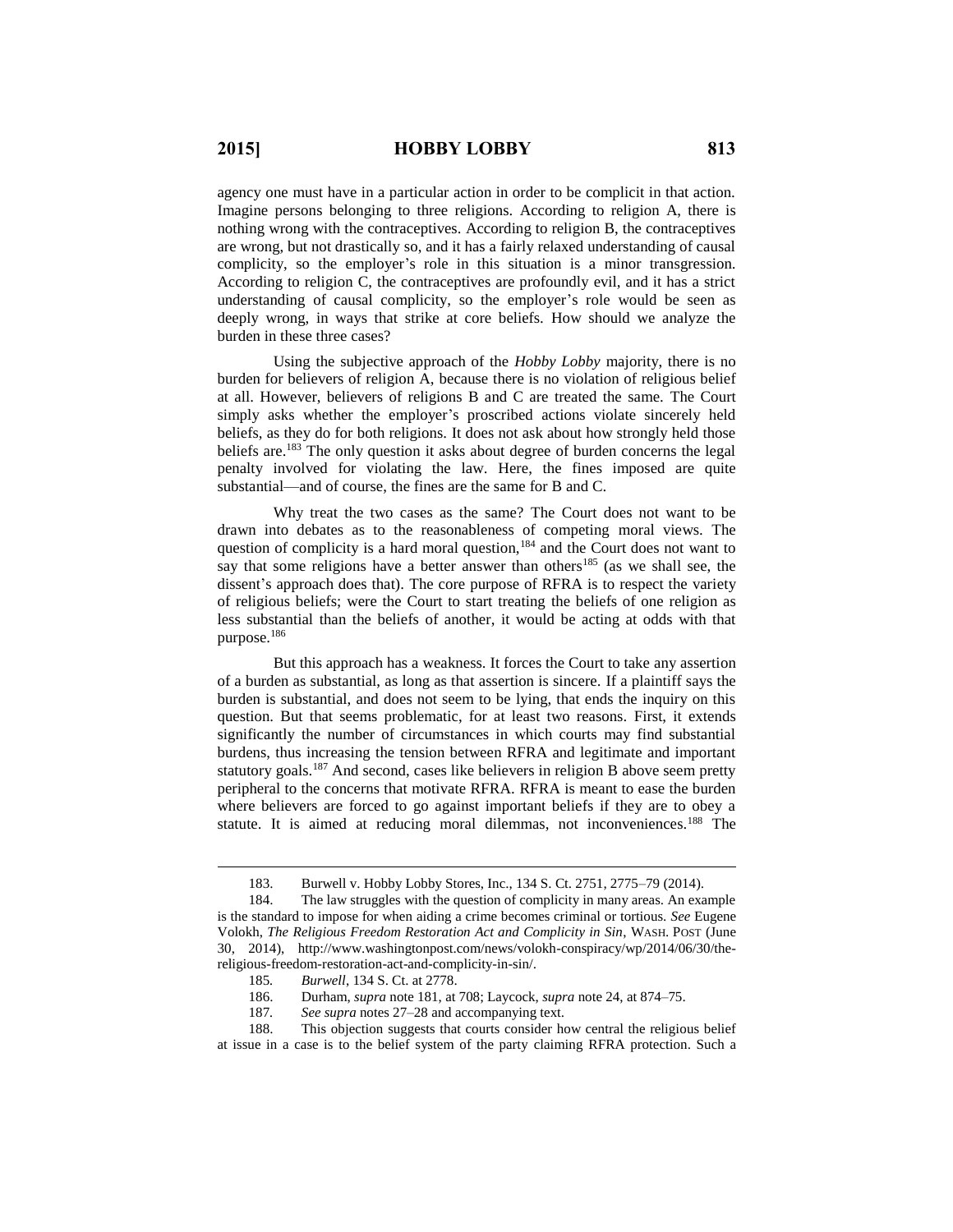agency one must have in a particular action in order to be complicit in that action. Imagine persons belonging to three religions. According to religion A, there is nothing wrong with the contraceptives. According to religion B, the contraceptives are wrong, but not drastically so, and it has a fairly relaxed understanding of causal complicity, so the employer's role in this situation is a minor transgression. According to religion C, the contraceptives are profoundly evil, and it has a strict understanding of causal complicity, so the employer's role would be seen as deeply wrong, in ways that strike at core beliefs. How should we analyze the burden in these three cases?

Using the subjective approach of the *Hobby Lobby* majority, there is no burden for believers of religion A, because there is no violation of religious belief at all. However, believers of religions B and C are treated the same. The Court simply asks whether the employer's proscribed actions violate sincerely held beliefs, as they do for both religions. It does not ask about how strongly held those beliefs are.<sup>183</sup> The only question it asks about degree of burden concerns the legal penalty involved for violating the law. Here, the fines imposed are quite substantial—and of course, the fines are the same for B and C.

Why treat the two cases as the same? The Court does not want to be drawn into debates as to the reasonableness of competing moral views. The question of complicity is a hard moral question,<sup>184</sup> and the Court does not want to say that some religions have a better answer than others<sup>185</sup> (as we shall see, the dissent's approach does that). The core purpose of RFRA is to respect the variety of religious beliefs; were the Court to start treating the beliefs of one religion as less substantial than the beliefs of another, it would be acting at odds with that purpose.<sup>186</sup>

But this approach has a weakness. It forces the Court to take any assertion of a burden as substantial, as long as that assertion is sincere. If a plaintiff says the burden is substantial, and does not seem to be lying, that ends the inquiry on this question. But that seems problematic, for at least two reasons. First, it extends significantly the number of circumstances in which courts may find substantial burdens, thus increasing the tension between RFRA and legitimate and important statutory goals.<sup>187</sup> And second, cases like believers in religion B above seem pretty peripheral to the concerns that motivate RFRA. RFRA is meant to ease the burden where believers are forced to go against important beliefs if they are to obey a statute. It is aimed at reducing moral dilemmas, not inconveniences.<sup>188</sup> The

<sup>183.</sup> Burwell v. Hobby Lobby Stores, Inc., 134 S. Ct. 2751, 2775–79 (2014).

<sup>184.</sup> The law struggles with the question of complicity in many areas. An example is the standard to impose for when aiding a crime becomes criminal or tortious. *See* Eugene Volokh, *The Religious Freedom Restoration Act and Complicity in Sin*, WASH. POST (June 30, 2014), http://www.washingtonpost.com/news/volokh-conspiracy/wp/2014/06/30/thereligious-freedom-restoration-act-and-complicity-in-sin/.

<sup>185</sup>*. Burwell*, 134 S. Ct. at 2778.

<sup>186.</sup> Durham, *supra* note 181, at 708; Laycock, *supra* note 24, at 874–75.

<sup>187</sup>*. See supra* notes 27–28 and accompanying text.

<sup>188.</sup> This objection suggests that courts consider how central the religious belief at issue in a case is to the belief system of the party claiming RFRA protection. Such a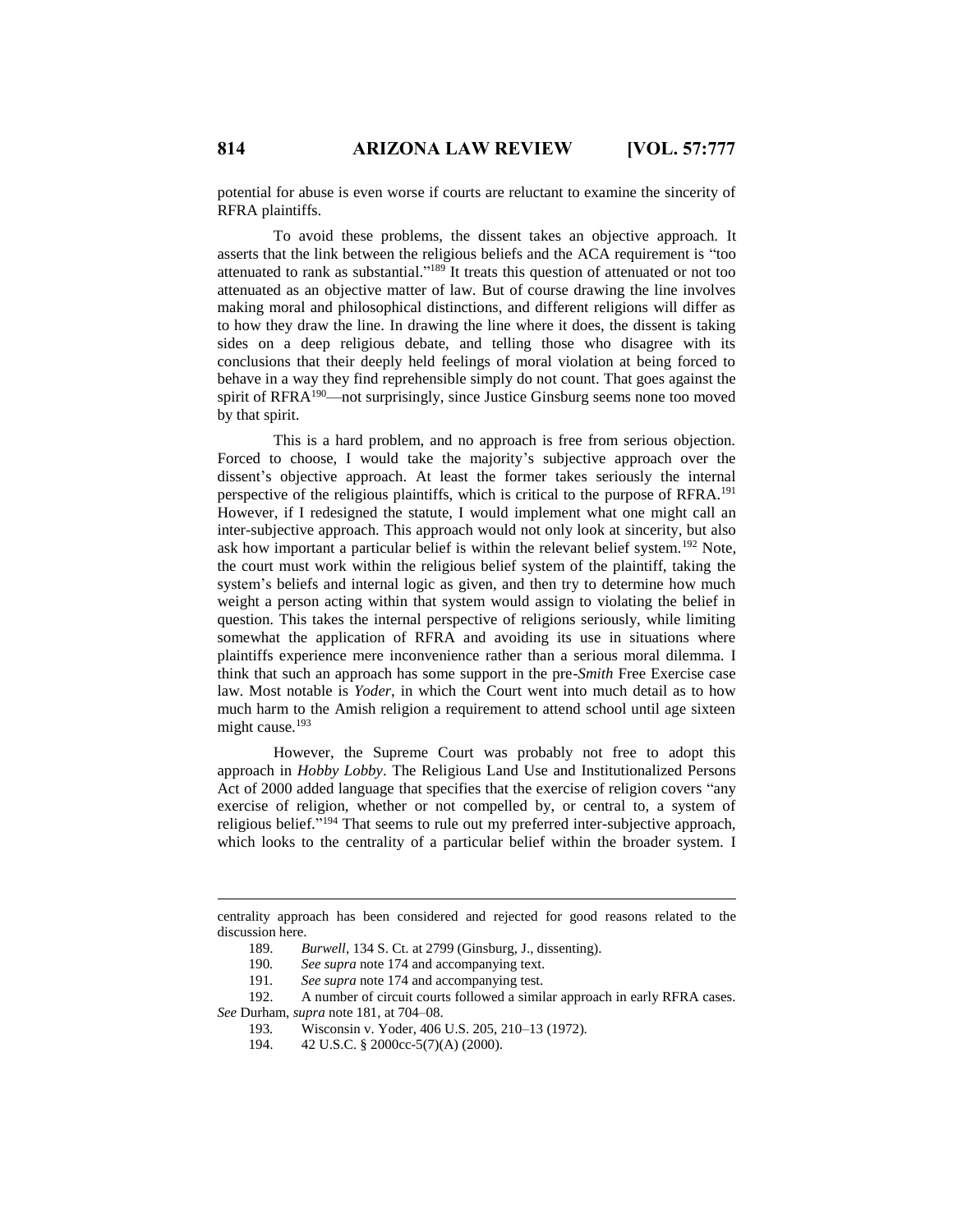potential for abuse is even worse if courts are reluctant to examine the sincerity of RFRA plaintiffs.

To avoid these problems, the dissent takes an objective approach. It asserts that the link between the religious beliefs and the ACA requirement is "too attenuated to rank as substantial." <sup>189</sup> It treats this question of attenuated or not too attenuated as an objective matter of law. But of course drawing the line involves making moral and philosophical distinctions, and different religions will differ as to how they draw the line. In drawing the line where it does, the dissent is taking sides on a deep religious debate, and telling those who disagree with its conclusions that their deeply held feelings of moral violation at being forced to behave in a way they find reprehensible simply do not count. That goes against the spirit of RFRA<sup>190</sup>—not surprisingly, since Justice Ginsburg seems none too moved by that spirit.

This is a hard problem, and no approach is free from serious objection. Forced to choose, I would take the majority's subjective approach over the dissent's objective approach. At least the former takes seriously the internal perspective of the religious plaintiffs, which is critical to the purpose of RFRA.<sup>191</sup> However, if I redesigned the statute, I would implement what one might call an inter-subjective approach. This approach would not only look at sincerity, but also ask how important a particular belief is within the relevant belief system.<sup>192</sup> Note, the court must work within the religious belief system of the plaintiff, taking the system's beliefs and internal logic as given, and then try to determine how much weight a person acting within that system would assign to violating the belief in question. This takes the internal perspective of religions seriously, while limiting somewhat the application of RFRA and avoiding its use in situations where plaintiffs experience mere inconvenience rather than a serious moral dilemma. I think that such an approach has some support in the pre-*Smith* Free Exercise case law. Most notable is *Yoder*, in which the Court went into much detail as to how much harm to the Amish religion a requirement to attend school until age sixteen might cause.<sup>193</sup>

However, the Supreme Court was probably not free to adopt this approach in *Hobby Lobby*. The Religious Land Use and Institutionalized Persons Act of 2000 added language that specifies that the exercise of religion covers "any exercise of religion, whether or not compelled by, or central to, a system of religious belief."<sup>194</sup> That seems to rule out my preferred inter-subjective approach, which looks to the centrality of a particular belief within the broader system. I

centrality approach has been considered and rejected for good reasons related to the discussion here.

<sup>189.</sup> *Burwell*, 134 S. Ct. at 2799 (Ginsburg, J., dissenting).

<sup>190</sup>*. See supra* note 174 and accompanying text.

<sup>191</sup>*. See supra* note 174 and accompanying test.

<sup>192.</sup> A number of circuit courts followed a similar approach in early RFRA cases. *See* Durham, *supra* note 181, at 704–08.

<sup>193</sup>*.* Wisconsin v. Yoder, 406 U.S. 205, 210–13 (1972).

<sup>194. 42</sup> U.S.C. § 2000cc-5(7)(A) (2000).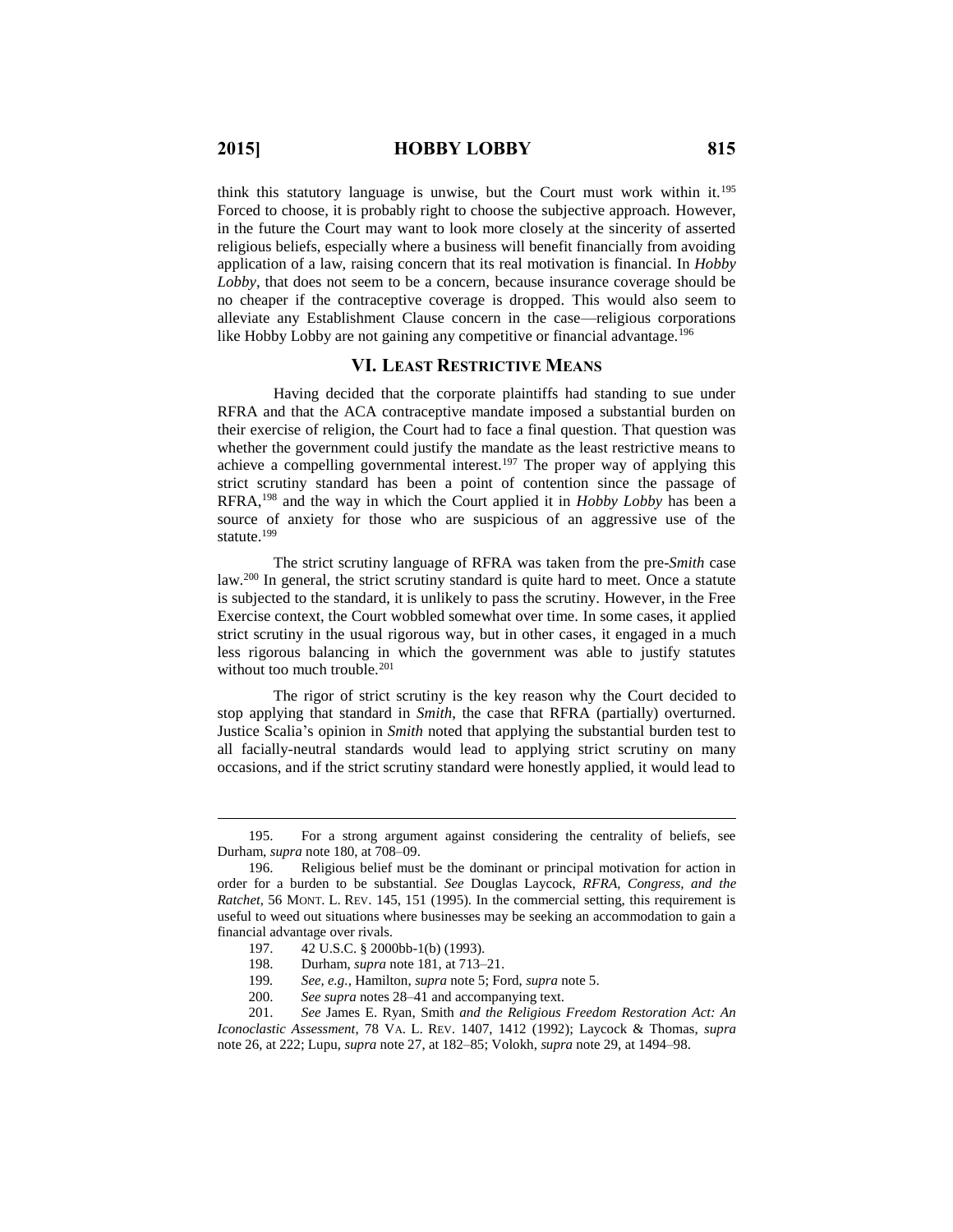$\overline{a}$ 

think this statutory language is unwise, but the Court must work within it.<sup>195</sup> Forced to choose, it is probably right to choose the subjective approach. However, in the future the Court may want to look more closely at the sincerity of asserted religious beliefs, especially where a business will benefit financially from avoiding application of a law, raising concern that its real motivation is financial. In *Hobby Lobby*, that does not seem to be a concern, because insurance coverage should be no cheaper if the contraceptive coverage is dropped. This would also seem to alleviate any Establishment Clause concern in the case—religious corporations like Hobby Lobby are not gaining any competitive or financial advantage.<sup>196</sup>

#### **VI. LEAST RESTRICTIVE MEANS**

Having decided that the corporate plaintiffs had standing to sue under RFRA and that the ACA contraceptive mandate imposed a substantial burden on their exercise of religion, the Court had to face a final question. That question was whether the government could justify the mandate as the least restrictive means to achieve a compelling governmental interest.<sup>197</sup> The proper way of applying this strict scrutiny standard has been a point of contention since the passage of RFRA,<sup>198</sup> and the way in which the Court applied it in *Hobby Lobby* has been a source of anxiety for those who are suspicious of an aggressive use of the statute.<sup>199</sup>

The strict scrutiny language of RFRA was taken from the pre-*Smith* case law.<sup>200</sup> In general, the strict scrutiny standard is quite hard to meet. Once a statute is subjected to the standard, it is unlikely to pass the scrutiny. However, in the Free Exercise context, the Court wobbled somewhat over time. In some cases, it applied strict scrutiny in the usual rigorous way, but in other cases, it engaged in a much less rigorous balancing in which the government was able to justify statutes without too much trouble.<sup>201</sup>

The rigor of strict scrutiny is the key reason why the Court decided to stop applying that standard in *Smith*, the case that RFRA (partially) overturned. Justice Scalia's opinion in *Smith* noted that applying the substantial burden test to all facially-neutral standards would lead to applying strict scrutiny on many occasions, and if the strict scrutiny standard were honestly applied, it would lead to

<sup>195.</sup> For a strong argument against considering the centrality of beliefs, see Durham, *supra* note 180, at 708–09.

<sup>196.</sup> Religious belief must be the dominant or principal motivation for action in order for a burden to be substantial. *See* Douglas Laycock, *RFRA, Congress, and the Ratchet*, 56 MONT. L. REV. 145, 151 (1995). In the commercial setting, this requirement is useful to weed out situations where businesses may be seeking an accommodation to gain a financial advantage over rivals.

<sup>197.</sup> 42 U.S.C. § 2000bb-1(b) (1993).

<sup>198.</sup> Durham, *supra* note 181, at 713–21.

<sup>199</sup>*. See, e.g.*, Hamilton, *supra* note 5; Ford, *supra* note 5.

<sup>200.</sup> *See supra* notes 28–41 and accompanying text.

<sup>201.</sup> *See* James E. Ryan, Smith *and the Religious Freedom Restoration Act: An Iconoclastic Assessment*, 78 VA. L. REV. 1407, 1412 (1992); Laycock & Thomas, *supra* note 26, at 222; Lupu, *supra* note 27, at 182–85; Volokh, *supra* note 29, at 1494–98.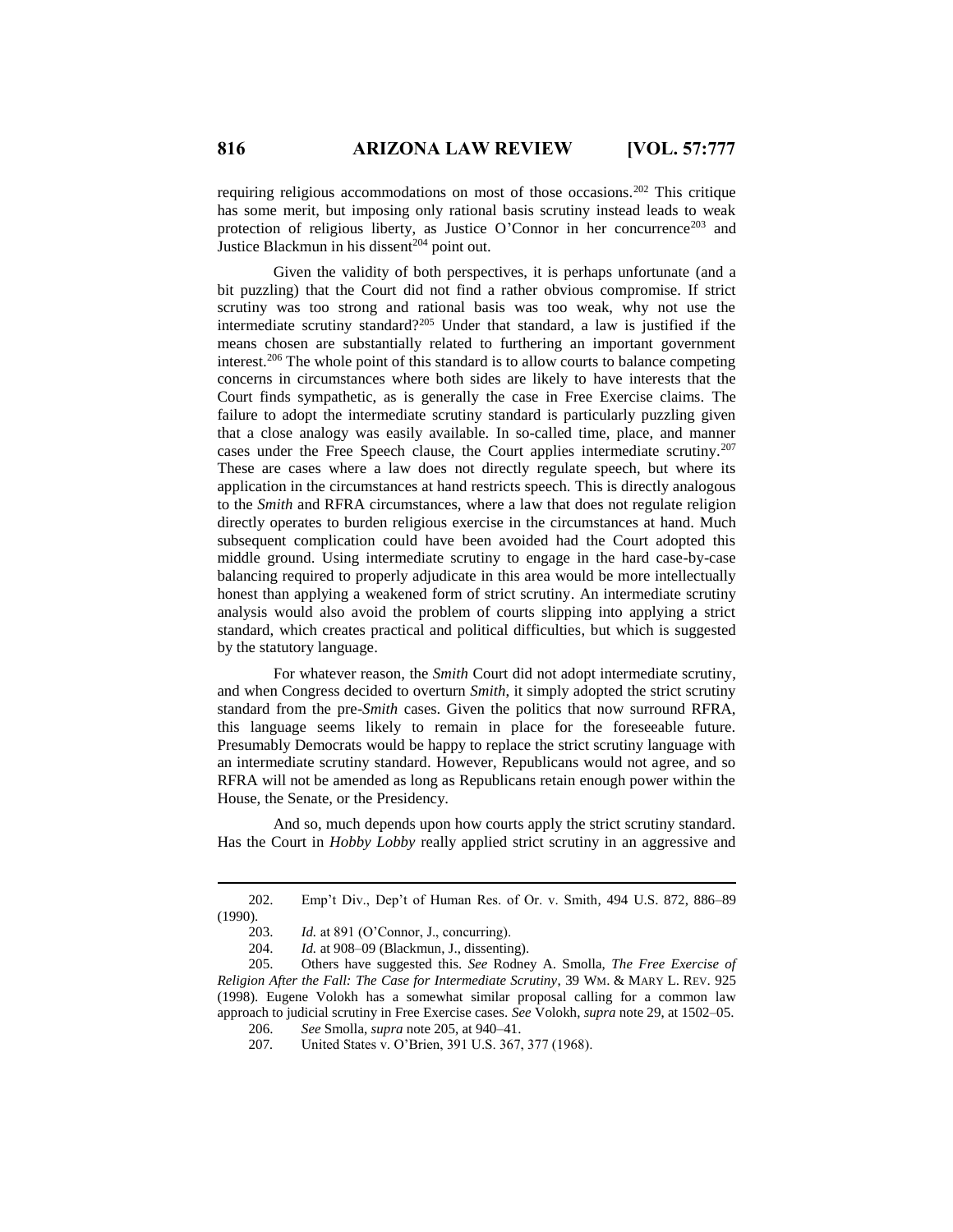requiring religious accommodations on most of those occasions.<sup>202</sup> This critique has some merit, but imposing only rational basis scrutiny instead leads to weak protection of religious liberty, as Justice O'Connor in her concurrence<sup>203</sup> and Justice Blackmun in his dissent<sup>204</sup> point out.

Given the validity of both perspectives, it is perhaps unfortunate (and a bit puzzling) that the Court did not find a rather obvious compromise. If strict scrutiny was too strong and rational basis was too weak, why not use the intermediate scrutiny standard?<sup>205</sup> Under that standard, a law is justified if the means chosen are substantially related to furthering an important government interest.<sup>206</sup> The whole point of this standard is to allow courts to balance competing concerns in circumstances where both sides are likely to have interests that the Court finds sympathetic, as is generally the case in Free Exercise claims. The failure to adopt the intermediate scrutiny standard is particularly puzzling given that a close analogy was easily available. In so-called time, place, and manner cases under the Free Speech clause, the Court applies intermediate scrutiny.<sup>207</sup> These are cases where a law does not directly regulate speech, but where its application in the circumstances at hand restricts speech. This is directly analogous to the *Smith* and RFRA circumstances, where a law that does not regulate religion directly operates to burden religious exercise in the circumstances at hand. Much subsequent complication could have been avoided had the Court adopted this middle ground. Using intermediate scrutiny to engage in the hard case-by-case balancing required to properly adjudicate in this area would be more intellectually honest than applying a weakened form of strict scrutiny. An intermediate scrutiny analysis would also avoid the problem of courts slipping into applying a strict standard, which creates practical and political difficulties, but which is suggested by the statutory language.

For whatever reason, the *Smith* Court did not adopt intermediate scrutiny, and when Congress decided to overturn *Smith*, it simply adopted the strict scrutiny standard from the pre-*Smith* cases. Given the politics that now surround RFRA, this language seems likely to remain in place for the foreseeable future. Presumably Democrats would be happy to replace the strict scrutiny language with an intermediate scrutiny standard. However, Republicans would not agree, and so RFRA will not be amended as long as Republicans retain enough power within the House, the Senate, or the Presidency.

And so, much depends upon how courts apply the strict scrutiny standard. Has the Court in *Hobby Lobby* really applied strict scrutiny in an aggressive and

<sup>202.</sup> Emp't Div., Dep't of Human Res. of Or. v. Smith, 494 U.S. 872, 886–89 (1990).

<sup>203.</sup> *Id.* at 891 (O'Connor, J., concurring).

<sup>204.</sup> *Id.* at 908–09 (Blackmun, J., dissenting).

<sup>205.</sup> Others have suggested this. *See* Rodney A. Smolla, *The Free Exercise of Religion After the Fall: The Case for Intermediate Scrutiny*, 39 WM. & MARY L. REV. 925 (1998). Eugene Volokh has a somewhat similar proposal calling for a common law approach to judicial scrutiny in Free Exercise cases. *See* Volokh, *supra* note 29, at 1502–05.

<sup>206.</sup> *See* Smolla, *supra* note 205, at 940–41.

<sup>207</sup>*.* United States v. O'Brien, 391 U.S. 367, 377 (1968).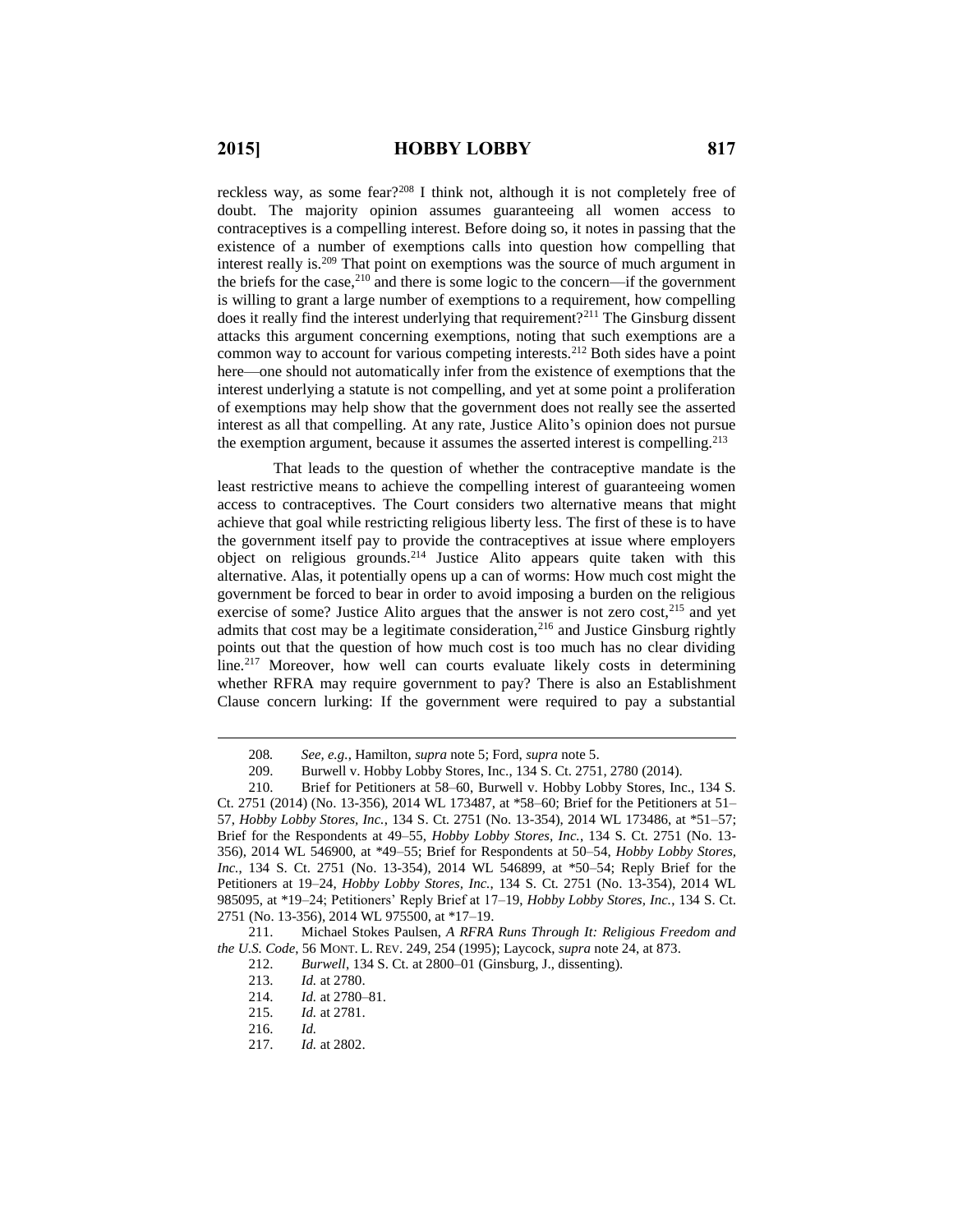reckless way, as some fear?<sup>208</sup> I think not, although it is not completely free of doubt. The majority opinion assumes guaranteeing all women access to contraceptives is a compelling interest. Before doing so, it notes in passing that the existence of a number of exemptions calls into question how compelling that interest really is.<sup>209</sup> That point on exemptions was the source of much argument in the briefs for the case, $2^{10}$  and there is some logic to the concern—if the government is willing to grant a large number of exemptions to a requirement, how compelling does it really find the interest underlying that requirement?<sup>211</sup> The Ginsburg dissent attacks this argument concerning exemptions, noting that such exemptions are a common way to account for various competing interests.<sup>212</sup> Both sides have a point here—one should not automatically infer from the existence of exemptions that the interest underlying a statute is not compelling, and yet at some point a proliferation of exemptions may help show that the government does not really see the asserted interest as all that compelling. At any rate, Justice Alito's opinion does not pursue the exemption argument, because it assumes the asserted interest is compelling.<sup>213</sup>

That leads to the question of whether the contraceptive mandate is the least restrictive means to achieve the compelling interest of guaranteeing women access to contraceptives. The Court considers two alternative means that might achieve that goal while restricting religious liberty less. The first of these is to have the government itself pay to provide the contraceptives at issue where employers object on religious grounds.<sup>214</sup> Justice Alito appears quite taken with this alternative. Alas, it potentially opens up a can of worms: How much cost might the government be forced to bear in order to avoid imposing a burden on the religious exercise of some? Justice Alito argues that the answer is not zero cost, $^{215}$  and yet admits that cost may be a legitimate consideration, $216$  and Justice Ginsburg rightly points out that the question of how much cost is too much has no clear dividing line.<sup>217</sup> Moreover, how well can courts evaluate likely costs in determining whether RFRA may require government to pay? There is also an Establishment Clause concern lurking: If the government were required to pay a substantial

<sup>208</sup>*. See, e.g.*, Hamilton, *supra* note 5; Ford, *supra* note 5.

<sup>209.</sup> Burwell v. Hobby Lobby Stores, Inc., 134 S. Ct. 2751, 2780 (2014).<br>210. Brief for Petitioners at 58–60, Burwell v. Hobby Lobby Stores, Inc. Brief for Petitioners at 58–60, Burwell v. Hobby Lobby Stores, Inc., 134 S.

Ct. 2751 (2014) (No. 13-356), 2014 WL 173487, at \*58–60; Brief for the Petitioners at 51– 57, *Hobby Lobby Stores, Inc.*, 134 S. Ct. 2751 (No. 13-354), 2014 WL 173486, at \*51–57; Brief for the Respondents at 49–55, *Hobby Lobby Stores, Inc.*, 134 S. Ct. 2751 (No. 13- 356), 2014 WL 546900, at \*49–55; Brief for Respondents at 50–54, *Hobby Lobby Stores, Inc.*, 134 S. Ct. 2751 (No. 13-354), 2014 WL 546899, at \*50–54; Reply Brief for the Petitioners at 19–24, *Hobby Lobby Stores, Inc.*, 134 S. Ct. 2751 (No. 13-354), 2014 WL 985095, at \*19–24; Petitioners' Reply Brief at 17–19, *Hobby Lobby Stores, Inc.*, 134 S. Ct. 2751 (No. 13-356), 2014 WL 975500, at \*17–19.

<sup>211.</sup> Michael Stokes Paulsen, *A RFRA Runs Through It: Religious Freedom and the U.S. Code*, 56 MONT. L. REV. 249, 254 (1995); Laycock, *supra* note 24, at 873.

<sup>212.</sup> *Burwell*, 134 S. Ct. at 2800–01 (Ginsburg, J., dissenting).

*Id.* at 2780.

<sup>214.</sup> *Id.* at 2780–81.

<sup>215.</sup> *Id.* at 2781.

<sup>216.</sup> *Id.*

<sup>217.</sup> *Id.* at 2802.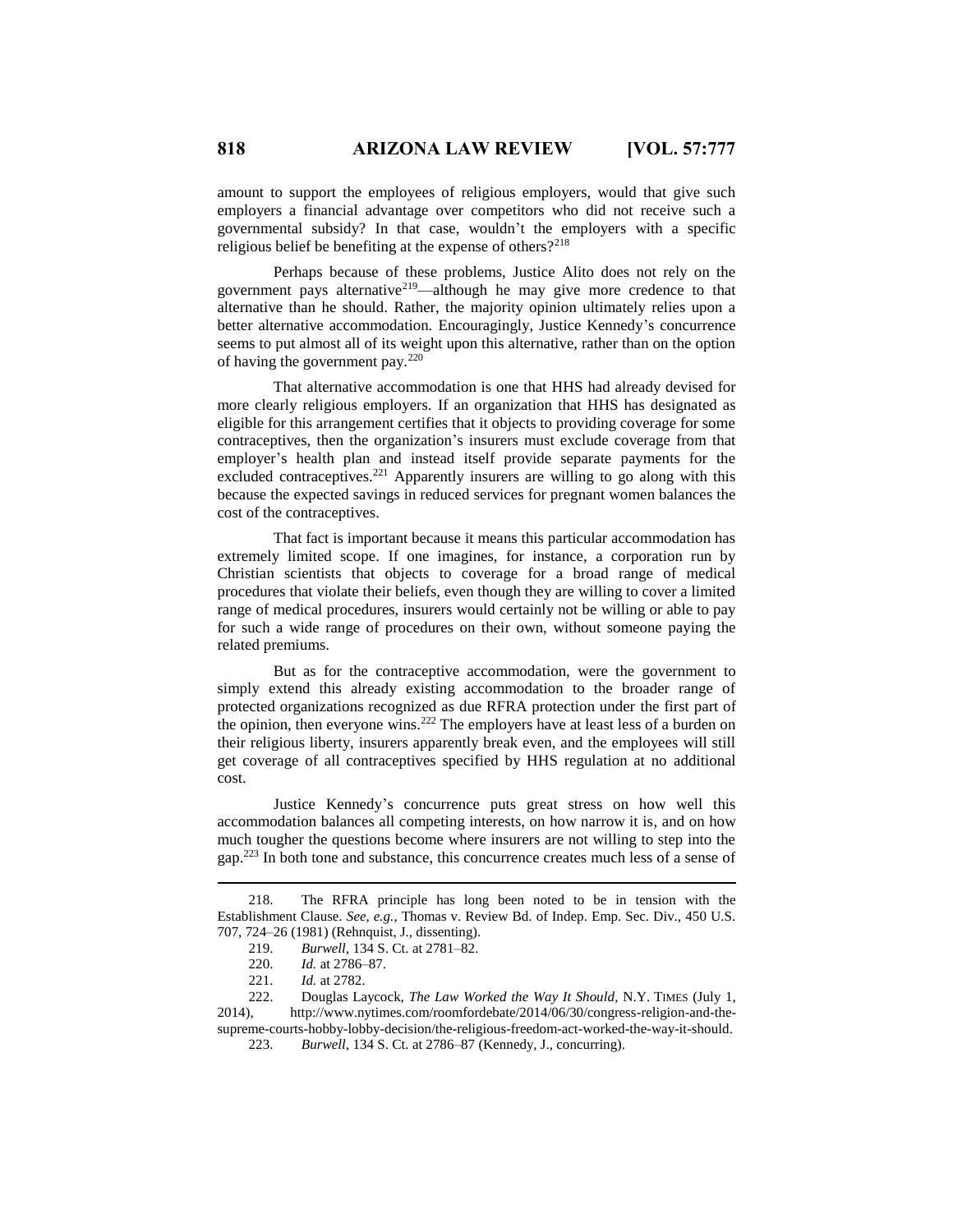amount to support the employees of religious employers, would that give such employers a financial advantage over competitors who did not receive such a governmental subsidy? In that case, wouldn't the employers with a specific religious belief be benefiting at the expense of others?<sup>218</sup>

Perhaps because of these problems, Justice Alito does not rely on the government pays alternative<sup>219</sup>—although he may give more credence to that alternative than he should. Rather, the majority opinion ultimately relies upon a better alternative accommodation. Encouragingly, Justice Kennedy's concurrence seems to put almost all of its weight upon this alternative, rather than on the option of having the government pay.<sup>220</sup>

That alternative accommodation is one that HHS had already devised for more clearly religious employers. If an organization that HHS has designated as eligible for this arrangement certifies that it objects to providing coverage for some contraceptives, then the organization's insurers must exclude coverage from that employer's health plan and instead itself provide separate payments for the excluded contraceptives.<sup>221</sup> Apparently insurers are willing to go along with this because the expected savings in reduced services for pregnant women balances the cost of the contraceptives.

That fact is important because it means this particular accommodation has extremely limited scope. If one imagines, for instance, a corporation run by Christian scientists that objects to coverage for a broad range of medical procedures that violate their beliefs, even though they are willing to cover a limited range of medical procedures, insurers would certainly not be willing or able to pay for such a wide range of procedures on their own, without someone paying the related premiums.

But as for the contraceptive accommodation, were the government to simply extend this already existing accommodation to the broader range of protected organizations recognized as due RFRA protection under the first part of the opinion, then everyone wins.<sup>222</sup> The employers have at least less of a burden on their religious liberty, insurers apparently break even, and the employees will still get coverage of all contraceptives specified by HHS regulation at no additional cost.

Justice Kennedy's concurrence puts great stress on how well this accommodation balances all competing interests, on how narrow it is, and on how much tougher the questions become where insurers are not willing to step into the gap.<sup>223</sup> In both tone and substance, this concurrence creates much less of a sense of

<sup>218.</sup> The RFRA principle has long been noted to be in tension with the Establishment Clause. *See, e.g.*, Thomas v. Review Bd. of Indep. Emp. Sec. Div., 450 U.S. 707, 724–26 (1981) (Rehnquist, J., dissenting).

<sup>219.</sup> *Burwell*, 134 S. Ct. at 2781–82.

<sup>220.</sup> *Id.* at 2786–87.

<sup>221.</sup> *Id.* at 2782.

<sup>222.</sup> Douglas Laycock, *The Law Worked the Way It Should*, N.Y. TIMES (July 1, 2014), http://www.nytimes.com/roomfordebate/2014/06/30/congress-religion-and-thesupreme-courts-hobby-lobby-decision/the-religious-freedom-act-worked-the-way-it-should.

<sup>223.</sup> *Burwell*, 134 S. Ct. at 2786–87 (Kennedy, J., concurring).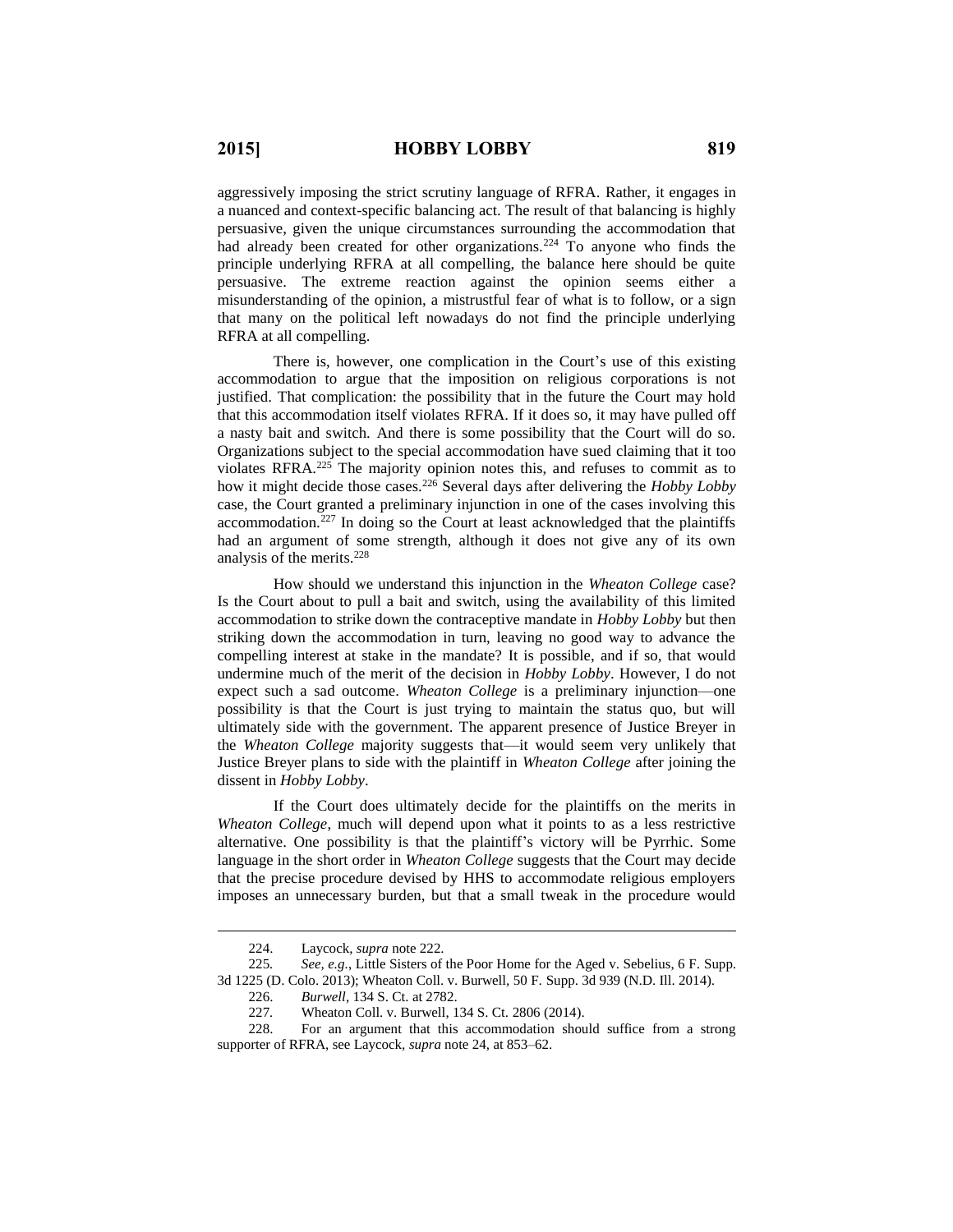aggressively imposing the strict scrutiny language of RFRA. Rather, it engages in a nuanced and context-specific balancing act. The result of that balancing is highly persuasive, given the unique circumstances surrounding the accommodation that had already been created for other organizations.<sup>224</sup> To anyone who finds the principle underlying RFRA at all compelling, the balance here should be quite persuasive. The extreme reaction against the opinion seems either a misunderstanding of the opinion, a mistrustful fear of what is to follow, or a sign that many on the political left nowadays do not find the principle underlying RFRA at all compelling.

There is, however, one complication in the Court's use of this existing accommodation to argue that the imposition on religious corporations is not justified. That complication: the possibility that in the future the Court may hold that this accommodation itself violates RFRA. If it does so, it may have pulled off a nasty bait and switch. And there is some possibility that the Court will do so. Organizations subject to the special accommodation have sued claiming that it too violates RFRA.<sup>225</sup> The majority opinion notes this, and refuses to commit as to how it might decide those cases.<sup>226</sup> Several days after delivering the *Hobby Lobby* case, the Court granted a preliminary injunction in one of the cases involving this accommodation.<sup>227</sup> In doing so the Court at least acknowledged that the plaintiffs had an argument of some strength, although it does not give any of its own analysis of the merits.<sup>228</sup>

How should we understand this injunction in the *Wheaton College* case? Is the Court about to pull a bait and switch, using the availability of this limited accommodation to strike down the contraceptive mandate in *Hobby Lobby* but then striking down the accommodation in turn, leaving no good way to advance the compelling interest at stake in the mandate? It is possible, and if so, that would undermine much of the merit of the decision in *Hobby Lobby*. However, I do not expect such a sad outcome. *Wheaton College* is a preliminary injunction—one possibility is that the Court is just trying to maintain the status quo, but will ultimately side with the government. The apparent presence of Justice Breyer in the *Wheaton College* majority suggests that—it would seem very unlikely that Justice Breyer plans to side with the plaintiff in *Wheaton College* after joining the dissent in *Hobby Lobby*.

If the Court does ultimately decide for the plaintiffs on the merits in *Wheaton College*, much will depend upon what it points to as a less restrictive alternative. One possibility is that the plaintiff's victory will be Pyrrhic. Some language in the short order in *Wheaton College* suggests that the Court may decide that the precise procedure devised by HHS to accommodate religious employers imposes an unnecessary burden, but that a small tweak in the procedure would

<sup>224.</sup> Laycock, *supra* note 222.

<sup>225</sup>*. See, e.g.*, Little Sisters of the Poor Home for the Aged v. Sebelius, 6 F. Supp. 3d 1225 (D. Colo. 2013); Wheaton Coll. v. Burwell, 50 F. Supp. 3d 939 (N.D. Ill. 2014).

<sup>226.</sup> *Burwell*, 134 S. Ct. at 2782.

<sup>227</sup>*.* Wheaton Coll. v. Burwell, 134 S. Ct. 2806 (2014).

<sup>228.</sup> For an argument that this accommodation should suffice from a strong supporter of RFRA, see Laycock, *supra* note 24, at 853–62.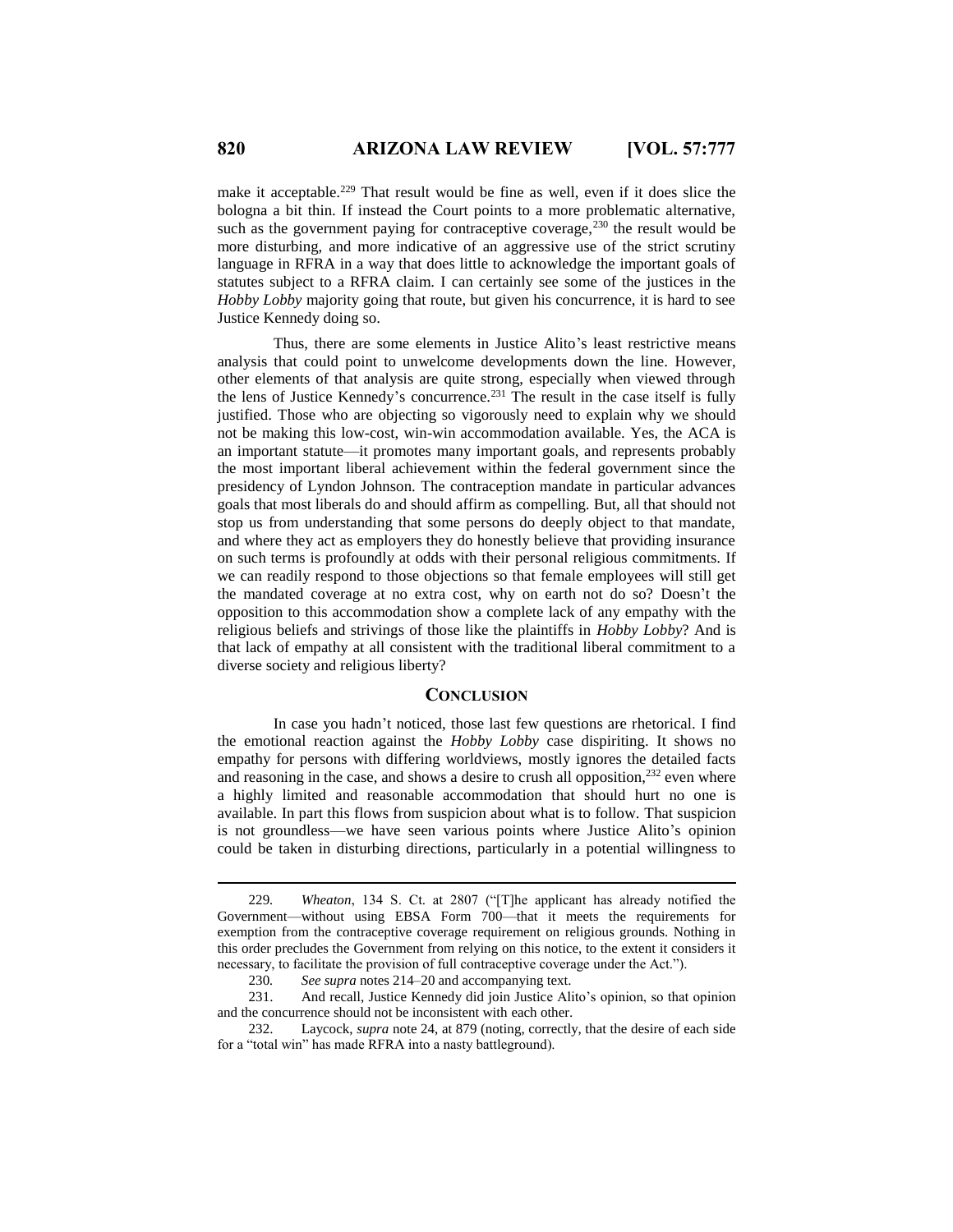make it acceptable.<sup>229</sup> That result would be fine as well, even if it does slice the bologna a bit thin. If instead the Court points to a more problematic alternative, such as the government paying for contraceptive coverage,  $230$  the result would be more disturbing, and more indicative of an aggressive use of the strict scrutiny language in RFRA in a way that does little to acknowledge the important goals of statutes subject to a RFRA claim. I can certainly see some of the justices in the *Hobby Lobby* majority going that route, but given his concurrence, it is hard to see Justice Kennedy doing so.

Thus, there are some elements in Justice Alito's least restrictive means analysis that could point to unwelcome developments down the line. However, other elements of that analysis are quite strong, especially when viewed through the lens of Justice Kennedy's concurrence.<sup>231</sup> The result in the case itself is fully justified. Those who are objecting so vigorously need to explain why we should not be making this low-cost, win-win accommodation available. Yes, the ACA is an important statute—it promotes many important goals, and represents probably the most important liberal achievement within the federal government since the presidency of Lyndon Johnson. The contraception mandate in particular advances goals that most liberals do and should affirm as compelling. But, all that should not stop us from understanding that some persons do deeply object to that mandate, and where they act as employers they do honestly believe that providing insurance on such terms is profoundly at odds with their personal religious commitments. If we can readily respond to those objections so that female employees will still get the mandated coverage at no extra cost, why on earth not do so? Doesn't the opposition to this accommodation show a complete lack of any empathy with the religious beliefs and strivings of those like the plaintiffs in *Hobby Lobby*? And is that lack of empathy at all consistent with the traditional liberal commitment to a diverse society and religious liberty?

#### **CONCLUSION**

In case you hadn't noticed, those last few questions are rhetorical. I find the emotional reaction against the *Hobby Lobby* case dispiriting. It shows no empathy for persons with differing worldviews, mostly ignores the detailed facts and reasoning in the case, and shows a desire to crush all opposition,<sup>232</sup> even where a highly limited and reasonable accommodation that should hurt no one is available. In part this flows from suspicion about what is to follow. That suspicion is not groundless—we have seen various points where Justice Alito's opinion could be taken in disturbing directions, particularly in a potential willingness to

<sup>229</sup>*. Wheaton*, 134 S. Ct. at 2807 ("[T]he applicant has already notified the Government—without using EBSA Form 700—that it meets the requirements for exemption from the contraceptive coverage requirement on religious grounds. Nothing in this order precludes the Government from relying on this notice, to the extent it considers it necessary, to facilitate the provision of full contraceptive coverage under the Act.").

<sup>230</sup>*. See supra* notes 214–20 and accompanying text.

<sup>231.</sup> And recall, Justice Kennedy did join Justice Alito's opinion, so that opinion and the concurrence should not be inconsistent with each other.

<sup>232.</sup> Laycock, *supra* note 24, at 879 (noting, correctly, that the desire of each side for a "total win" has made RFRA into a nasty battleground).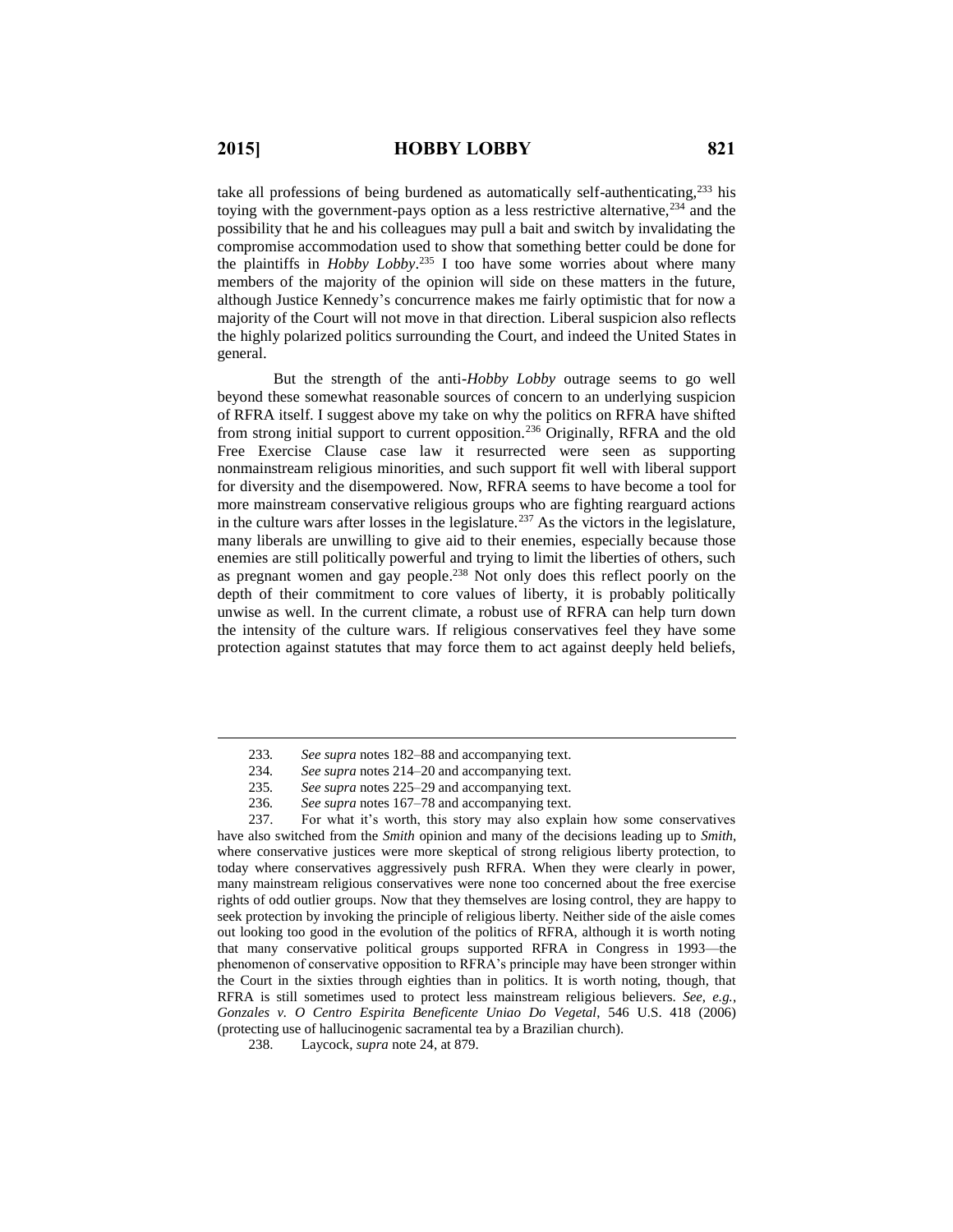$\overline{a}$ 

take all professions of being burdened as automatically self-authenticating, $233$  his toying with the government-pays option as a less restrictive alternative,  $2^{34}$  and the possibility that he and his colleagues may pull a bait and switch by invalidating the compromise accommodation used to show that something better could be done for the plaintiffs in *Hobby Lobby*. <sup>235</sup> I too have some worries about where many members of the majority of the opinion will side on these matters in the future, although Justice Kennedy's concurrence makes me fairly optimistic that for now a majority of the Court will not move in that direction. Liberal suspicion also reflects the highly polarized politics surrounding the Court, and indeed the United States in general.

But the strength of the anti-*Hobby Lobby* outrage seems to go well beyond these somewhat reasonable sources of concern to an underlying suspicion of RFRA itself. I suggest above my take on why the politics on RFRA have shifted from strong initial support to current opposition.<sup>236</sup> Originally, RFRA and the old Free Exercise Clause case law it resurrected were seen as supporting nonmainstream religious minorities, and such support fit well with liberal support for diversity and the disempowered. Now, RFRA seems to have become a tool for more mainstream conservative religious groups who are fighting rearguard actions in the culture wars after losses in the legislature.<sup>237</sup> As the victors in the legislature, many liberals are unwilling to give aid to their enemies, especially because those enemies are still politically powerful and trying to limit the liberties of others, such as pregnant women and gay people. <sup>238</sup> Not only does this reflect poorly on the depth of their commitment to core values of liberty, it is probably politically unwise as well. In the current climate, a robust use of RFRA can help turn down the intensity of the culture wars. If religious conservatives feel they have some protection against statutes that may force them to act against deeply held beliefs,

<sup>233</sup>*. See supra* notes 182–88 and accompanying text.

<sup>234</sup>*. See supra* notes 214–20 and accompanying text.

<sup>235</sup>*. See supra* notes 225–29 and accompanying text.

<sup>236</sup>*. See supra* notes 167–78 and accompanying text.

<sup>237.</sup> For what it's worth, this story may also explain how some conservatives have also switched from the *Smith* opinion and many of the decisions leading up to *Smith*, where conservative justices were more skeptical of strong religious liberty protection, to today where conservatives aggressively push RFRA. When they were clearly in power, many mainstream religious conservatives were none too concerned about the free exercise rights of odd outlier groups. Now that they themselves are losing control, they are happy to seek protection by invoking the principle of religious liberty. Neither side of the aisle comes out looking too good in the evolution of the politics of RFRA, although it is worth noting that many conservative political groups supported RFRA in Congress in 1993—the phenomenon of conservative opposition to RFRA's principle may have been stronger within the Court in the sixties through eighties than in politics. It is worth noting, though, that RFRA is still sometimes used to protect less mainstream religious believers. *See*, *e.g.*, *Gonzales v. O Centro Espirita Beneficente Uniao Do Vegetal*, 546 U.S. 418 (2006) (protecting use of hallucinogenic sacramental tea by a Brazilian church).

<sup>238.</sup> Laycock, *supra* note 24, at 879.